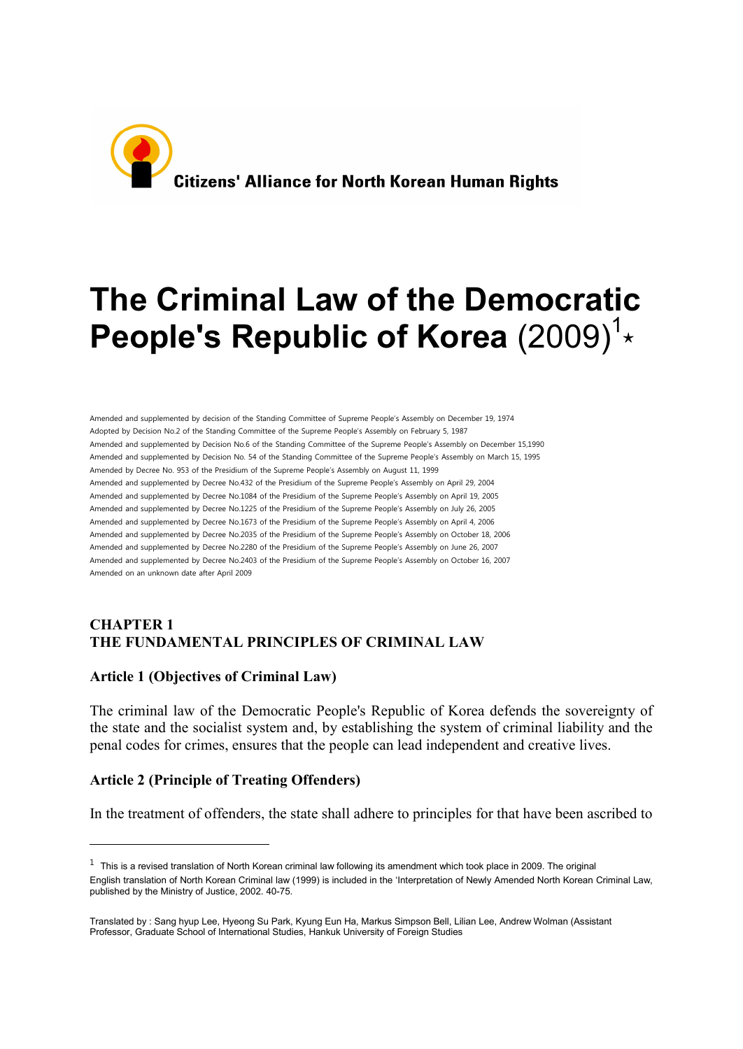

# **The Criminal Law of the Democratic** People's Republic of Korea (2009)<sup>1</sup>\*

Amended and supplemented by decision of the Standing Committee of Supreme People's Assembly on December 19, 1974 Adopted by Decision No.2 of the Standing Committee of the Supreme People's Assembly on February 5, 1987 Amended and supplemented by Decision No.6 of the Standing Committee of the Supreme People's Assembly on December 15,1990 Amended and supplemented by Decision No. 54 of the Standing Committee of the Supreme People's Assembly on March 15, 1995 Amended by Decree No. 953 of the Presidium of the Supreme People's Assembly on August 11, 1999 Amended and supplemented by Decree No.432 of the Presidium of the Supreme People's Assembly on April 29, 2004 Amended and supplemented by Decree No.1084 of the Presidium of the Supreme People's Assembly on April 19, 2005 Amended and supplemented by Decree No.1225 of the Presidium of the Supreme People's Assembly on July 26, 2005 Amended and supplemented by Decree No.1673 of the Presidium of the Supreme People's Assembly on April 4, 2006 Amended and supplemented by Decree No.2035 of the Presidium of the Supreme People's Assembly on October 18, 2006 Amended and supplemented by Decree No.2280 of the Presidium of the Supreme People's Assembly on June 26, 2007 Amended and supplemented by Decree No.2403 of the Presidium of the Supreme People's Assembly on October 16, 2007 Amended on an unknown date after April 2009

#### **CHAPTER 1 THE FUNDAMENTAL PRINCIPLES OF CRIMINAL LAW**

#### **Article 1 (Objectives of Criminal Law)**

The criminal law of the Democratic People's Republic of Korea defends the sovereignty of the state and the socialist system and, by establishing the system of criminal liability and the penal codes for crimes, ensures that the people can lead independent and creative lives.

#### **Article 2 (Principle of Treating Offenders)**

-

In the treatment of offenders, the state shall adhere to principles for that have been ascribed to

 $1$  This is a revised translation of North Korean criminal law following its amendment which took place in 2009. The original English translation of North Korean Criminal law (1999) is included in the 'Interpretation of Newly Amended North Korean Criminal Law, published by the Ministry of Justice, 2002. 40-75.

Translated by : Sang hyup Lee, Hyeong Su Park, Kyung Eun Ha, Markus Simpson Bell, Lilian Lee, Andrew Wolman (Assistant Professor, Graduate School of International Studies, Hankuk University of Foreign Studies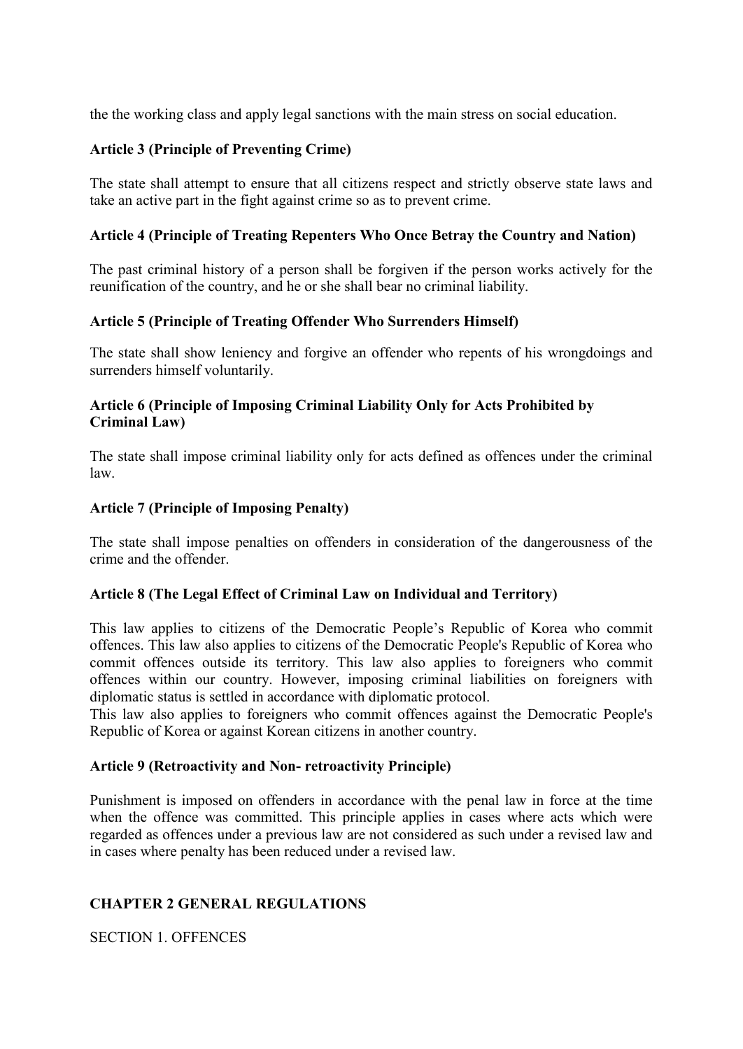the the working class and apply legal sanctions with the main stress on social education.

# **Article 3 (Principle of Preventing Crime)**

The state shall attempt to ensure that all citizens respect and strictly observe state laws and take an active part in the fight against crime so as to prevent crime.

# **Article 4 (Principle of Treating Repenters Who Once Betray the Country and Nation)**

The past criminal history of a person shall be forgiven if the person works actively for the reunification of the country, and he or she shall bear no criminal liability.

### **Article 5 (Principle of Treating Offender Who Surrenders Himself)**

The state shall show leniency and forgive an offender who repents of his wrongdoings and surrenders himself voluntarily.

# **Article 6 (Principle of Imposing Criminal Liability Only for Acts Prohibited by Criminal Law)**

The state shall impose criminal liability only for acts defined as offences under the criminal law.

# **Article 7 (Principle of Imposing Penalty)**

The state shall impose penalties on offenders in consideration of the dangerousness of the crime and the offender.

### **Article 8 (The Legal Effect of Criminal Law on Individual and Territory)**

This law applies to citizens of the Democratic People's Republic of Korea who commit offences. This law also applies to citizens of the Democratic People's Republic of Korea who commit offences outside its territory. This law also applies to foreigners who commit offences within our country. However, imposing criminal liabilities on foreigners with diplomatic status is settled in accordance with diplomatic protocol.

This law also applies to foreigners who commit offences against the Democratic People's Republic of Korea or against Korean citizens in another country.

### **Article 9 (Retroactivity and Non- retroactivity Principle)**

Punishment is imposed on offenders in accordance with the penal law in force at the time when the offence was committed. This principle applies in cases where acts which were regarded as offences under a previous law are not considered as such under a revised law and in cases where penalty has been reduced under a revised law.

### **CHAPTER 2 GENERAL REGULATIONS**

SECTION 1. OFFENCES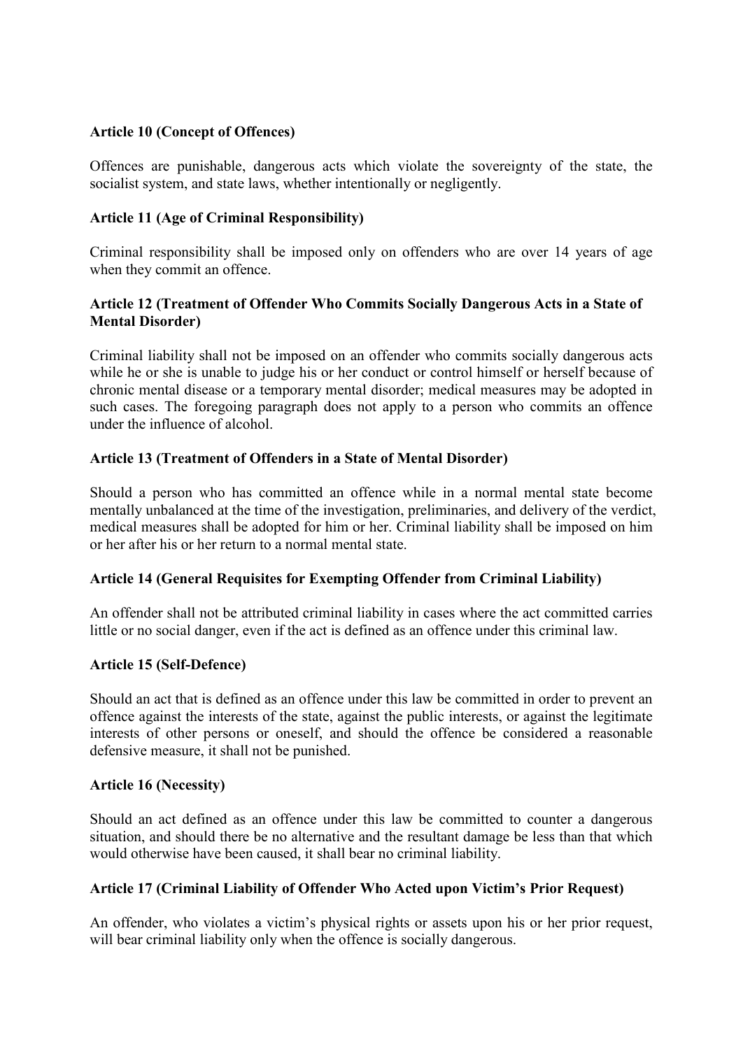#### **Article 10 (Concept of Offences)**

Offences are punishable, dangerous acts which violate the sovereignty of the state, the socialist system, and state laws, whether intentionally or negligently.

#### **Article 11 (Age of Criminal Responsibility)**

Criminal responsibility shall be imposed only on offenders who are over 14 years of age when they commit an offence.

### **Article 12 (Treatment of Offender Who Commits Socially Dangerous Acts in a State of Mental Disorder)**

Criminal liability shall not be imposed on an offender who commits socially dangerous acts while he or she is unable to judge his or her conduct or control himself or herself because of chronic mental disease or a temporary mental disorder; medical measures may be adopted in such cases. The foregoing paragraph does not apply to a person who commits an offence under the influence of alcohol.

#### **Article 13 (Treatment of Offenders in a State of Mental Disorder)**

Should a person who has committed an offence while in a normal mental state become mentally unbalanced at the time of the investigation, preliminaries, and delivery of the verdict, medical measures shall be adopted for him or her. Criminal liability shall be imposed on him or her after his or her return to a normal mental state.

#### **Article 14 (General Requisites for Exempting Offender from Criminal Liability)**

An offender shall not be attributed criminal liability in cases where the act committed carries little or no social danger, even if the act is defined as an offence under this criminal law.

#### **Article 15 (Self-Defence)**

Should an act that is defined as an offence under this law be committed in order to prevent an offence against the interests of the state, against the public interests, or against the legitimate interests of other persons or oneself, and should the offence be considered a reasonable defensive measure, it shall not be punished.

#### **Article 16 (Necessity)**

Should an act defined as an offence under this law be committed to counter a dangerous situation, and should there be no alternative and the resultant damage be less than that which would otherwise have been caused, it shall bear no criminal liability.

#### **Article 17 (Criminal Liability of Offender Who Acted upon Victim's Prior Request)**

An offender, who violates a victim's physical rights or assets upon his or her prior request, will bear criminal liability only when the offence is socially dangerous.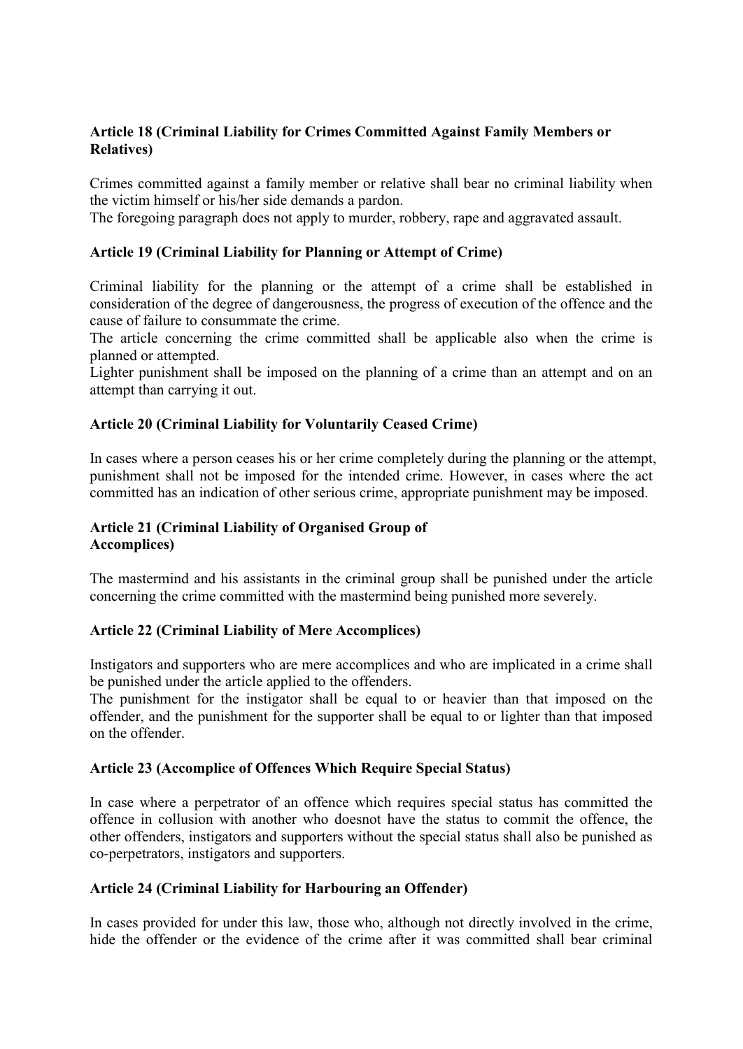# **Article 18 (Criminal Liability for Crimes Committed Against Family Members or Relatives)**

Crimes committed against a family member or relative shall bear no criminal liability when the victim himself or his/her side demands a pardon.

The foregoing paragraph does not apply to murder, robbery, rape and aggravated assault.

#### **Article 19 (Criminal Liability for Planning or Attempt of Crime)**

Criminal liability for the planning or the attempt of a crime shall be established in consideration of the degree of dangerousness, the progress of execution of the offence and the cause of failure to consummate the crime.

The article concerning the crime committed shall be applicable also when the crime is planned or attempted.

Lighter punishment shall be imposed on the planning of a crime than an attempt and on an attempt than carrying it out.

#### **Article 20 (Criminal Liability for Voluntarily Ceased Crime)**

In cases where a person ceases his or her crime completely during the planning or the attempt, punishment shall not be imposed for the intended crime. However, in cases where the act committed has an indication of other serious crime, appropriate punishment may be imposed.

### **Article 21 (Criminal Liability of Organised Group of Accomplices)**

The mastermind and his assistants in the criminal group shall be punished under the article concerning the crime committed with the mastermind being punished more severely.

### **Article 22 (Criminal Liability of Mere Accomplices)**

Instigators and supporters who are mere accomplices and who are implicated in a crime shall be punished under the article applied to the offenders.

The punishment for the instigator shall be equal to or heavier than that imposed on the offender, and the punishment for the supporter shall be equal to or lighter than that imposed on the offender.

#### **Article 23 (Accomplice of Offences Which Require Special Status)**

In case where a perpetrator of an offence which requires special status has committed the offence in collusion with another who doesnot have the status to commit the offence, the other offenders, instigators and supporters without the special status shall also be punished as co-perpetrators, instigators and supporters.

### **Article 24 (Criminal Liability for Harbouring an Offender)**

In cases provided for under this law, those who, although not directly involved in the crime, hide the offender or the evidence of the crime after it was committed shall bear criminal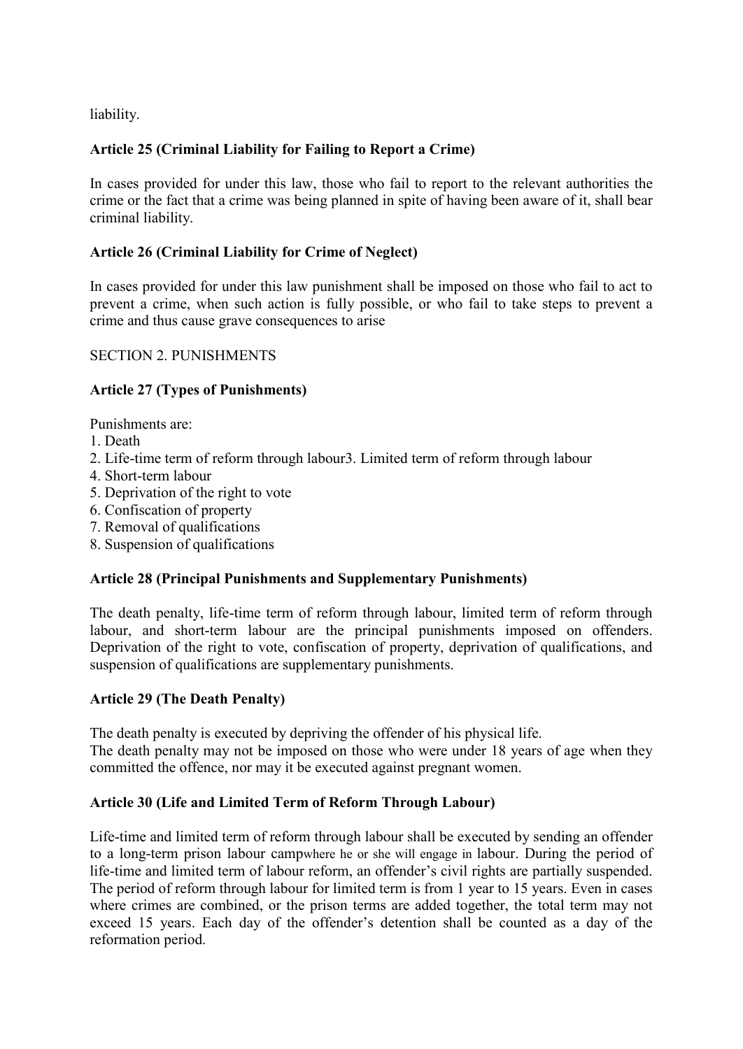liability.

# **Article 25 (Criminal Liability for Failing to Report a Crime)**

In cases provided for under this law, those who fail to report to the relevant authorities the crime or the fact that a crime was being planned in spite of having been aware of it, shall bear criminal liability.

### **Article 26 (Criminal Liability for Crime of Neglect)**

In cases provided for under this law punishment shall be imposed on those who fail to act to prevent a crime, when such action is fully possible, or who fail to take steps to prevent a crime and thus cause grave consequences to arise

#### SECTION 2. PUNISHMENTS

### **Article 27 (Types of Punishments)**

Punishments are:

- 1. Death
- 2. Life-time term of reform through labour3. Limited term of reform through labour
- 4. Short-term labour
- 5. Deprivation of the right to vote
- 6. Confiscation of property
- 7. Removal of qualifications
- 8. Suspension of qualifications

### **Article 28 (Principal Punishments and Supplementary Punishments)**

The death penalty, life-time term of reform through labour, limited term of reform through labour, and short-term labour are the principal punishments imposed on offenders. Deprivation of the right to vote, confiscation of property, deprivation of qualifications, and suspension of qualifications are supplementary punishments.

#### **Article 29 (The Death Penalty)**

The death penalty is executed by depriving the offender of his physical life.

The death penalty may not be imposed on those who were under 18 years of age when they committed the offence, nor may it be executed against pregnant women.

#### **Article 30 (Life and Limited Term of Reform Through Labour)**

Life-time and limited term of reform through labour shall be executed by sending an offender to a long-term prison labour campwhere he or she will engage in labour. During the period of life-time and limited term of labour reform, an offender's civil rights are partially suspended. The period of reform through labour for limited term is from 1 year to 15 years. Even in cases where crimes are combined, or the prison terms are added together, the total term may not exceed 15 years. Each day of the offender's detention shall be counted as a day of the reformation period.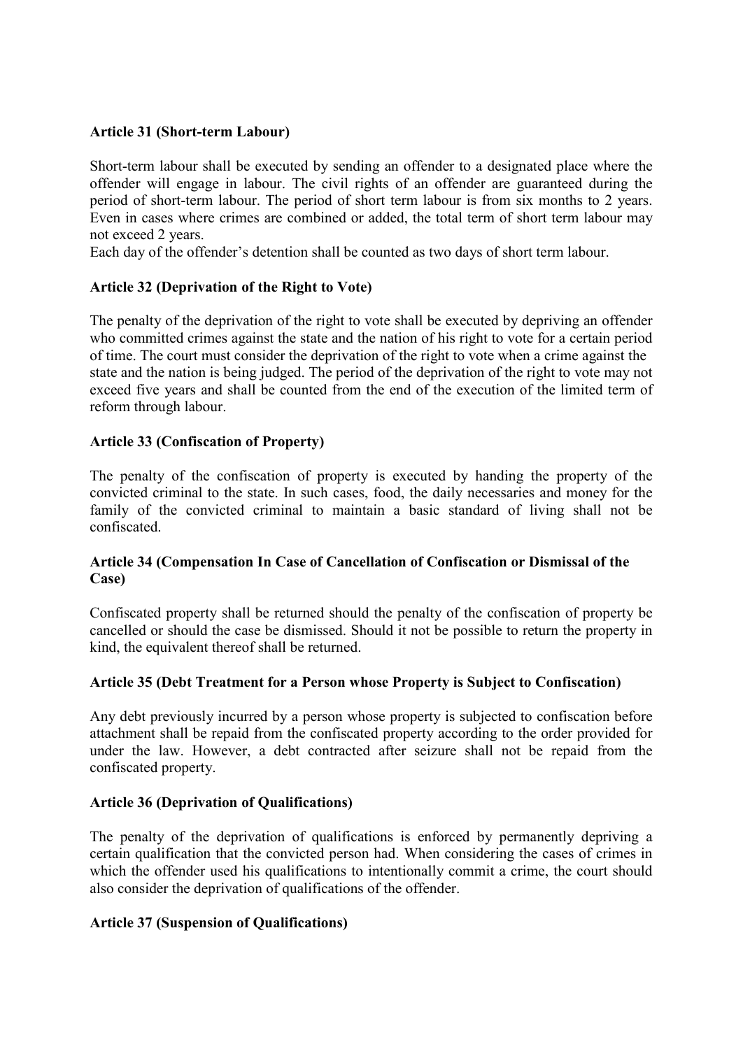#### **Article 31 (Short-term Labour)**

Short-term labour shall be executed by sending an offender to a designated place where the offender will engage in labour. The civil rights of an offender are guaranteed during the period of short-term labour. The period of short term labour is from six months to 2 years. Even in cases where crimes are combined or added, the total term of short term labour may not exceed 2 years.

Each day of the offender's detention shall be counted as two days of short term labour.

#### **Article 32 (Deprivation of the Right to Vote)**

The penalty of the deprivation of the right to vote shall be executed by depriving an offender who committed crimes against the state and the nation of his right to vote for a certain period of time. The court must consider the deprivation of the right to vote when a crime against the state and the nation is being judged. The period of the deprivation of the right to vote may not exceed five years and shall be counted from the end of the execution of the limited term of reform through labour.

#### **Article 33 (Confiscation of Property)**

The penalty of the confiscation of property is executed by handing the property of the convicted criminal to the state. In such cases, food, the daily necessaries and money for the family of the convicted criminal to maintain a basic standard of living shall not be confiscated.

### **Article 34 (Compensation In Case of Cancellation of Confiscation or Dismissal of the Case)**

Confiscated property shall be returned should the penalty of the confiscation of property be cancelled or should the case be dismissed. Should it not be possible to return the property in kind, the equivalent thereof shall be returned.

#### **Article 35 (Debt Treatment for a Person whose Property is Subject to Confiscation)**

Any debt previously incurred by a person whose property is subjected to confiscation before attachment shall be repaid from the confiscated property according to the order provided for under the law. However, a debt contracted after seizure shall not be repaid from the confiscated property.

#### **Article 36 (Deprivation of Qualifications)**

The penalty of the deprivation of qualifications is enforced by permanently depriving a certain qualification that the convicted person had. When considering the cases of crimes in which the offender used his qualifications to intentionally commit a crime, the court should also consider the deprivation of qualifications of the offender.

#### **Article 37 (Suspension of Qualifications)**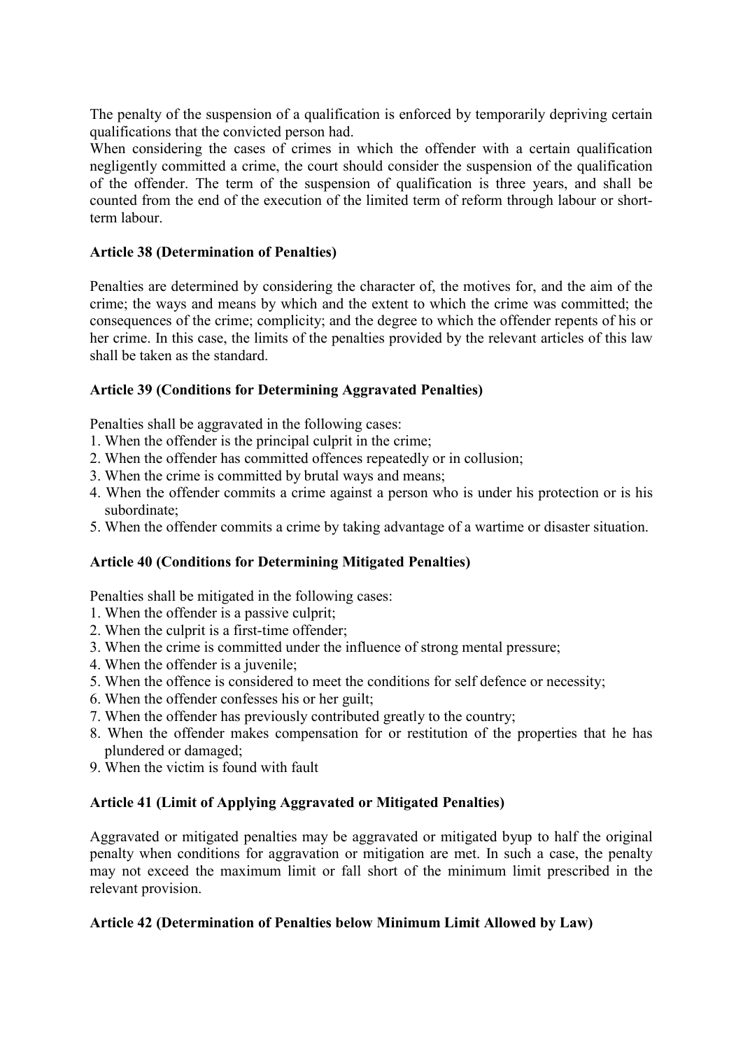The penalty of the suspension of a qualification is enforced by temporarily depriving certain qualifications that the convicted person had.

When considering the cases of crimes in which the offender with a certain qualification negligently committed a crime, the court should consider the suspension of the qualification of the offender. The term of the suspension of qualification is three years, and shall be counted from the end of the execution of the limited term of reform through labour or shortterm labour.

### **Article 38 (Determination of Penalties)**

Penalties are determined by considering the character of, the motives for, and the aim of the crime; the ways and means by which and the extent to which the crime was committed; the consequences of the crime; complicity; and the degree to which the offender repents of his or her crime. In this case, the limits of the penalties provided by the relevant articles of this law shall be taken as the standard.

### **Article 39 (Conditions for Determining Aggravated Penalties)**

Penalties shall be aggravated in the following cases:

- 1. When the offender is the principal culprit in the crime;
- 2. When the offender has committed offences repeatedly or in collusion;
- 3. When the crime is committed by brutal ways and means;
- 4. When the offender commits a crime against a person who is under his protection or is his subordinate;
- 5. When the offender commits a crime by taking advantage of a wartime or disaster situation.

### **Article 40 (Conditions for Determining Mitigated Penalties)**

Penalties shall be mitigated in the following cases:

- 1. When the offender is a passive culprit;
- 2. When the culprit is a first-time offender;
- 3. When the crime is committed under the influence of strong mental pressure;
- 4. When the offender is a juvenile;
- 5. When the offence is considered to meet the conditions for self defence or necessity;
- 6. When the offender confesses his or her guilt;
- 7. When the offender has previously contributed greatly to the country;
- 8. When the offender makes compensation for or restitution of the properties that he has plundered or damaged;
- 9. When the victim is found with fault

### **Article 41 (Limit of Applying Aggravated or Mitigated Penalties)**

Aggravated or mitigated penalties may be aggravated or mitigated byup to half the original penalty when conditions for aggravation or mitigation are met. In such a case, the penalty may not exceed the maximum limit or fall short of the minimum limit prescribed in the relevant provision.

### **Article 42 (Determination of Penalties below Minimum Limit Allowed by Law)**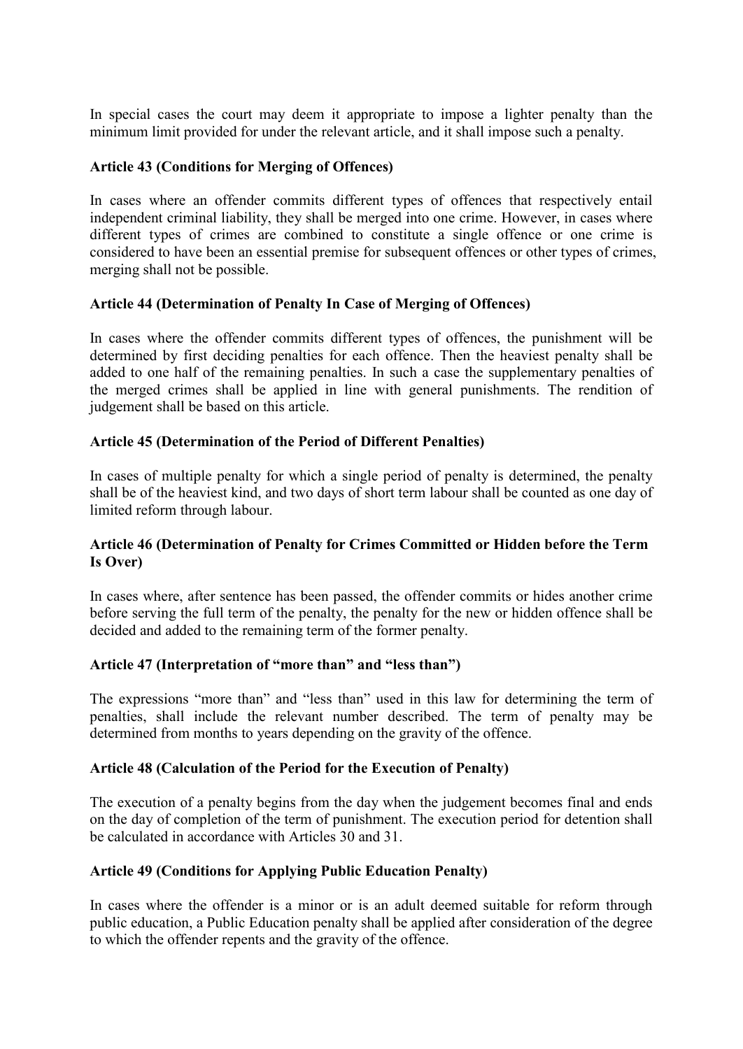In special cases the court may deem it appropriate to impose a lighter penalty than the minimum limit provided for under the relevant article, and it shall impose such a penalty.

#### **Article 43 (Conditions for Merging of Offences)**

In cases where an offender commits different types of offences that respectively entail independent criminal liability, they shall be merged into one crime. However, in cases where different types of crimes are combined to constitute a single offence or one crime is considered to have been an essential premise for subsequent offences or other types of crimes, merging shall not be possible.

### **Article 44 (Determination of Penalty In Case of Merging of Offences)**

In cases where the offender commits different types of offences, the punishment will be determined by first deciding penalties for each offence. Then the heaviest penalty shall be added to one half of the remaining penalties. In such a case the supplementary penalties of the merged crimes shall be applied in line with general punishments. The rendition of judgement shall be based on this article.

#### **Article 45 (Determination of the Period of Different Penalties)**

In cases of multiple penalty for which a single period of penalty is determined, the penalty shall be of the heaviest kind, and two days of short term labour shall be counted as one day of limited reform through labour.

#### **Article 46 (Determination of Penalty for Crimes Committed or Hidden before the Term Is Over)**

In cases where, after sentence has been passed, the offender commits or hides another crime before serving the full term of the penalty, the penalty for the new or hidden offence shall be decided and added to the remaining term of the former penalty.

#### **Article 47 (Interpretation of "more than" and "less than")**

The expressions "more than" and "less than" used in this law for determining the term of penalties, shall include the relevant number described. The term of penalty may be determined from months to years depending on the gravity of the offence.

#### **Article 48 (Calculation of the Period for the Execution of Penalty)**

The execution of a penalty begins from the day when the judgement becomes final and ends on the day of completion of the term of punishment. The execution period for detention shall be calculated in accordance with Articles 30 and 31.

### **Article 49 (Conditions for Applying Public Education Penalty)**

In cases where the offender is a minor or is an adult deemed suitable for reform through public education, a Public Education penalty shall be applied after consideration of the degree to which the offender repents and the gravity of the offence.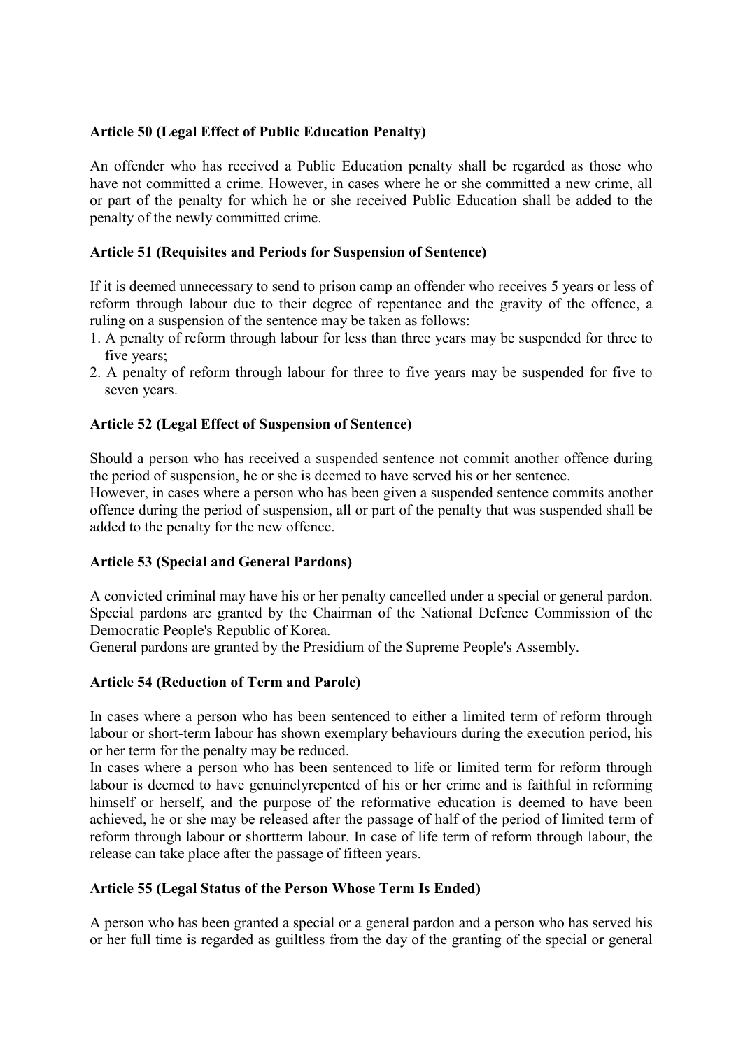#### **Article 50 (Legal Effect of Public Education Penalty)**

An offender who has received a Public Education penalty shall be regarded as those who have not committed a crime. However, in cases where he or she committed a new crime, all or part of the penalty for which he or she received Public Education shall be added to the penalty of the newly committed crime.

#### **Article 51 (Requisites and Periods for Suspension of Sentence)**

If it is deemed unnecessary to send to prison camp an offender who receives 5 years or less of reform through labour due to their degree of repentance and the gravity of the offence, a ruling on a suspension of the sentence may be taken as follows:

- 1. A penalty of reform through labour for less than three years may be suspended for three to five years;
- 2. A penalty of reform through labour for three to five years may be suspended for five to seven years.

#### **Article 52 (Legal Effect of Suspension of Sentence)**

Should a person who has received a suspended sentence not commit another offence during the period of suspension, he or she is deemed to have served his or her sentence.

However, in cases where a person who has been given a suspended sentence commits another offence during the period of suspension, all or part of the penalty that was suspended shall be added to the penalty for the new offence.

### **Article 53 (Special and General Pardons)**

A convicted criminal may have his or her penalty cancelled under a special or general pardon. Special pardons are granted by the Chairman of the National Defence Commission of the Democratic People's Republic of Korea.

General pardons are granted by the Presidium of the Supreme People's Assembly.

### **Article 54 (Reduction of Term and Parole)**

In cases where a person who has been sentenced to either a limited term of reform through labour or short-term labour has shown exemplary behaviours during the execution period, his or her term for the penalty may be reduced.

In cases where a person who has been sentenced to life or limited term for reform through labour is deemed to have genuinelyrepented of his or her crime and is faithful in reforming himself or herself, and the purpose of the reformative education is deemed to have been achieved, he or she may be released after the passage of half of the period of limited term of reform through labour or shortterm labour. In case of life term of reform through labour, the release can take place after the passage of fifteen years.

### **Article 55 (Legal Status of the Person Whose Term Is Ended)**

A person who has been granted a special or a general pardon and a person who has served his or her full time is regarded as guiltless from the day of the granting of the special or general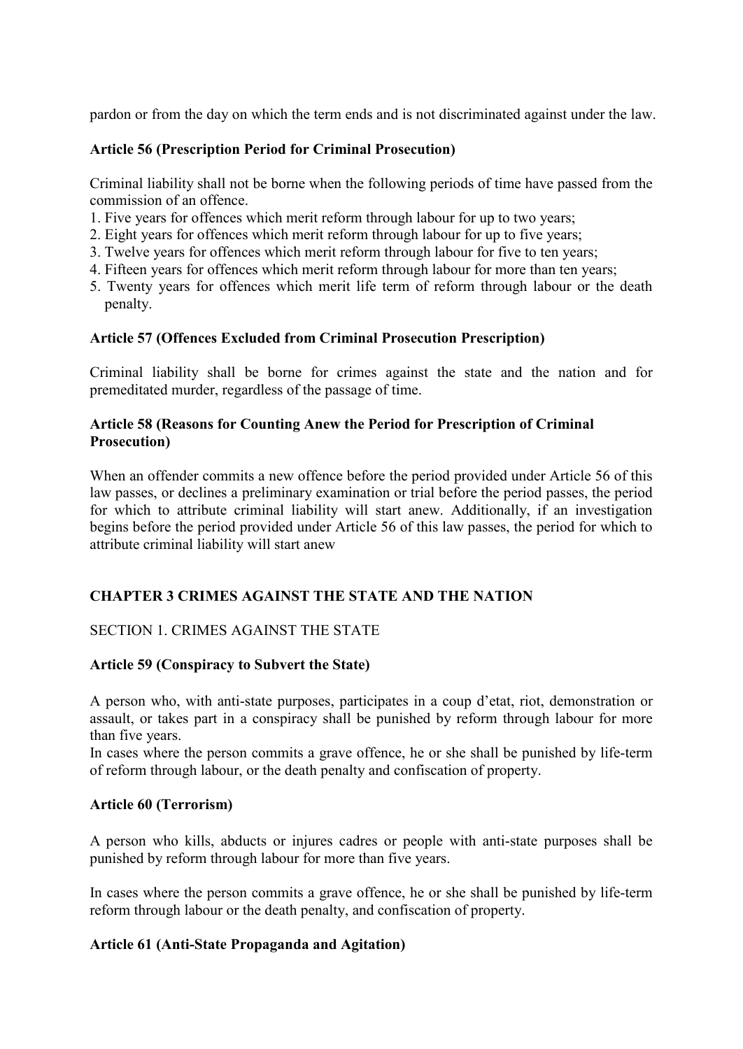pardon or from the day on which the term ends and is not discriminated against under the law.

#### **Article 56 (Prescription Period for Criminal Prosecution)**

Criminal liability shall not be borne when the following periods of time have passed from the commission of an offence.

- 1. Five years for offences which merit reform through labour for up to two years;
- 2. Eight years for offences which merit reform through labour for up to five years;
- 3. Twelve years for offences which merit reform through labour for five to ten years;
- 4. Fifteen years for offences which merit reform through labour for more than ten years;
- 5. Twenty years for offences which merit life term of reform through labour or the death penalty.

#### **Article 57 (Offences Excluded from Criminal Prosecution Prescription)**

Criminal liability shall be borne for crimes against the state and the nation and for premeditated murder, regardless of the passage of time.

#### **Article 58 (Reasons for Counting Anew the Period for Prescription of Criminal Prosecution)**

When an offender commits a new offence before the period provided under Article 56 of this law passes, or declines a preliminary examination or trial before the period passes, the period for which to attribute criminal liability will start anew. Additionally, if an investigation begins before the period provided under Article 56 of this law passes, the period for which to attribute criminal liability will start anew

### **CHAPTER 3 CRIMES AGAINST THE STATE AND THE NATION**

### SECTION 1. CRIMES AGAINST THE STATE

### **Article 59 (Conspiracy to Subvert the State)**

A person who, with anti-state purposes, participates in a coup d'etat, riot, demonstration or assault, or takes part in a conspiracy shall be punished by reform through labour for more than five years.

In cases where the person commits a grave offence, he or she shall be punished by life-term of reform through labour, or the death penalty and confiscation of property.

#### **Article 60 (Terrorism)**

A person who kills, abducts or injures cadres or people with anti-state purposes shall be punished by reform through labour for more than five years.

In cases where the person commits a grave offence, he or she shall be punished by life-term reform through labour or the death penalty, and confiscation of property.

#### **Article 61 (Anti-State Propaganda and Agitation)**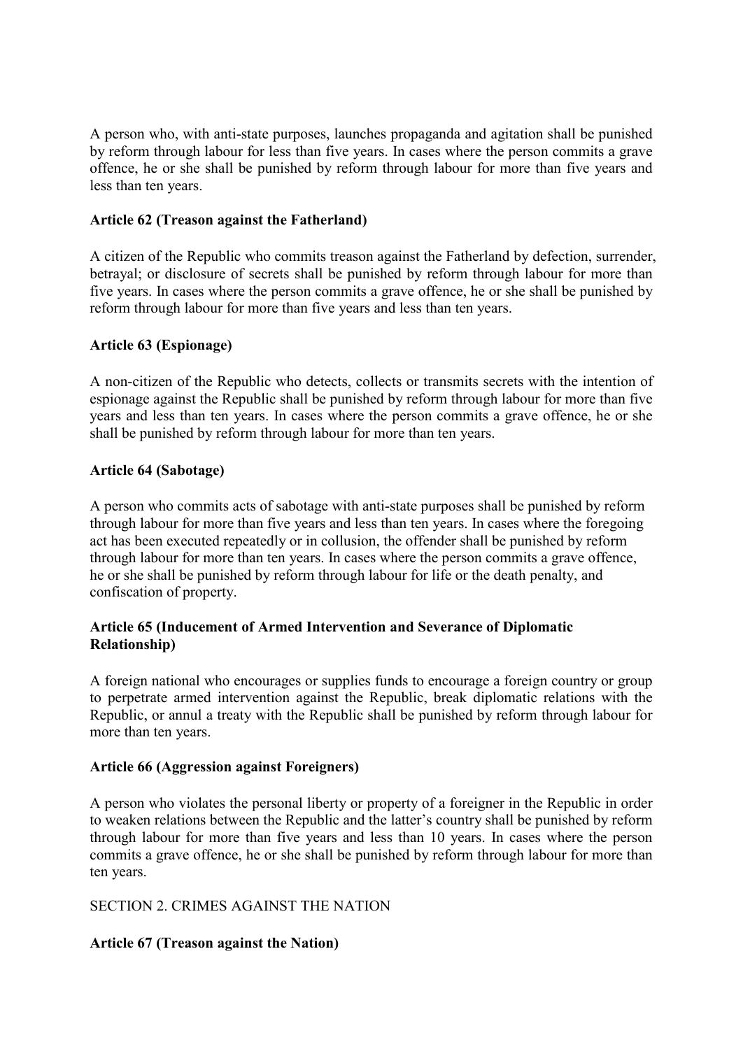A person who, with anti-state purposes, launches propaganda and agitation shall be punished by reform through labour for less than five years. In cases where the person commits a grave offence, he or she shall be punished by reform through labour for more than five years and less than ten years.

### **Article 62 (Treason against the Fatherland)**

A citizen of the Republic who commits treason against the Fatherland by defection, surrender, betrayal; or disclosure of secrets shall be punished by reform through labour for more than five years. In cases where the person commits a grave offence, he or she shall be punished by reform through labour for more than five years and less than ten years.

#### **Article 63 (Espionage)**

A non-citizen of the Republic who detects, collects or transmits secrets with the intention of espionage against the Republic shall be punished by reform through labour for more than five years and less than ten years. In cases where the person commits a grave offence, he or she shall be punished by reform through labour for more than ten years.

### **Article 64 (Sabotage)**

A person who commits acts of sabotage with anti-state purposes shall be punished by reform through labour for more than five years and less than ten years. In cases where the foregoing act has been executed repeatedly or in collusion, the offender shall be punished by reform through labour for more than ten years. In cases where the person commits a grave offence, he or she shall be punished by reform through labour for life or the death penalty, and confiscation of property.

#### **Article 65 (Inducement of Armed Intervention and Severance of Diplomatic Relationship)**

A foreign national who encourages or supplies funds to encourage a foreign country or group to perpetrate armed intervention against the Republic, break diplomatic relations with the Republic, or annul a treaty with the Republic shall be punished by reform through labour for more than ten years.

#### **Article 66 (Aggression against Foreigners)**

A person who violates the personal liberty or property of a foreigner in the Republic in order to weaken relations between the Republic and the latter's country shall be punished by reform through labour for more than five years and less than 10 years. In cases where the person commits a grave offence, he or she shall be punished by reform through labour for more than ten years.

#### SECTION 2. CRIMES AGAINST THE NATION

### **Article 67 (Treason against the Nation)**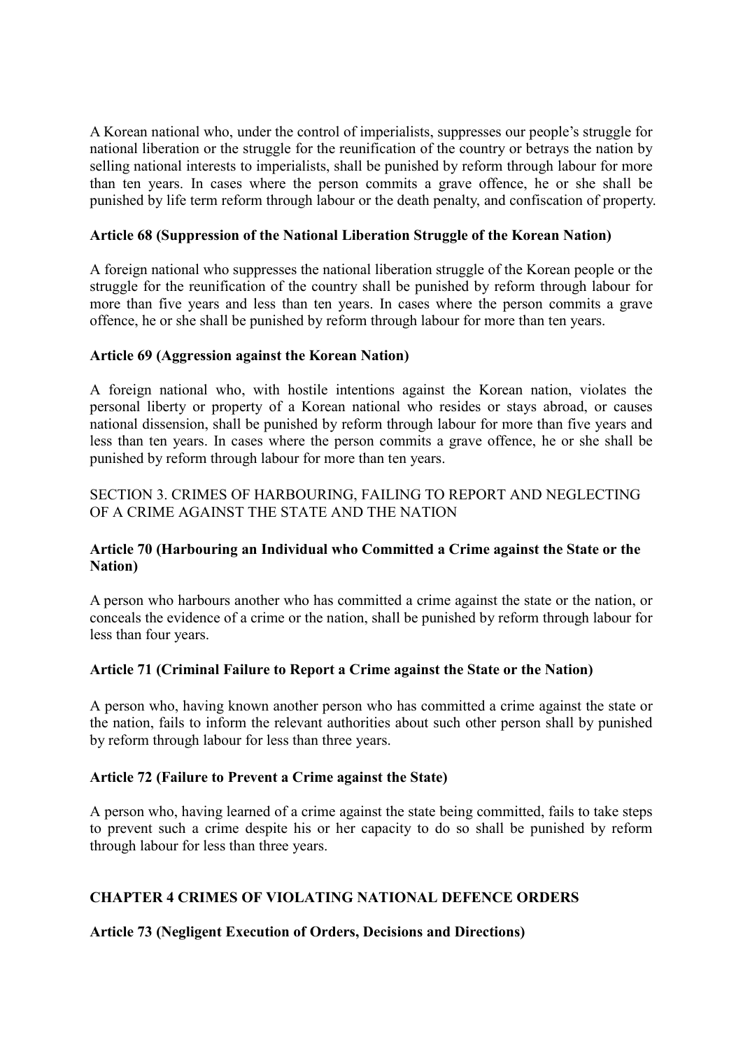A Korean national who, under the control of imperialists, suppresses our people's struggle for national liberation or the struggle for the reunification of the country or betrays the nation by selling national interests to imperialists, shall be punished by reform through labour for more than ten years. In cases where the person commits a grave offence, he or she shall be punished by life term reform through labour or the death penalty, and confiscation of property.

#### **Article 68 (Suppression of the National Liberation Struggle of the Korean Nation)**

A foreign national who suppresses the national liberation struggle of the Korean people or the struggle for the reunification of the country shall be punished by reform through labour for more than five years and less than ten years. In cases where the person commits a grave offence, he or she shall be punished by reform through labour for more than ten years.

#### **Article 69 (Aggression against the Korean Nation)**

A foreign national who, with hostile intentions against the Korean nation, violates the personal liberty or property of a Korean national who resides or stays abroad, or causes national dissension, shall be punished by reform through labour for more than five years and less than ten years. In cases where the person commits a grave offence, he or she shall be punished by reform through labour for more than ten years.

### SECTION 3. CRIMES OF HARBOURING, FAILING TO REPORT AND NEGLECTING OF A CRIME AGAINST THE STATE AND THE NATION

### **Article 70 (Harbouring an Individual who Committed a Crime against the State or the Nation)**

A person who harbours another who has committed a crime against the state or the nation, or conceals the evidence of a crime or the nation, shall be punished by reform through labour for less than four years.

### **Article 71 (Criminal Failure to Report a Crime against the State or the Nation)**

A person who, having known another person who has committed a crime against the state or the nation, fails to inform the relevant authorities about such other person shall by punished by reform through labour for less than three years.

#### **Article 72 (Failure to Prevent a Crime against the State)**

A person who, having learned of a crime against the state being committed, fails to take steps to prevent such a crime despite his or her capacity to do so shall be punished by reform through labour for less than three years.

### **CHAPTER 4 CRIMES OF VIOLATING NATIONAL DEFENCE ORDERS**

### **Article 73 (Negligent Execution of Orders, Decisions and Directions)**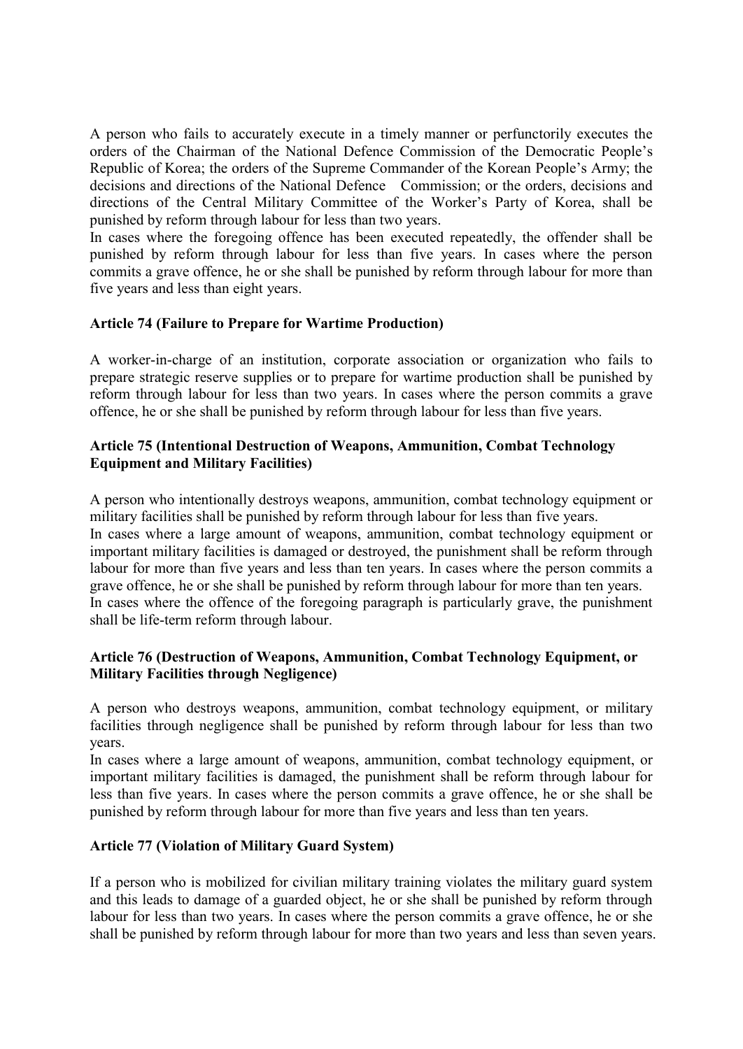A person who fails to accurately execute in a timely manner or perfunctorily executes the orders of the Chairman of the National Defence Commission of the Democratic People's Republic of Korea; the orders of the Supreme Commander of the Korean People's Army; the decisions and directions of the National Defence Commission; or the orders, decisions and directions of the Central Military Committee of the Worker's Party of Korea, shall be punished by reform through labour for less than two years.

In cases where the foregoing offence has been executed repeatedly, the offender shall be punished by reform through labour for less than five years. In cases where the person commits a grave offence, he or she shall be punished by reform through labour for more than five years and less than eight years.

### **Article 74 (Failure to Prepare for Wartime Production)**

A worker-in-charge of an institution, corporate association or organization who fails to prepare strategic reserve supplies or to prepare for wartime production shall be punished by reform through labour for less than two years. In cases where the person commits a grave offence, he or she shall be punished by reform through labour for less than five years.

### **Article 75 (Intentional Destruction of Weapons, Ammunition, Combat Technology Equipment and Military Facilities)**

A person who intentionally destroys weapons, ammunition, combat technology equipment or military facilities shall be punished by reform through labour for less than five years. In cases where a large amount of weapons, ammunition, combat technology equipment or important military facilities is damaged or destroyed, the punishment shall be reform through labour for more than five years and less than ten years. In cases where the person commits a grave offence, he or she shall be punished by reform through labour for more than ten years. In cases where the offence of the foregoing paragraph is particularly grave, the punishment shall be life-term reform through labour.

#### **Article 76 (Destruction of Weapons, Ammunition, Combat Technology Equipment, or Military Facilities through Negligence)**

A person who destroys weapons, ammunition, combat technology equipment, or military facilities through negligence shall be punished by reform through labour for less than two years.

In cases where a large amount of weapons, ammunition, combat technology equipment, or important military facilities is damaged, the punishment shall be reform through labour for less than five years. In cases where the person commits a grave offence, he or she shall be punished by reform through labour for more than five years and less than ten years.

#### **Article 77 (Violation of Military Guard System)**

If a person who is mobilized for civilian military training violates the military guard system and this leads to damage of a guarded object, he or she shall be punished by reform through labour for less than two years. In cases where the person commits a grave offence, he or she shall be punished by reform through labour for more than two years and less than seven years.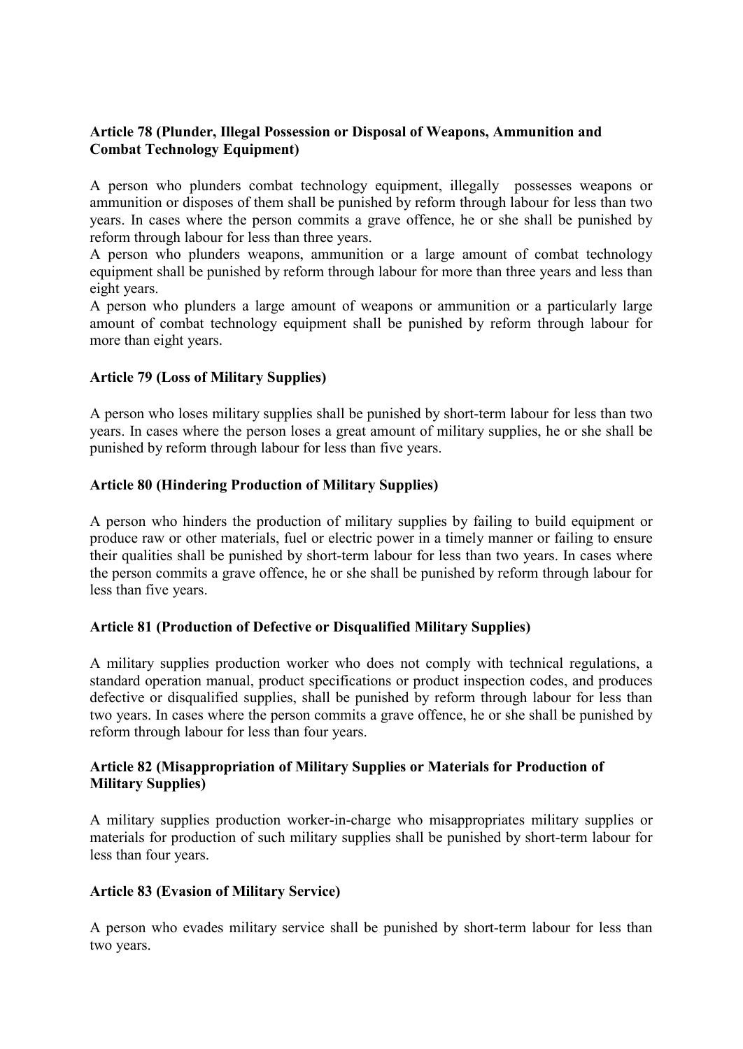# **Article 78 (Plunder, Illegal Possession or Disposal of Weapons, Ammunition and Combat Technology Equipment)**

A person who plunders combat technology equipment, illegally possesses weapons or ammunition or disposes of them shall be punished by reform through labour for less than two years. In cases where the person commits a grave offence, he or she shall be punished by reform through labour for less than three years.

A person who plunders weapons, ammunition or a large amount of combat technology equipment shall be punished by reform through labour for more than three years and less than eight years.

A person who plunders a large amount of weapons or ammunition or a particularly large amount of combat technology equipment shall be punished by reform through labour for more than eight years.

#### **Article 79 (Loss of Military Supplies)**

A person who loses military supplies shall be punished by short-term labour for less than two years. In cases where the person loses a great amount of military supplies, he or she shall be punished by reform through labour for less than five years.

#### **Article 80 (Hindering Production of Military Supplies)**

A person who hinders the production of military supplies by failing to build equipment or produce raw or other materials, fuel or electric power in a timely manner or failing to ensure their qualities shall be punished by short-term labour for less than two years. In cases where the person commits a grave offence, he or she shall be punished by reform through labour for less than five years.

### **Article 81 (Production of Defective or Disqualified Military Supplies)**

A military supplies production worker who does not comply with technical regulations, a standard operation manual, product specifications or product inspection codes, and produces defective or disqualified supplies, shall be punished by reform through labour for less than two years. In cases where the person commits a grave offence, he or she shall be punished by reform through labour for less than four years.

#### **Article 82 (Misappropriation of Military Supplies or Materials for Production of Military Supplies)**

A military supplies production worker-in-charge who misappropriates military supplies or materials for production of such military supplies shall be punished by short-term labour for less than four years.

#### **Article 83 (Evasion of Military Service)**

A person who evades military service shall be punished by short-term labour for less than two years.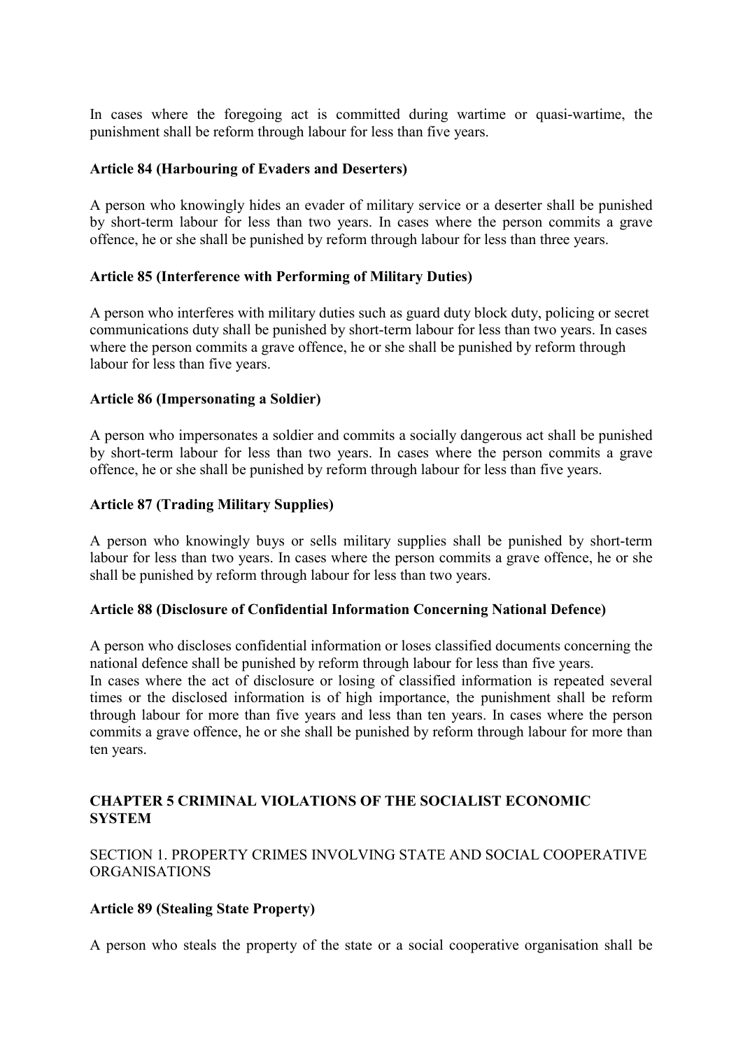In cases where the foregoing act is committed during wartime or quasi-wartime, the punishment shall be reform through labour for less than five years.

#### **Article 84 (Harbouring of Evaders and Deserters)**

A person who knowingly hides an evader of military service or a deserter shall be punished by short-term labour for less than two years. In cases where the person commits a grave offence, he or she shall be punished by reform through labour for less than three years.

#### **Article 85 (Interference with Performing of Military Duties)**

A person who interferes with military duties such as guard duty block duty, policing or secret communications duty shall be punished by short-term labour for less than two years. In cases where the person commits a grave offence, he or she shall be punished by reform through labour for less than five years.

#### **Article 86 (Impersonating a Soldier)**

A person who impersonates a soldier and commits a socially dangerous act shall be punished by short-term labour for less than two years. In cases where the person commits a grave offence, he or she shall be punished by reform through labour for less than five years.

#### **Article 87 (Trading Military Supplies)**

A person who knowingly buys or sells military supplies shall be punished by short-term labour for less than two years. In cases where the person commits a grave offence, he or she shall be punished by reform through labour for less than two years.

#### **Article 88 (Disclosure of Confidential Information Concerning National Defence)**

A person who discloses confidential information or loses classified documents concerning the national defence shall be punished by reform through labour for less than five years. In cases where the act of disclosure or losing of classified information is repeated several times or the disclosed information is of high importance, the punishment shall be reform

through labour for more than five years and less than ten years. In cases where the person commits a grave offence, he or she shall be punished by reform through labour for more than ten years.

### **CHAPTER 5 CRIMINAL VIOLATIONS OF THE SOCIALIST ECONOMIC SYSTEM**

SECTION 1. PROPERTY CRIMES INVOLVING STATE AND SOCIAL COOPERATIVE ORGANISATIONS

#### **Article 89 (Stealing State Property)**

A person who steals the property of the state or a social cooperative organisation shall be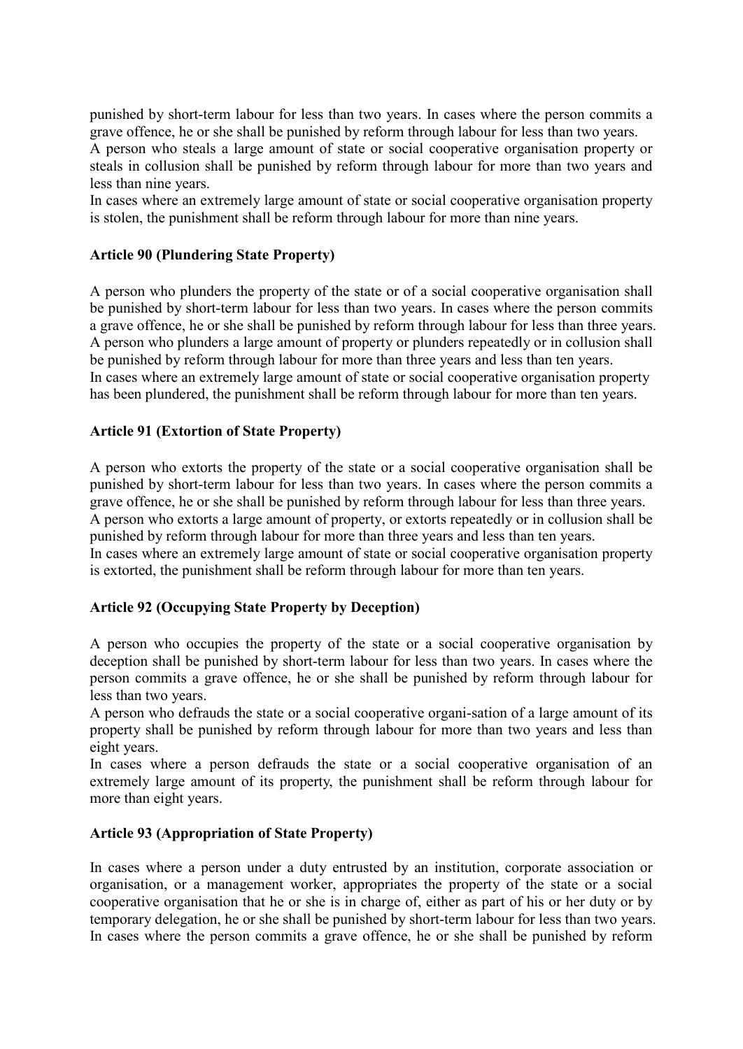punished by short-term labour for less than two years. In cases where the person commits a grave offence, he or she shall be punished by reform through labour for less than two years. A person who steals a large amount of state or social cooperative organisation property or steals in collusion shall be punished by reform through labour for more than two years and less than nine years.

In cases where an extremely large amount of state or social cooperative organisation property is stolen, the punishment shall be reform through labour for more than nine years.

#### **Article 90 (Plundering State Property)**

A person who plunders the property of the state or of a social cooperative organisation shall be punished by short-term labour for less than two years. In cases where the person commits a grave offence, he or she shall be punished by reform through labour for less than three years. A person who plunders a large amount of property or plunders repeatedly or in collusion shall be punished by reform through labour for more than three years and less than ten years. In cases where an extremely large amount of state or social cooperative organisation property has been plundered, the punishment shall be reform through labour for more than ten years.

#### **Article 91 (Extortion of State Property)**

A person who extorts the property of the state or a social cooperative organisation shall be punished by short-term labour for less than two years. In cases where the person commits a grave offence, he or she shall be punished by reform through labour for less than three years. A person who extorts a large amount of property, or extorts repeatedly or in collusion shall be punished by reform through labour for more than three years and less than ten years. In cases where an extremely large amount of state or social cooperative organisation property is extorted, the punishment shall be reform through labour for more than ten years.

# **Article 92 (Occupying State Property by Deception)**

A person who occupies the property of the state or a social cooperative organisation by deception shall be punished by short-term labour for less than two years. In cases where the person commits a grave offence, he or she shall be punished by reform through labour for less than two years.

A person who defrauds the state or a social cooperative organi-sation of a large amount of its property shall be punished by reform through labour for more than two years and less than eight years.

In cases where a person defrauds the state or a social cooperative organisation of an extremely large amount of its property, the punishment shall be reform through labour for more than eight years.

#### **Article 93 (Appropriation of State Property)**

In cases where a person under a duty entrusted by an institution, corporate association or organisation, or a management worker, appropriates the property of the state or a social cooperative organisation that he or she is in charge of, either as part of his or her duty or by temporary delegation, he or she shall be punished by short-term labour for less than two years. In cases where the person commits a grave offence, he or she shall be punished by reform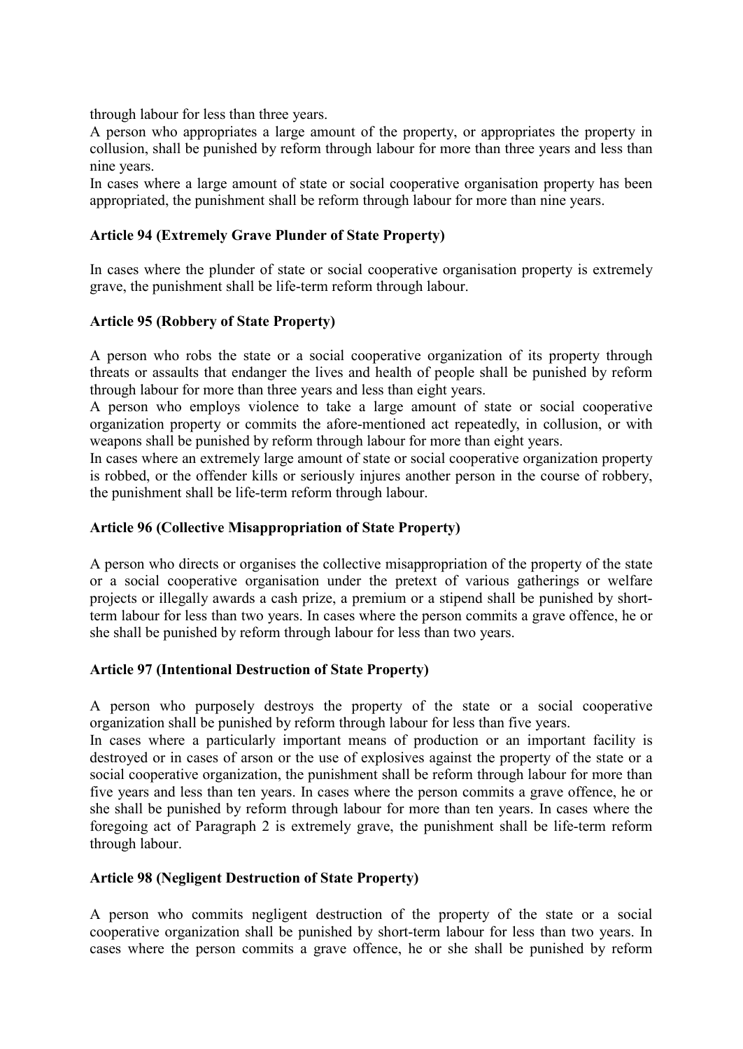through labour for less than three years.

A person who appropriates a large amount of the property, or appropriates the property in collusion, shall be punished by reform through labour for more than three years and less than nine years.

In cases where a large amount of state or social cooperative organisation property has been appropriated, the punishment shall be reform through labour for more than nine years.

#### **Article 94 (Extremely Grave Plunder of State Property)**

In cases where the plunder of state or social cooperative organisation property is extremely grave, the punishment shall be life-term reform through labour.

### **Article 95 (Robbery of State Property)**

A person who robs the state or a social cooperative organization of its property through threats or assaults that endanger the lives and health of people shall be punished by reform through labour for more than three years and less than eight years.

A person who employs violence to take a large amount of state or social cooperative organization property or commits the afore-mentioned act repeatedly, in collusion, or with weapons shall be punished by reform through labour for more than eight years.

In cases where an extremely large amount of state or social cooperative organization property is robbed, or the offender kills or seriously injures another person in the course of robbery, the punishment shall be life-term reform through labour.

#### **Article 96 (Collective Misappropriation of State Property)**

A person who directs or organises the collective misappropriation of the property of the state or a social cooperative organisation under the pretext of various gatherings or welfare projects or illegally awards a cash prize, a premium or a stipend shall be punished by shortterm labour for less than two years. In cases where the person commits a grave offence, he or she shall be punished by reform through labour for less than two years.

### **Article 97 (Intentional Destruction of State Property)**

A person who purposely destroys the property of the state or a social cooperative organization shall be punished by reform through labour for less than five years.

In cases where a particularly important means of production or an important facility is destroyed or in cases of arson or the use of explosives against the property of the state or a social cooperative organization, the punishment shall be reform through labour for more than five years and less than ten years. In cases where the person commits a grave offence, he or she shall be punished by reform through labour for more than ten years. In cases where the foregoing act of Paragraph 2 is extremely grave, the punishment shall be life-term reform through labour.

#### **Article 98 (Negligent Destruction of State Property)**

A person who commits negligent destruction of the property of the state or a social cooperative organization shall be punished by short-term labour for less than two years. In cases where the person commits a grave offence, he or she shall be punished by reform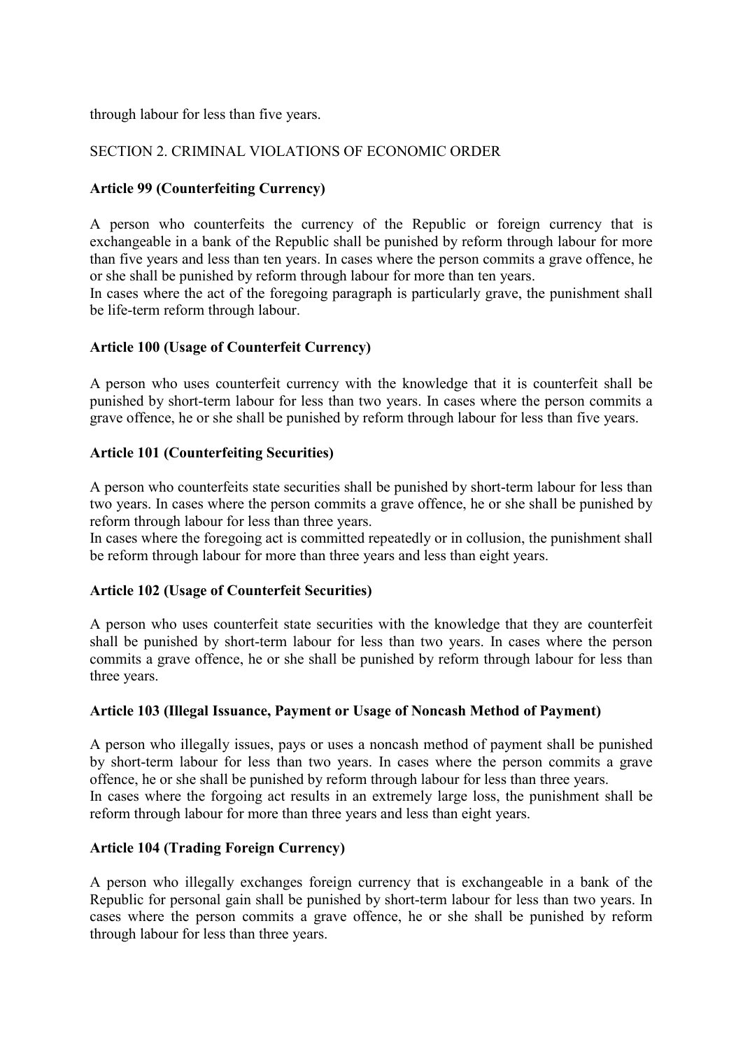through labour for less than five years.

#### SECTION 2. CRIMINAL VIOLATIONS OF ECONOMIC ORDER

#### **Article 99 (Counterfeiting Currency)**

A person who counterfeits the currency of the Republic or foreign currency that is exchangeable in a bank of the Republic shall be punished by reform through labour for more than five years and less than ten years. In cases where the person commits a grave offence, he or she shall be punished by reform through labour for more than ten years.

In cases where the act of the foregoing paragraph is particularly grave, the punishment shall be life-term reform through labour.

#### **Article 100 (Usage of Counterfeit Currency)**

A person who uses counterfeit currency with the knowledge that it is counterfeit shall be punished by short-term labour for less than two years. In cases where the person commits a grave offence, he or she shall be punished by reform through labour for less than five years.

#### **Article 101 (Counterfeiting Securities)**

A person who counterfeits state securities shall be punished by short-term labour for less than two years. In cases where the person commits a grave offence, he or she shall be punished by reform through labour for less than three years.

In cases where the foregoing act is committed repeatedly or in collusion, the punishment shall be reform through labour for more than three years and less than eight years.

#### **Article 102 (Usage of Counterfeit Securities)**

A person who uses counterfeit state securities with the knowledge that they are counterfeit shall be punished by short-term labour for less than two years. In cases where the person commits a grave offence, he or she shall be punished by reform through labour for less than three years.

### **Article 103 (Illegal Issuance, Payment or Usage of Noncash Method of Payment)**

A person who illegally issues, pays or uses a noncash method of payment shall be punished by short-term labour for less than two years. In cases where the person commits a grave offence, he or she shall be punished by reform through labour for less than three years. In cases where the forgoing act results in an extremely large loss, the punishment shall be reform through labour for more than three years and less than eight years.

### **Article 104 (Trading Foreign Currency)**

A person who illegally exchanges foreign currency that is exchangeable in a bank of the Republic for personal gain shall be punished by short-term labour for less than two years. In cases where the person commits a grave offence, he or she shall be punished by reform through labour for less than three years.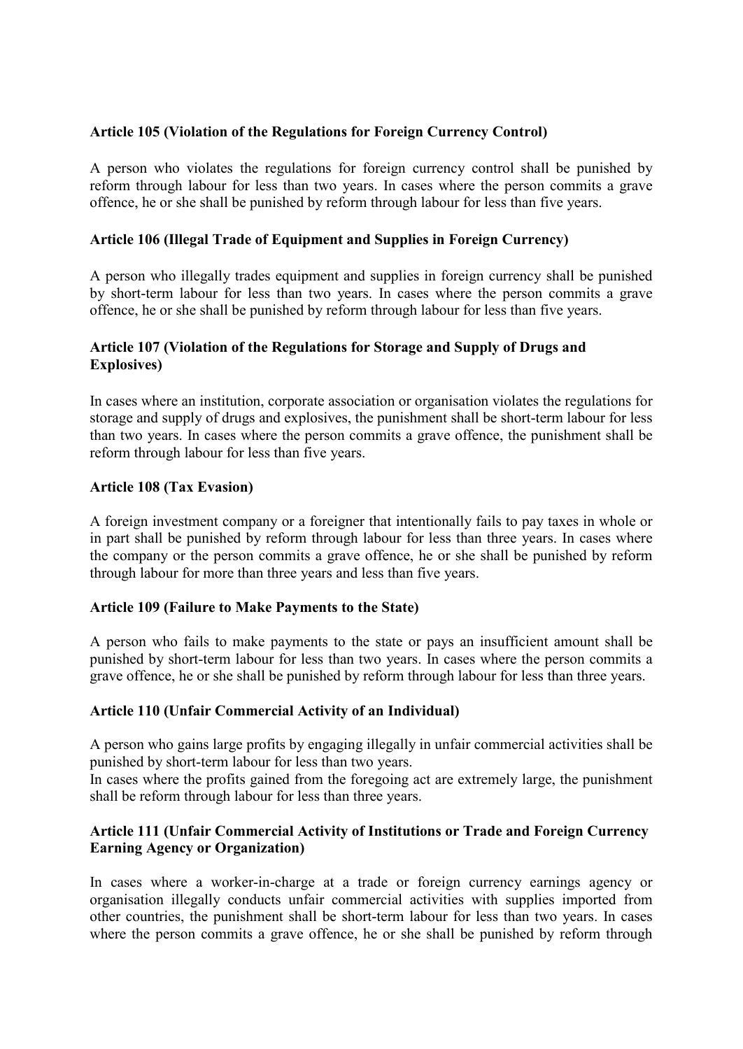#### **Article 105 (Violation of the Regulations for Foreign Currency Control)**

A person who violates the regulations for foreign currency control shall be punished by reform through labour for less than two years. In cases where the person commits a grave offence, he or she shall be punished by reform through labour for less than five years.

#### **Article 106 (Illegal Trade of Equipment and Supplies in Foreign Currency)**

A person who illegally trades equipment and supplies in foreign currency shall be punished by short-term labour for less than two years. In cases where the person commits a grave offence, he or she shall be punished by reform through labour for less than five years.

#### **Article 107 (Violation of the Regulations for Storage and Supply of Drugs and Explosives)**

In cases where an institution, corporate association or organisation violates the regulations for storage and supply of drugs and explosives, the punishment shall be short-term labour for less than two years. In cases where the person commits a grave offence, the punishment shall be reform through labour for less than five years.

#### **Article 108 (Tax Evasion)**

A foreign investment company or a foreigner that intentionally fails to pay taxes in whole or in part shall be punished by reform through labour for less than three years. In cases where the company or the person commits a grave offence, he or she shall be punished by reform through labour for more than three years and less than five years.

#### **Article 109 (Failure to Make Payments to the State)**

A person who fails to make payments to the state or pays an insufficient amount shall be punished by short-term labour for less than two years. In cases where the person commits a grave offence, he or she shall be punished by reform through labour for less than three years.

### **Article 110 (Unfair Commercial Activity of an Individual)**

A person who gains large profits by engaging illegally in unfair commercial activities shall be punished by short-term labour for less than two years.

In cases where the profits gained from the foregoing act are extremely large, the punishment shall be reform through labour for less than three years.

### **Article 111 (Unfair Commercial Activity of Institutions or Trade and Foreign Currency Earning Agency or Organization)**

In cases where a worker-in-charge at a trade or foreign currency earnings agency or organisation illegally conducts unfair commercial activities with supplies imported from other countries, the punishment shall be short-term labour for less than two years. In cases where the person commits a grave offence, he or she shall be punished by reform through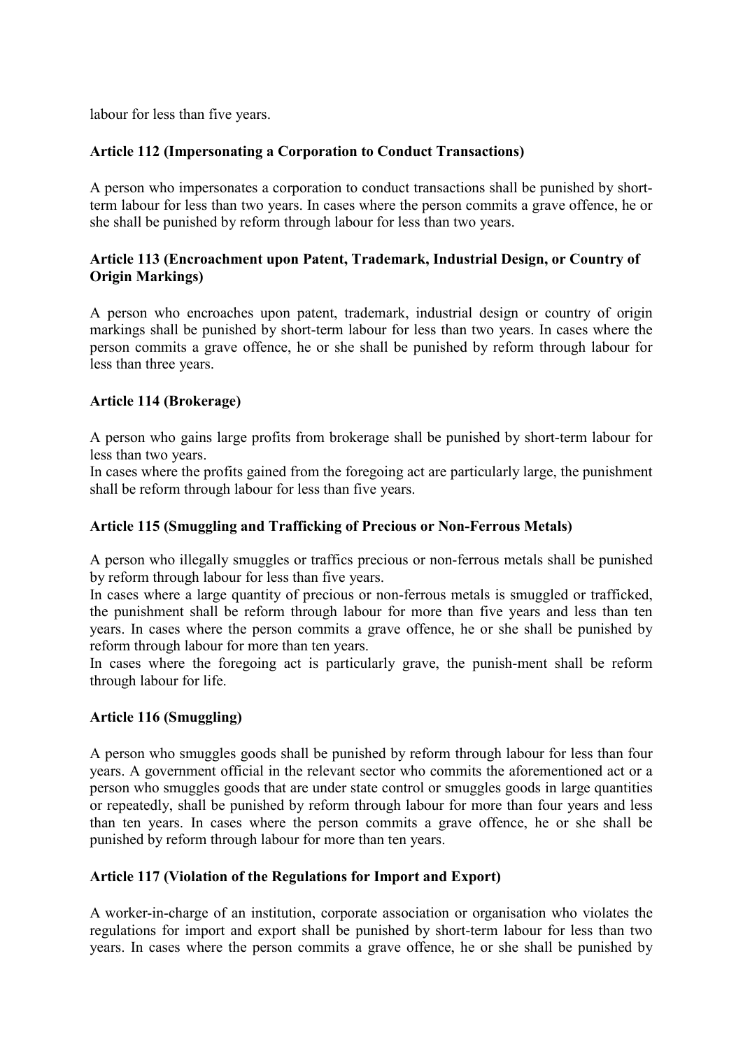labour for less than five years.

### **Article 112 (Impersonating a Corporation to Conduct Transactions)**

A person who impersonates a corporation to conduct transactions shall be punished by shortterm labour for less than two years. In cases where the person commits a grave offence, he or she shall be punished by reform through labour for less than two years.

# **Article 113 (Encroachment upon Patent, Trademark, Industrial Design, or Country of Origin Markings)**

A person who encroaches upon patent, trademark, industrial design or country of origin markings shall be punished by short-term labour for less than two years. In cases where the person commits a grave offence, he or she shall be punished by reform through labour for less than three years.

### **Article 114 (Brokerage)**

A person who gains large profits from brokerage shall be punished by short-term labour for less than two years.

In cases where the profits gained from the foregoing act are particularly large, the punishment shall be reform through labour for less than five years.

#### **Article 115 (Smuggling and Trafficking of Precious or Non-Ferrous Metals)**

A person who illegally smuggles or traffics precious or non-ferrous metals shall be punished by reform through labour for less than five years.

In cases where a large quantity of precious or non-ferrous metals is smuggled or trafficked, the punishment shall be reform through labour for more than five years and less than ten years. In cases where the person commits a grave offence, he or she shall be punished by reform through labour for more than ten years.

In cases where the foregoing act is particularly grave, the punish-ment shall be reform through labour for life.

#### **Article 116 (Smuggling)**

A person who smuggles goods shall be punished by reform through labour for less than four years. A government official in the relevant sector who commits the aforementioned act or a person who smuggles goods that are under state control or smuggles goods in large quantities or repeatedly, shall be punished by reform through labour for more than four years and less than ten years. In cases where the person commits a grave offence, he or she shall be punished by reform through labour for more than ten years.

#### **Article 117 (Violation of the Regulations for Import and Export)**

A worker-in-charge of an institution, corporate association or organisation who violates the regulations for import and export shall be punished by short-term labour for less than two years. In cases where the person commits a grave offence, he or she shall be punished by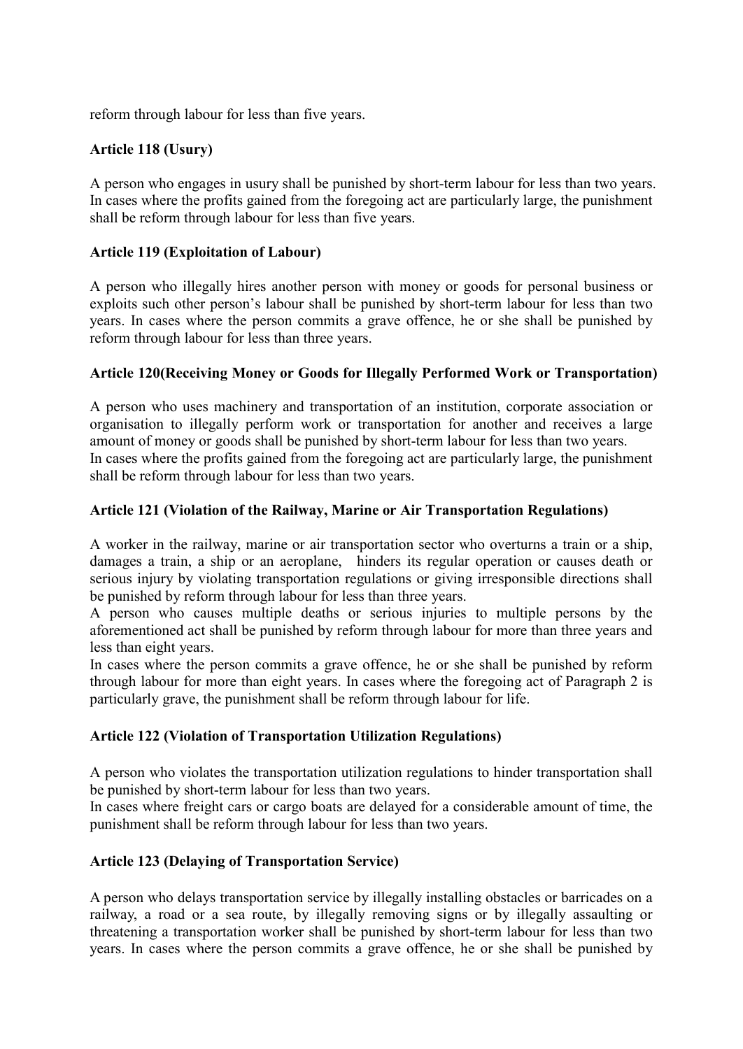reform through labour for less than five years.

# **Article 118 (Usury)**

A person who engages in usury shall be punished by short-term labour for less than two years. In cases where the profits gained from the foregoing act are particularly large, the punishment shall be reform through labour for less than five years.

#### **Article 119 (Exploitation of Labour)**

A person who illegally hires another person with money or goods for personal business or exploits such other person's labour shall be punished by short-term labour for less than two years. In cases where the person commits a grave offence, he or she shall be punished by reform through labour for less than three years.

#### **Article 120(Receiving Money or Goods for Illegally Performed Work or Transportation)**

A person who uses machinery and transportation of an institution, corporate association or organisation to illegally perform work or transportation for another and receives a large amount of money or goods shall be punished by short-term labour for less than two years. In cases where the profits gained from the foregoing act are particularly large, the punishment shall be reform through labour for less than two years.

#### **Article 121 (Violation of the Railway, Marine or Air Transportation Regulations)**

A worker in the railway, marine or air transportation sector who overturns a train or a ship, damages a train, a ship or an aeroplane, hinders its regular operation or causes death or serious injury by violating transportation regulations or giving irresponsible directions shall be punished by reform through labour for less than three years.

A person who causes multiple deaths or serious injuries to multiple persons by the aforementioned act shall be punished by reform through labour for more than three years and less than eight years.

In cases where the person commits a grave offence, he or she shall be punished by reform through labour for more than eight years. In cases where the foregoing act of Paragraph 2 is particularly grave, the punishment shall be reform through labour for life.

#### **Article 122 (Violation of Transportation Utilization Regulations)**

A person who violates the transportation utilization regulations to hinder transportation shall be punished by short-term labour for less than two years.

In cases where freight cars or cargo boats are delayed for a considerable amount of time, the punishment shall be reform through labour for less than two years.

### **Article 123 (Delaying of Transportation Service)**

A person who delays transportation service by illegally installing obstacles or barricades on a railway, a road or a sea route, by illegally removing signs or by illegally assaulting or threatening a transportation worker shall be punished by short-term labour for less than two years. In cases where the person commits a grave offence, he or she shall be punished by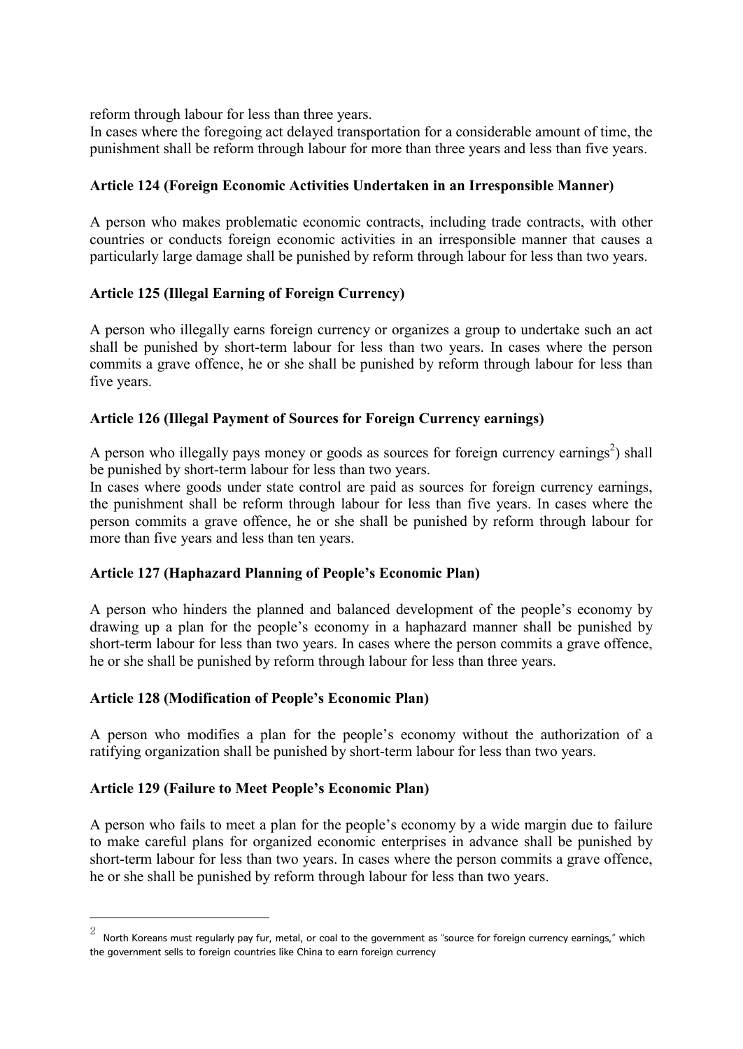reform through labour for less than three years.

In cases where the foregoing act delayed transportation for a considerable amount of time, the punishment shall be reform through labour for more than three years and less than five years.

# **Article 124 (Foreign Economic Activities Undertaken in an Irresponsible Manner)**

A person who makes problematic economic contracts, including trade contracts, with other countries or conducts foreign economic activities in an irresponsible manner that causes a particularly large damage shall be punished by reform through labour for less than two years.

### **Article 125 (Illegal Earning of Foreign Currency)**

A person who illegally earns foreign currency or organizes a group to undertake such an act shall be punished by short-term labour for less than two years. In cases where the person commits a grave offence, he or she shall be punished by reform through labour for less than five years.

### **Article 126 (Illegal Payment of Sources for Foreign Currency earnings)**

A person who illegally pays money or goods as sources for foreign currency earnings<sup>2</sup>) shall be punished by short-term labour for less than two years.

In cases where goods under state control are paid as sources for foreign currency earnings, the punishment shall be reform through labour for less than five years. In cases where the person commits a grave offence, he or she shall be punished by reform through labour for more than five years and less than ten years.

### **Article 127 (Haphazard Planning of People's Economic Plan)**

A person who hinders the planned and balanced development of the people's economy by drawing up a plan for the people's economy in a haphazard manner shall be punished by short-term labour for less than two years. In cases where the person commits a grave offence, he or she shall be punished by reform through labour for less than three years.

### **Article 128 (Modification of People's Economic Plan)**

A person who modifies a plan for the people's economy without the authorization of a ratifying organization shall be punished by short-term labour for less than two years.

### **Article 129 (Failure to Meet People's Economic Plan)**

-

A person who fails to meet a plan for the people's economy by a wide margin due to failure to make careful plans for organized economic enterprises in advance shall be punished by short-term labour for less than two years. In cases where the person commits a grave offence, he or she shall be punished by reform through labour for less than two years.

 $^2$  North Koreans must regularly pay fur, metal, or coal to the government as "source for foreign currency earnings," which the government sells to foreign countries like China to earn foreign currency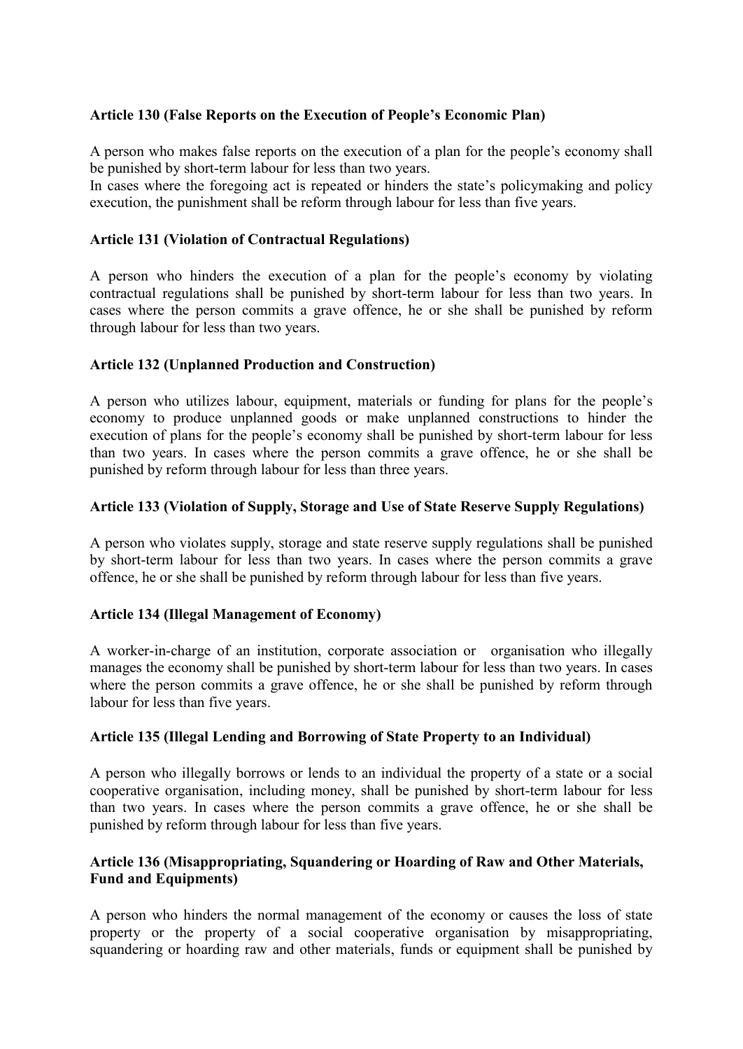#### **Article 130 (False Reports on the Execution of People's Economic Plan)**

A person who makes false reports on the execution of a plan for the people's economy shall be punished by short-term labour for less than two years.

In cases where the foregoing act is repeated or hinders the state's policymaking and policy execution, the punishment shall be reform through labour for less than five years.

#### **Article 131 (Violation of Contractual Regulations)**

A person who hinders the execution of a plan for the people's economy by violating contractual regulations shall be punished by short-term labour for less than two years. In cases where the person commits a grave offence, he or she shall be punished by reform through labour for less than two years.

#### **Article 132 (Unplanned Production and Construction)**

A person who utilizes labour, equipment, materials or funding for plans for the people's economy to produce unplanned goods or make unplanned constructions to hinder the execution of plans for the people's economy shall be punished by short-term labour for less than two years. In cases where the person commits a grave offence, he or she shall be punished by reform through labour for less than three years.

#### **Article 133 (Violation of Supply, Storage and Use of State Reserve Supply Regulations)**

A person who violates supply, storage and state reserve supply regulations shall be punished by short-term labour for less than two years. In cases where the person commits a grave offence, he or she shall be punished by reform through labour for less than five years.

#### **Article 134 (Illegal Management of Economy)**

A worker-in-charge of an institution, corporate association or organisation who illegally manages the economy shall be punished by short-term labour for less than two years. In cases where the person commits a grave offence, he or she shall be punished by reform through labour for less than five years.

### **Article 135 (Illegal Lending and Borrowing of State Property to an Individual)**

A person who illegally borrows or lends to an individual the property of a state or a social cooperative organisation, including money, shall be punished by short-term labour for less than two years. In cases where the person commits a grave offence, he or she shall be punished by reform through labour for less than five years.

#### **Article 136 (Misappropriating, Squandering or Hoarding of Raw and Other Materials, Fund and Equipments)**

A person who hinders the normal management of the economy or causes the loss of state property or the property of a social cooperative organisation by misappropriating, squandering or hoarding raw and other materials, funds or equipment shall be punished by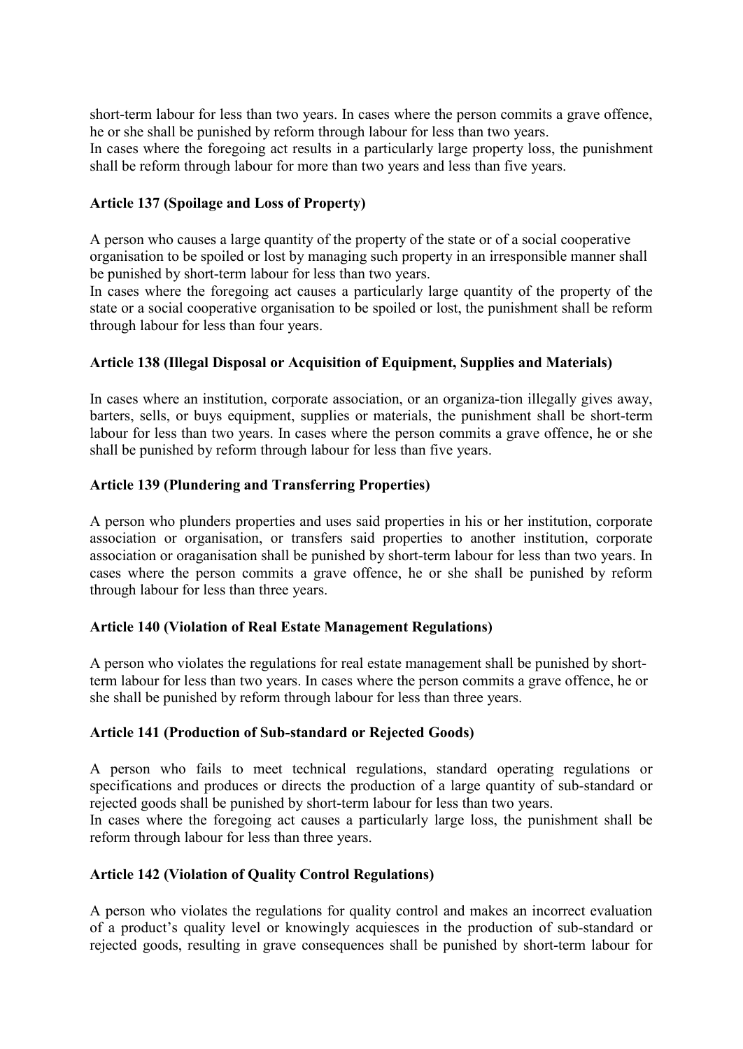short-term labour for less than two years. In cases where the person commits a grave offence, he or she shall be punished by reform through labour for less than two years. In cases where the foregoing act results in a particularly large property loss, the punishment shall be reform through labour for more than two years and less than five years.

### **Article 137 (Spoilage and Loss of Property)**

A person who causes a large quantity of the property of the state or of a social cooperative organisation to be spoiled or lost by managing such property in an irresponsible manner shall be punished by short-term labour for less than two years.

In cases where the foregoing act causes a particularly large quantity of the property of the state or a social cooperative organisation to be spoiled or lost, the punishment shall be reform through labour for less than four years.

#### **Article 138 (Illegal Disposal or Acquisition of Equipment, Supplies and Materials)**

In cases where an institution, corporate association, or an organiza-tion illegally gives away, barters, sells, or buys equipment, supplies or materials, the punishment shall be short-term labour for less than two years. In cases where the person commits a grave offence, he or she shall be punished by reform through labour for less than five years.

#### **Article 139 (Plundering and Transferring Properties)**

A person who plunders properties and uses said properties in his or her institution, corporate association or organisation, or transfers said properties to another institution, corporate association or oraganisation shall be punished by short-term labour for less than two years. In cases where the person commits a grave offence, he or she shall be punished by reform through labour for less than three years.

#### **Article 140 (Violation of Real Estate Management Regulations)**

A person who violates the regulations for real estate management shall be punished by shortterm labour for less than two years. In cases where the person commits a grave offence, he or she shall be punished by reform through labour for less than three years.

#### **Article 141 (Production of Sub-standard or Rejected Goods)**

A person who fails to meet technical regulations, standard operating regulations or specifications and produces or directs the production of a large quantity of sub-standard or rejected goods shall be punished by short-term labour for less than two years.

In cases where the foregoing act causes a particularly large loss, the punishment shall be reform through labour for less than three years.

#### **Article 142 (Violation of Quality Control Regulations)**

A person who violates the regulations for quality control and makes an incorrect evaluation of a product's quality level or knowingly acquiesces in the production of sub-standard or rejected goods, resulting in grave consequences shall be punished by short-term labour for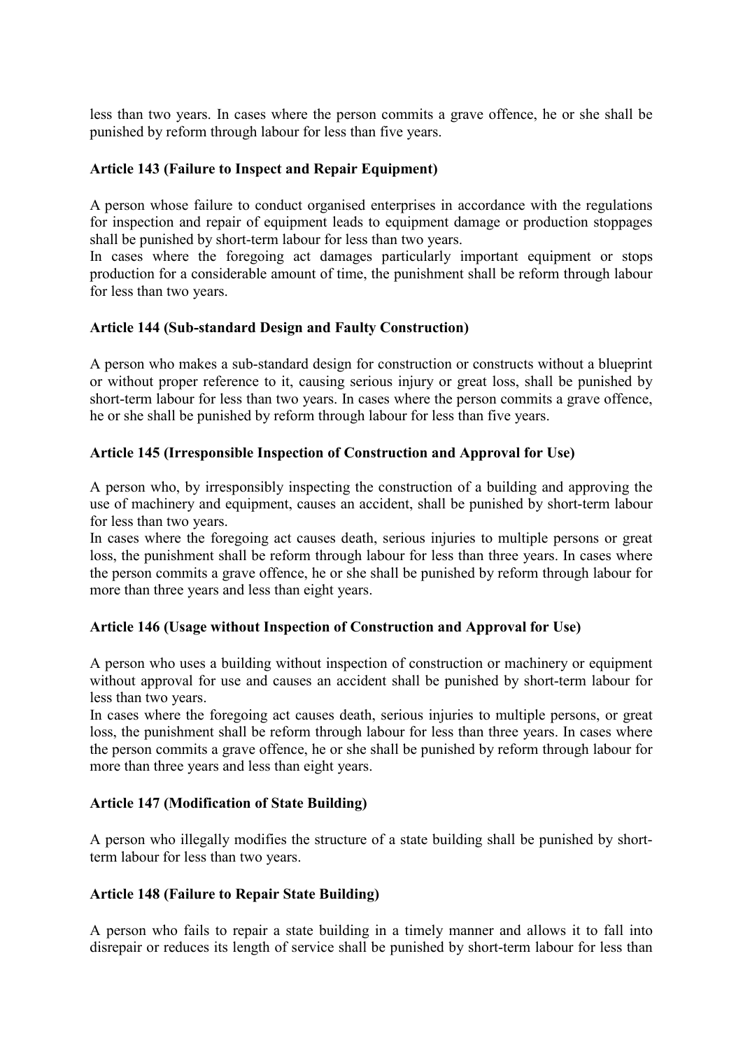less than two years. In cases where the person commits a grave offence, he or she shall be punished by reform through labour for less than five years.

#### **Article 143 (Failure to Inspect and Repair Equipment)**

A person whose failure to conduct organised enterprises in accordance with the regulations for inspection and repair of equipment leads to equipment damage or production stoppages shall be punished by short-term labour for less than two years.

In cases where the foregoing act damages particularly important equipment or stops production for a considerable amount of time, the punishment shall be reform through labour for less than two years.

#### **Article 144 (Sub-standard Design and Faulty Construction)**

A person who makes a sub-standard design for construction or constructs without a blueprint or without proper reference to it, causing serious injury or great loss, shall be punished by short-term labour for less than two years. In cases where the person commits a grave offence, he or she shall be punished by reform through labour for less than five years.

#### **Article 145 (Irresponsible Inspection of Construction and Approval for Use)**

A person who, by irresponsibly inspecting the construction of a building and approving the use of machinery and equipment, causes an accident, shall be punished by short-term labour for less than two years.

In cases where the foregoing act causes death, serious injuries to multiple persons or great loss, the punishment shall be reform through labour for less than three years. In cases where the person commits a grave offence, he or she shall be punished by reform through labour for more than three years and less than eight years.

### **Article 146 (Usage without Inspection of Construction and Approval for Use)**

A person who uses a building without inspection of construction or machinery or equipment without approval for use and causes an accident shall be punished by short-term labour for less than two years.

In cases where the foregoing act causes death, serious injuries to multiple persons, or great loss, the punishment shall be reform through labour for less than three years. In cases where the person commits a grave offence, he or she shall be punished by reform through labour for more than three years and less than eight years.

#### **Article 147 (Modification of State Building)**

A person who illegally modifies the structure of a state building shall be punished by shortterm labour for less than two years.

#### **Article 148 (Failure to Repair State Building)**

A person who fails to repair a state building in a timely manner and allows it to fall into disrepair or reduces its length of service shall be punished by short-term labour for less than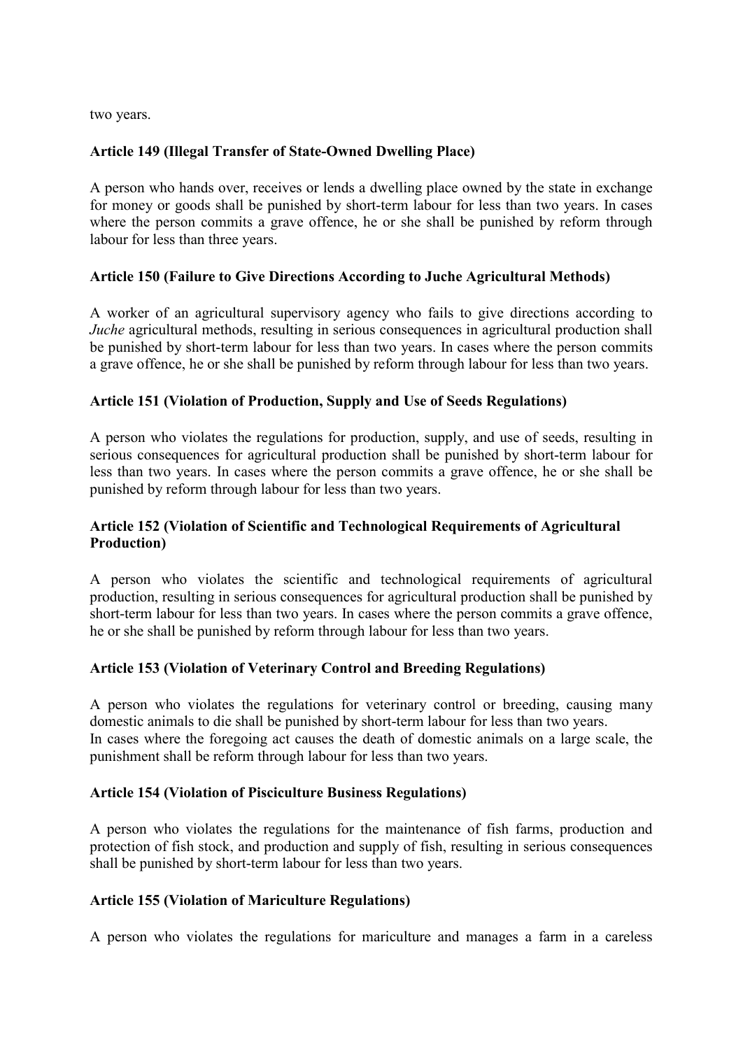two years.

#### **Article 149 (Illegal Transfer of State-Owned Dwelling Place)**

A person who hands over, receives or lends a dwelling place owned by the state in exchange for money or goods shall be punished by short-term labour for less than two years. In cases where the person commits a grave offence, he or she shall be punished by reform through labour for less than three years.

#### **Article 150 (Failure to Give Directions According to Juche Agricultural Methods)**

A worker of an agricultural supervisory agency who fails to give directions according to *Juche* agricultural methods, resulting in serious consequences in agricultural production shall be punished by short-term labour for less than two years. In cases where the person commits a grave offence, he or she shall be punished by reform through labour for less than two years.

#### **Article 151 (Violation of Production, Supply and Use of Seeds Regulations)**

A person who violates the regulations for production, supply, and use of seeds, resulting in serious consequences for agricultural production shall be punished by short-term labour for less than two years. In cases where the person commits a grave offence, he or she shall be punished by reform through labour for less than two years.

#### **Article 152 (Violation of Scientific and Technological Requirements of Agricultural Production)**

A person who violates the scientific and technological requirements of agricultural production, resulting in serious consequences for agricultural production shall be punished by short-term labour for less than two years. In cases where the person commits a grave offence, he or she shall be punished by reform through labour for less than two years.

#### **Article 153 (Violation of Veterinary Control and Breeding Regulations)**

A person who violates the regulations for veterinary control or breeding, causing many domestic animals to die shall be punished by short-term labour for less than two years. In cases where the foregoing act causes the death of domestic animals on a large scale, the punishment shall be reform through labour for less than two years.

#### **Article 154 (Violation of Pisciculture Business Regulations)**

A person who violates the regulations for the maintenance of fish farms, production and protection of fish stock, and production and supply of fish, resulting in serious consequences shall be punished by short-term labour for less than two years.

#### **Article 155 (Violation of Mariculture Regulations)**

A person who violates the regulations for mariculture and manages a farm in a careless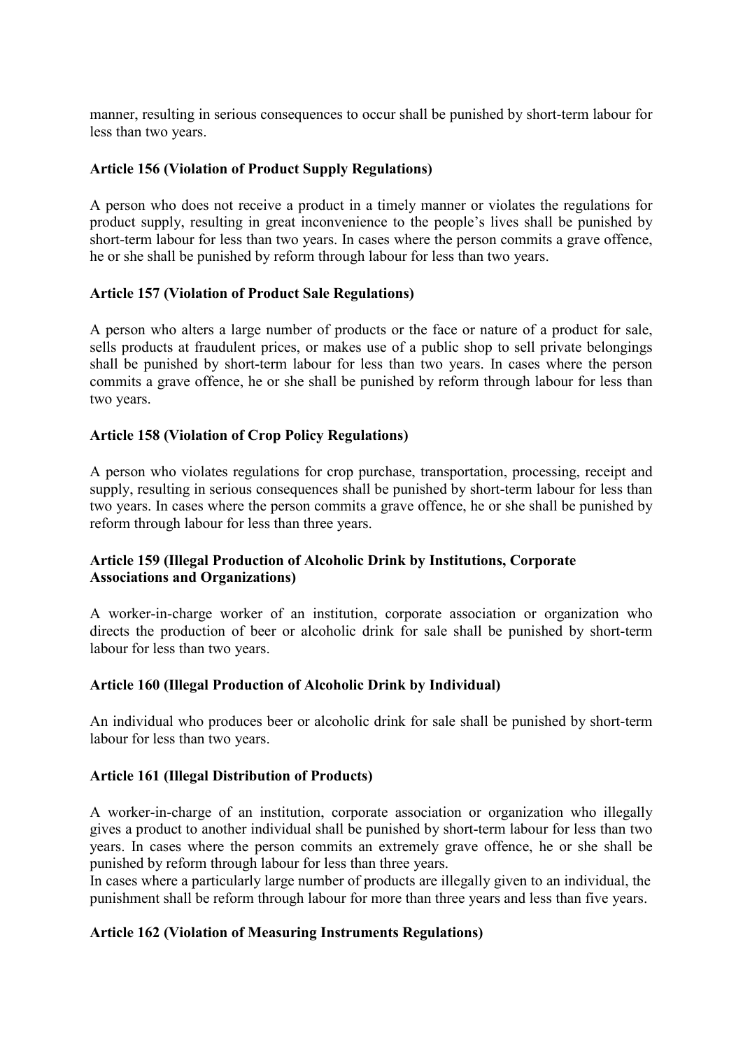manner, resulting in serious consequences to occur shall be punished by short-term labour for less than two years.

#### **Article 156 (Violation of Product Supply Regulations)**

A person who does not receive a product in a timely manner or violates the regulations for product supply, resulting in great inconvenience to the people's lives shall be punished by short-term labour for less than two years. In cases where the person commits a grave offence, he or she shall be punished by reform through labour for less than two years.

#### **Article 157 (Violation of Product Sale Regulations)**

A person who alters a large number of products or the face or nature of a product for sale, sells products at fraudulent prices, or makes use of a public shop to sell private belongings shall be punished by short-term labour for less than two years. In cases where the person commits a grave offence, he or she shall be punished by reform through labour for less than two years.

#### **Article 158 (Violation of Crop Policy Regulations)**

A person who violates regulations for crop purchase, transportation, processing, receipt and supply, resulting in serious consequences shall be punished by short-term labour for less than two years. In cases where the person commits a grave offence, he or she shall be punished by reform through labour for less than three years.

### **Article 159 (Illegal Production of Alcoholic Drink by Institutions, Corporate Associations and Organizations)**

A worker-in-charge worker of an institution, corporate association or organization who directs the production of beer or alcoholic drink for sale shall be punished by short-term labour for less than two years.

#### **Article 160 (Illegal Production of Alcoholic Drink by Individual)**

An individual who produces beer or alcoholic drink for sale shall be punished by short-term labour for less than two years.

#### **Article 161 (Illegal Distribution of Products)**

A worker-in-charge of an institution, corporate association or organization who illegally gives a product to another individual shall be punished by short-term labour for less than two years. In cases where the person commits an extremely grave offence, he or she shall be punished by reform through labour for less than three years.

In cases where a particularly large number of products are illegally given to an individual, the punishment shall be reform through labour for more than three years and less than five years.

### **Article 162 (Violation of Measuring Instruments Regulations)**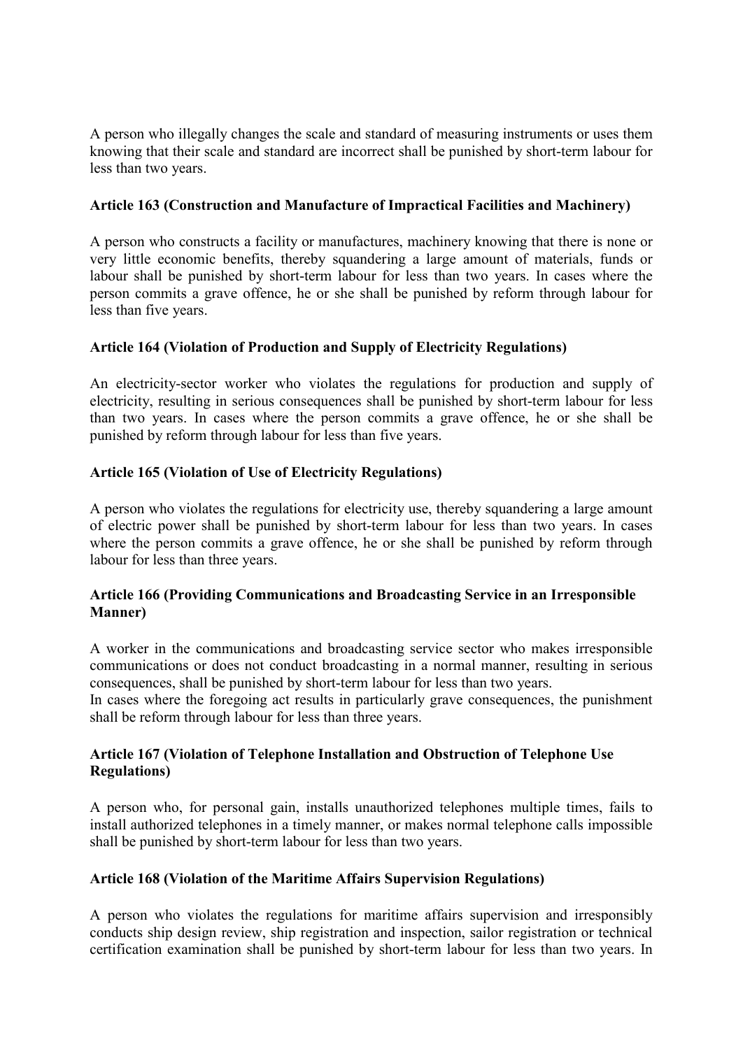A person who illegally changes the scale and standard of measuring instruments or uses them knowing that their scale and standard are incorrect shall be punished by short-term labour for less than two years.

### **Article 163 (Construction and Manufacture of Impractical Facilities and Machinery)**

A person who constructs a facility or manufactures, machinery knowing that there is none or very little economic benefits, thereby squandering a large amount of materials, funds or labour shall be punished by short-term labour for less than two years. In cases where the person commits a grave offence, he or she shall be punished by reform through labour for less than five years.

### **Article 164 (Violation of Production and Supply of Electricity Regulations)**

An electricity-sector worker who violates the regulations for production and supply of electricity, resulting in serious consequences shall be punished by short-term labour for less than two years. In cases where the person commits a grave offence, he or she shall be punished by reform through labour for less than five years.

# **Article 165 (Violation of Use of Electricity Regulations)**

A person who violates the regulations for electricity use, thereby squandering a large amount of electric power shall be punished by short-term labour for less than two years. In cases where the person commits a grave offence, he or she shall be punished by reform through labour for less than three years.

### **Article 166 (Providing Communications and Broadcasting Service in an Irresponsible Manner)**

A worker in the communications and broadcasting service sector who makes irresponsible communications or does not conduct broadcasting in a normal manner, resulting in serious consequences, shall be punished by short-term labour for less than two years.

In cases where the foregoing act results in particularly grave consequences, the punishment shall be reform through labour for less than three years.

### **Article 167 (Violation of Telephone Installation and Obstruction of Telephone Use Regulations)**

A person who, for personal gain, installs unauthorized telephones multiple times, fails to install authorized telephones in a timely manner, or makes normal telephone calls impossible shall be punished by short-term labour for less than two years.

### **Article 168 (Violation of the Maritime Affairs Supervision Regulations)**

A person who violates the regulations for maritime affairs supervision and irresponsibly conducts ship design review, ship registration and inspection, sailor registration or technical certification examination shall be punished by short-term labour for less than two years. In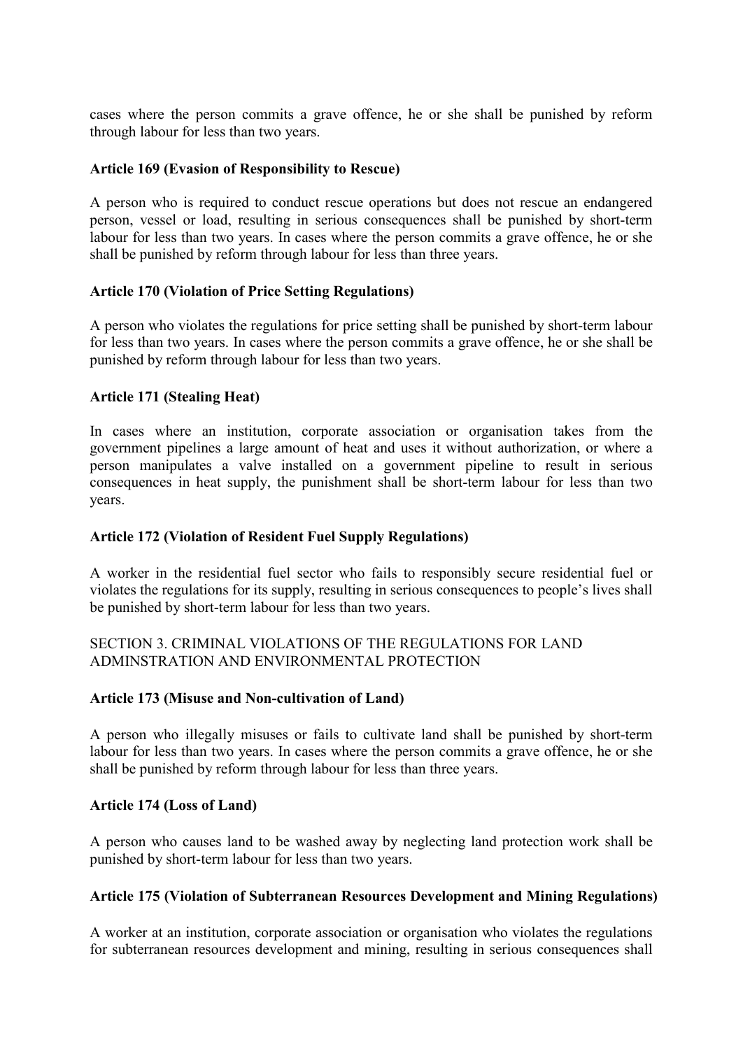cases where the person commits a grave offence, he or she shall be punished by reform through labour for less than two years.

#### **Article 169 (Evasion of Responsibility to Rescue)**

A person who is required to conduct rescue operations but does not rescue an endangered person, vessel or load, resulting in serious consequences shall be punished by short-term labour for less than two years. In cases where the person commits a grave offence, he or she shall be punished by reform through labour for less than three years.

#### **Article 170 (Violation of Price Setting Regulations)**

A person who violates the regulations for price setting shall be punished by short-term labour for less than two years. In cases where the person commits a grave offence, he or she shall be punished by reform through labour for less than two years.

#### **Article 171 (Stealing Heat)**

In cases where an institution, corporate association or organisation takes from the government pipelines a large amount of heat and uses it without authorization, or where a person manipulates a valve installed on a government pipeline to result in serious consequences in heat supply, the punishment shall be short-term labour for less than two years.

#### **Article 172 (Violation of Resident Fuel Supply Regulations)**

A worker in the residential fuel sector who fails to responsibly secure residential fuel or violates the regulations for its supply, resulting in serious consequences to people's lives shall be punished by short-term labour for less than two years.

#### SECTION 3. CRIMINAL VIOLATIONS OF THE REGULATIONS FOR LAND ADMINSTRATION AND ENVIRONMENTAL PROTECTION

#### **Article 173 (Misuse and Non-cultivation of Land)**

A person who illegally misuses or fails to cultivate land shall be punished by short-term labour for less than two years. In cases where the person commits a grave offence, he or she shall be punished by reform through labour for less than three years.

#### **Article 174 (Loss of Land)**

A person who causes land to be washed away by neglecting land protection work shall be punished by short-term labour for less than two years.

# **Article 175 (Violation of Subterranean Resources Development and Mining Regulations)**

A worker at an institution, corporate association or organisation who violates the regulations for subterranean resources development and mining, resulting in serious consequences shall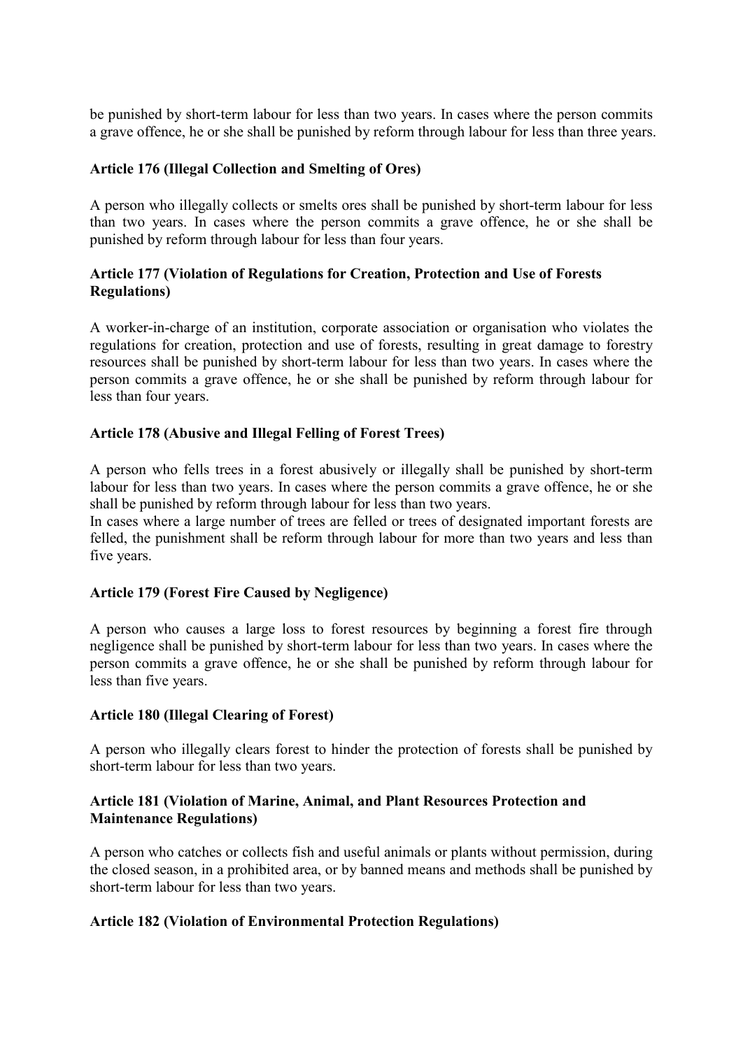be punished by short-term labour for less than two years. In cases where the person commits a grave offence, he or she shall be punished by reform through labour for less than three years.

#### **Article 176 (Illegal Collection and Smelting of Ores)**

A person who illegally collects or smelts ores shall be punished by short-term labour for less than two years. In cases where the person commits a grave offence, he or she shall be punished by reform through labour for less than four years.

### **Article 177 (Violation of Regulations for Creation, Protection and Use of Forests Regulations)**

A worker-in-charge of an institution, corporate association or organisation who violates the regulations for creation, protection and use of forests, resulting in great damage to forestry resources shall be punished by short-term labour for less than two years. In cases where the person commits a grave offence, he or she shall be punished by reform through labour for less than four years.

#### **Article 178 (Abusive and Illegal Felling of Forest Trees)**

A person who fells trees in a forest abusively or illegally shall be punished by short-term labour for less than two years. In cases where the person commits a grave offence, he or she shall be punished by reform through labour for less than two years.

In cases where a large number of trees are felled or trees of designated important forests are felled, the punishment shall be reform through labour for more than two years and less than five years.

#### **Article 179 (Forest Fire Caused by Negligence)**

A person who causes a large loss to forest resources by beginning a forest fire through negligence shall be punished by short-term labour for less than two years. In cases where the person commits a grave offence, he or she shall be punished by reform through labour for less than five years.

#### **Article 180 (Illegal Clearing of Forest)**

A person who illegally clears forest to hinder the protection of forests shall be punished by short-term labour for less than two years.

#### **Article 181 (Violation of Marine, Animal, and Plant Resources Protection and Maintenance Regulations)**

A person who catches or collects fish and useful animals or plants without permission, during the closed season, in a prohibited area, or by banned means and methods shall be punished by short-term labour for less than two years.

#### **Article 182 (Violation of Environmental Protection Regulations)**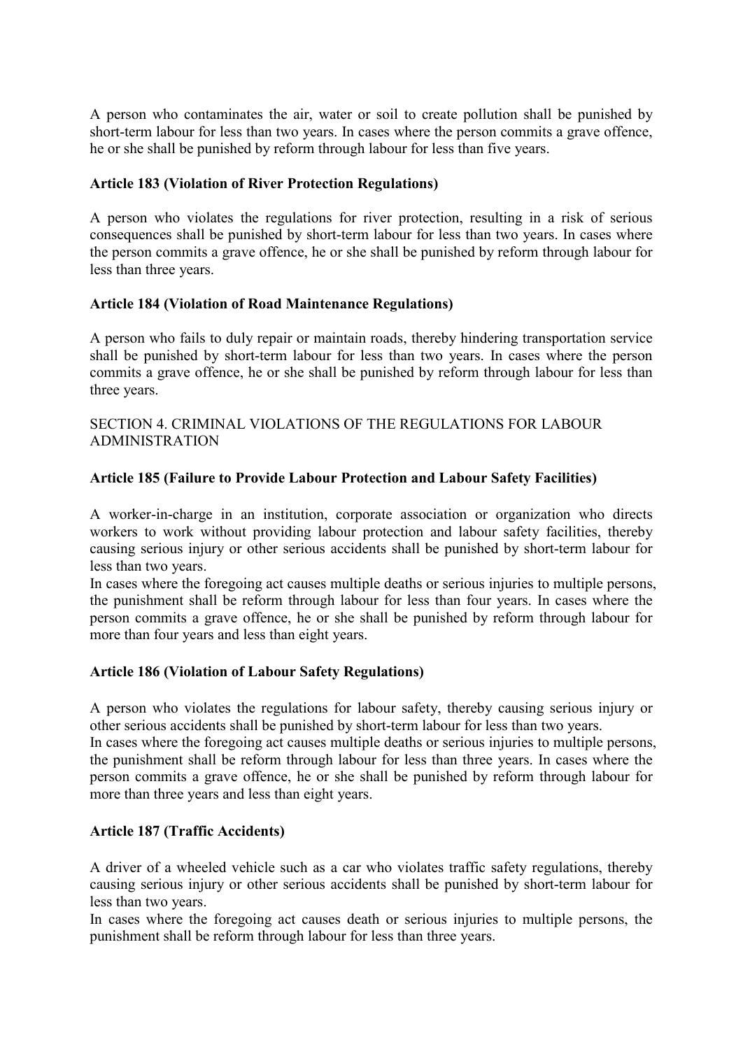A person who contaminates the air, water or soil to create pollution shall be punished by short-term labour for less than two years. In cases where the person commits a grave offence, he or she shall be punished by reform through labour for less than five years.

#### **Article 183 (Violation of River Protection Regulations)**

A person who violates the regulations for river protection, resulting in a risk of serious consequences shall be punished by short-term labour for less than two years. In cases where the person commits a grave offence, he or she shall be punished by reform through labour for less than three years.

#### **Article 184 (Violation of Road Maintenance Regulations)**

A person who fails to duly repair or maintain roads, thereby hindering transportation service shall be punished by short-term labour for less than two years. In cases where the person commits a grave offence, he or she shall be punished by reform through labour for less than three years.

#### SECTION 4. CRIMINAL VIOLATIONS OF THE REGULATIONS FOR LABOUR ADMINISTRATION

### **Article 185 (Failure to Provide Labour Protection and Labour Safety Facilities)**

A worker-in-charge in an institution, corporate association or organization who directs workers to work without providing labour protection and labour safety facilities, thereby causing serious injury or other serious accidents shall be punished by short-term labour for less than two years.

In cases where the foregoing act causes multiple deaths or serious injuries to multiple persons, the punishment shall be reform through labour for less than four years. In cases where the person commits a grave offence, he or she shall be punished by reform through labour for more than four years and less than eight years.

### **Article 186 (Violation of Labour Safety Regulations)**

A person who violates the regulations for labour safety, thereby causing serious injury or other serious accidents shall be punished by short-term labour for less than two years.

In cases where the foregoing act causes multiple deaths or serious injuries to multiple persons, the punishment shall be reform through labour for less than three years. In cases where the person commits a grave offence, he or she shall be punished by reform through labour for more than three years and less than eight years.

### **Article 187 (Traffic Accidents)**

A driver of a wheeled vehicle such as a car who violates traffic safety regulations, thereby causing serious injury or other serious accidents shall be punished by short-term labour for less than two years.

In cases where the foregoing act causes death or serious injuries to multiple persons, the punishment shall be reform through labour for less than three years.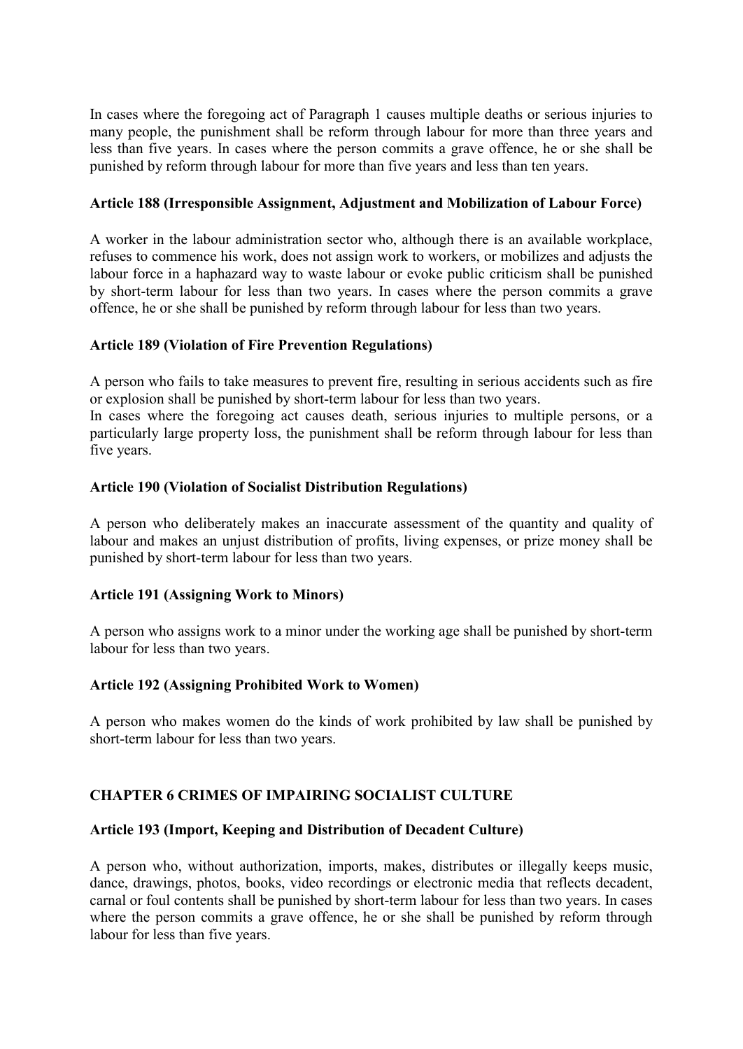In cases where the foregoing act of Paragraph 1 causes multiple deaths or serious injuries to many people, the punishment shall be reform through labour for more than three years and less than five years. In cases where the person commits a grave offence, he or she shall be punished by reform through labour for more than five years and less than ten years.

#### **Article 188 (Irresponsible Assignment, Adjustment and Mobilization of Labour Force)**

A worker in the labour administration sector who, although there is an available workplace, refuses to commence his work, does not assign work to workers, or mobilizes and adjusts the labour force in a haphazard way to waste labour or evoke public criticism shall be punished by short-term labour for less than two years. In cases where the person commits a grave offence, he or she shall be punished by reform through labour for less than two years.

#### **Article 189 (Violation of Fire Prevention Regulations)**

A person who fails to take measures to prevent fire, resulting in serious accidents such as fire or explosion shall be punished by short-term labour for less than two years.

In cases where the foregoing act causes death, serious injuries to multiple persons, or a particularly large property loss, the punishment shall be reform through labour for less than five years.

#### **Article 190 (Violation of Socialist Distribution Regulations)**

A person who deliberately makes an inaccurate assessment of the quantity and quality of labour and makes an unjust distribution of profits, living expenses, or prize money shall be punished by short-term labour for less than two years.

### **Article 191 (Assigning Work to Minors)**

A person who assigns work to a minor under the working age shall be punished by short-term labour for less than two years.

#### **Article 192 (Assigning Prohibited Work to Women)**

A person who makes women do the kinds of work prohibited by law shall be punished by short-term labour for less than two years.

### **CHAPTER 6 CRIMES OF IMPAIRING SOCIALIST CULTURE**

#### **Article 193 (Import, Keeping and Distribution of Decadent Culture)**

A person who, without authorization, imports, makes, distributes or illegally keeps music, dance, drawings, photos, books, video recordings or electronic media that reflects decadent, carnal or foul contents shall be punished by short-term labour for less than two years. In cases where the person commits a grave offence, he or she shall be punished by reform through labour for less than five years.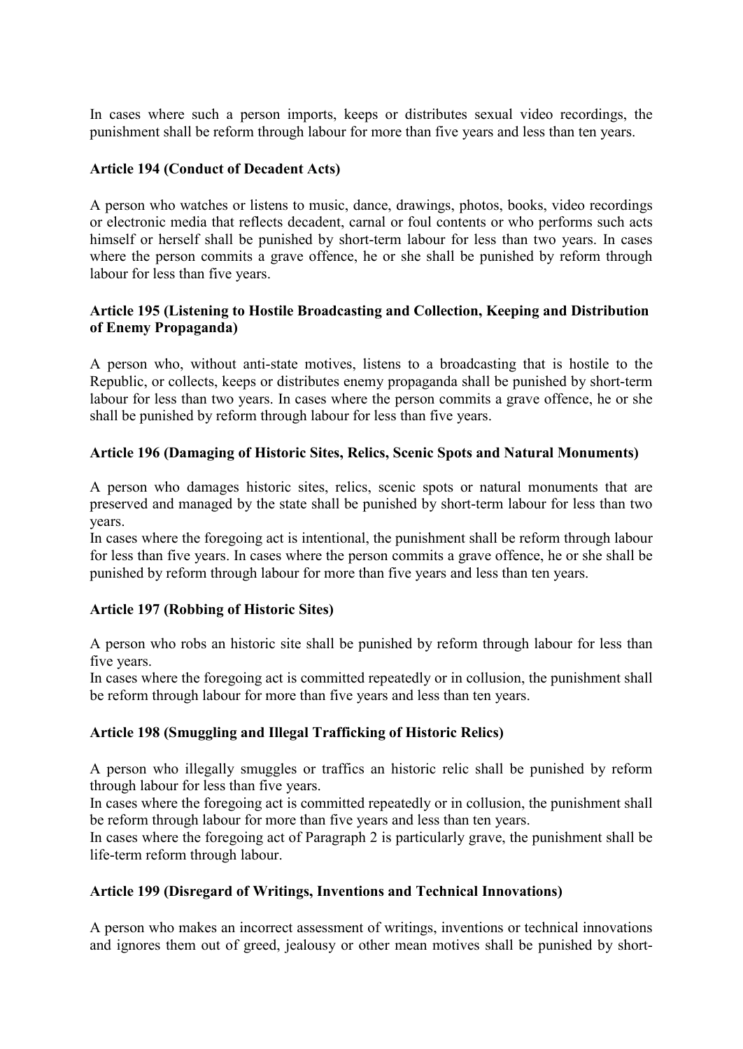In cases where such a person imports, keeps or distributes sexual video recordings, the punishment shall be reform through labour for more than five years and less than ten years.

#### **Article 194 (Conduct of Decadent Acts)**

A person who watches or listens to music, dance, drawings, photos, books, video recordings or electronic media that reflects decadent, carnal or foul contents or who performs such acts himself or herself shall be punished by short-term labour for less than two years. In cases where the person commits a grave offence, he or she shall be punished by reform through labour for less than five years.

#### **Article 195 (Listening to Hostile Broadcasting and Collection, Keeping and Distribution of Enemy Propaganda)**

A person who, without anti-state motives, listens to a broadcasting that is hostile to the Republic, or collects, keeps or distributes enemy propaganda shall be punished by short-term labour for less than two years. In cases where the person commits a grave offence, he or she shall be punished by reform through labour for less than five years.

#### **Article 196 (Damaging of Historic Sites, Relics, Scenic Spots and Natural Monuments)**

A person who damages historic sites, relics, scenic spots or natural monuments that are preserved and managed by the state shall be punished by short-term labour for less than two years.

In cases where the foregoing act is intentional, the punishment shall be reform through labour for less than five years. In cases where the person commits a grave offence, he or she shall be punished by reform through labour for more than five years and less than ten years.

#### **Article 197 (Robbing of Historic Sites)**

A person who robs an historic site shall be punished by reform through labour for less than five years.

In cases where the foregoing act is committed repeatedly or in collusion, the punishment shall be reform through labour for more than five years and less than ten years.

#### **Article 198 (Smuggling and Illegal Trafficking of Historic Relics)**

A person who illegally smuggles or traffics an historic relic shall be punished by reform through labour for less than five years.

In cases where the foregoing act is committed repeatedly or in collusion, the punishment shall be reform through labour for more than five years and less than ten years.

In cases where the foregoing act of Paragraph 2 is particularly grave, the punishment shall be life-term reform through labour.

#### **Article 199 (Disregard of Writings, Inventions and Technical Innovations)**

A person who makes an incorrect assessment of writings, inventions or technical innovations and ignores them out of greed, jealousy or other mean motives shall be punished by short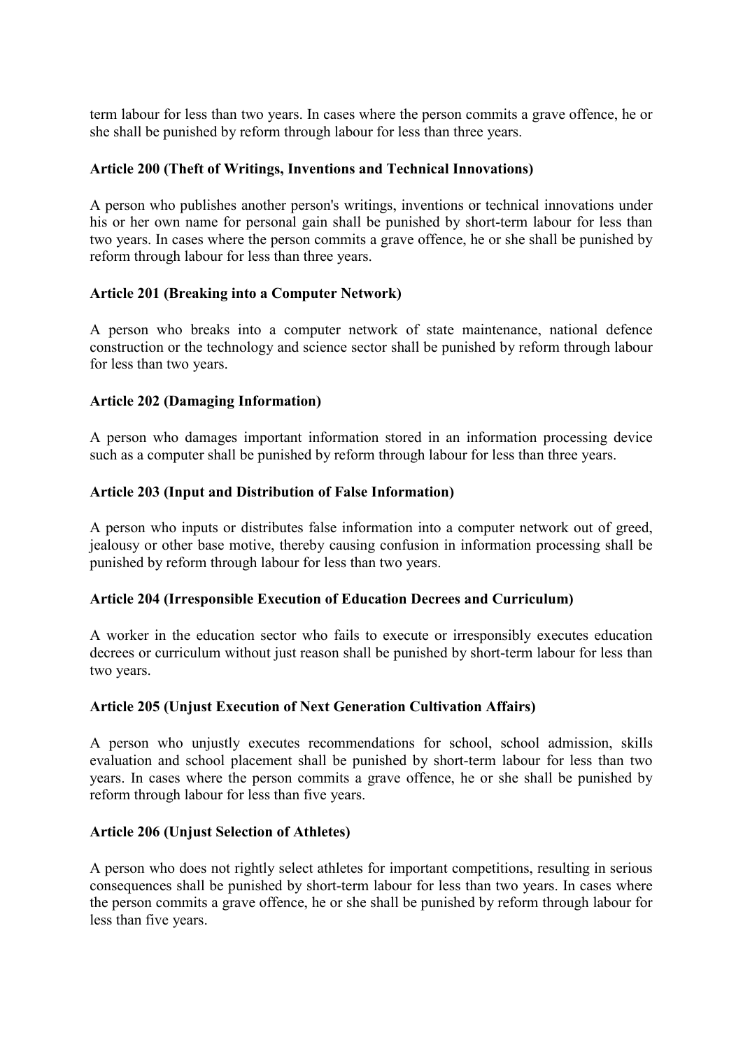term labour for less than two years. In cases where the person commits a grave offence, he or she shall be punished by reform through labour for less than three years.

#### **Article 200 (Theft of Writings, Inventions and Technical Innovations)**

A person who publishes another person's writings, inventions or technical innovations under his or her own name for personal gain shall be punished by short-term labour for less than two years. In cases where the person commits a grave offence, he or she shall be punished by reform through labour for less than three years.

#### **Article 201 (Breaking into a Computer Network)**

A person who breaks into a computer network of state maintenance, national defence construction or the technology and science sector shall be punished by reform through labour for less than two years.

#### **Article 202 (Damaging Information)**

A person who damages important information stored in an information processing device such as a computer shall be punished by reform through labour for less than three years.

#### **Article 203 (Input and Distribution of False Information)**

A person who inputs or distributes false information into a computer network out of greed, jealousy or other base motive, thereby causing confusion in information processing shall be punished by reform through labour for less than two years.

#### **Article 204 (Irresponsible Execution of Education Decrees and Curriculum)**

A worker in the education sector who fails to execute or irresponsibly executes education decrees or curriculum without just reason shall be punished by short-term labour for less than two years.

### **Article 205 (Unjust Execution of Next Generation Cultivation Affairs)**

A person who unjustly executes recommendations for school, school admission, skills evaluation and school placement shall be punished by short-term labour for less than two years. In cases where the person commits a grave offence, he or she shall be punished by reform through labour for less than five years.

#### **Article 206 (Unjust Selection of Athletes)**

A person who does not rightly select athletes for important competitions, resulting in serious consequences shall be punished by short-term labour for less than two years. In cases where the person commits a grave offence, he or she shall be punished by reform through labour for less than five years.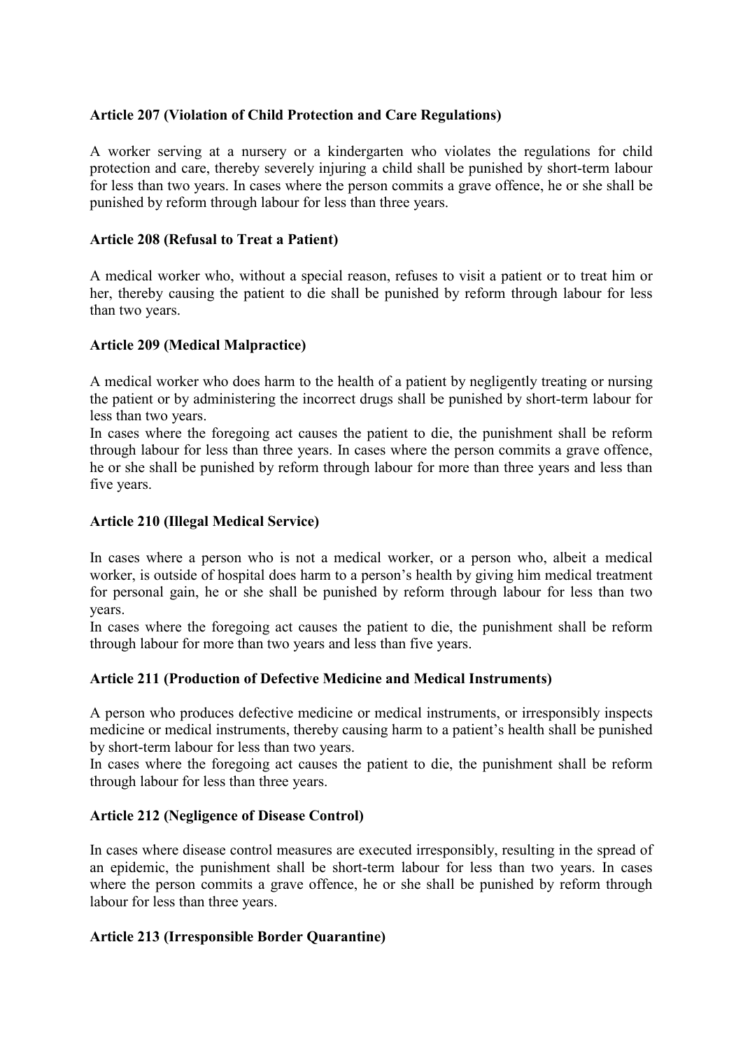### **Article 207 (Violation of Child Protection and Care Regulations)**

A worker serving at a nursery or a kindergarten who violates the regulations for child protection and care, thereby severely injuring a child shall be punished by short-term labour for less than two years. In cases where the person commits a grave offence, he or she shall be punished by reform through labour for less than three years.

#### **Article 208 (Refusal to Treat a Patient)**

A medical worker who, without a special reason, refuses to visit a patient or to treat him or her, thereby causing the patient to die shall be punished by reform through labour for less than two years.

#### **Article 209 (Medical Malpractice)**

A medical worker who does harm to the health of a patient by negligently treating or nursing the patient or by administering the incorrect drugs shall be punished by short-term labour for less than two years.

In cases where the foregoing act causes the patient to die, the punishment shall be reform through labour for less than three years. In cases where the person commits a grave offence, he or she shall be punished by reform through labour for more than three years and less than five years.

#### **Article 210 (Illegal Medical Service)**

In cases where a person who is not a medical worker, or a person who, albeit a medical worker, is outside of hospital does harm to a person's health by giving him medical treatment for personal gain, he or she shall be punished by reform through labour for less than two years.

In cases where the foregoing act causes the patient to die, the punishment shall be reform through labour for more than two years and less than five years.

### **Article 211 (Production of Defective Medicine and Medical Instruments)**

A person who produces defective medicine or medical instruments, or irresponsibly inspects medicine or medical instruments, thereby causing harm to a patient's health shall be punished by short-term labour for less than two years.

In cases where the foregoing act causes the patient to die, the punishment shall be reform through labour for less than three years.

### **Article 212 (Negligence of Disease Control)**

In cases where disease control measures are executed irresponsibly, resulting in the spread of an epidemic, the punishment shall be short-term labour for less than two years. In cases where the person commits a grave offence, he or she shall be punished by reform through labour for less than three years.

#### **Article 213 (Irresponsible Border Quarantine)**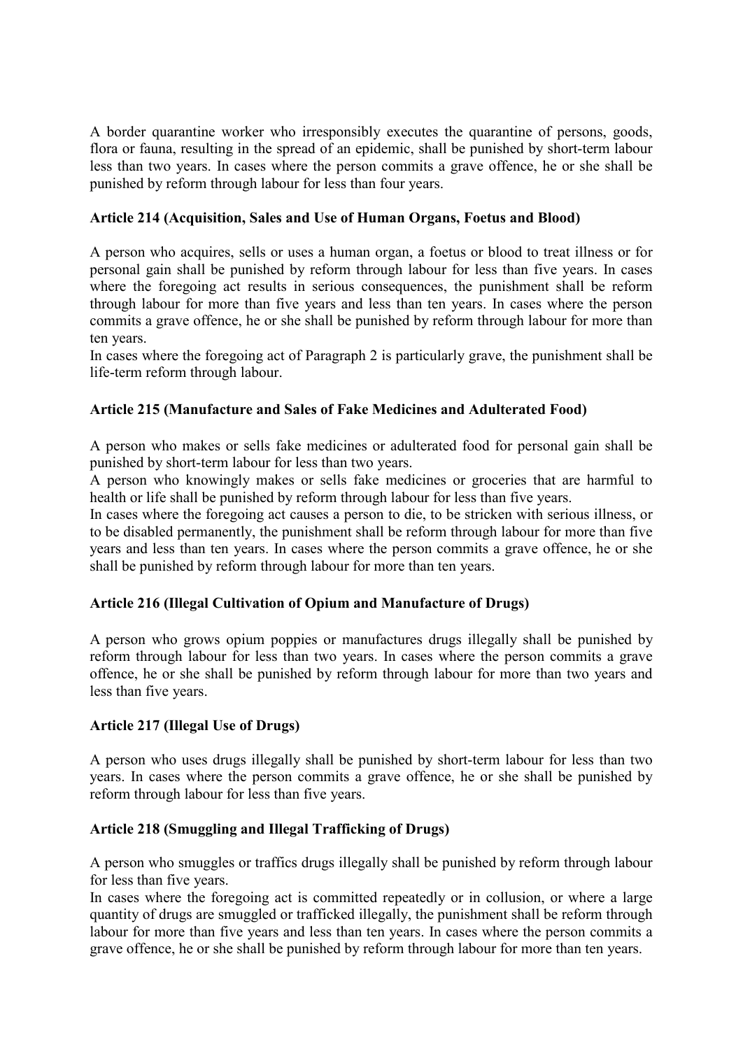A border quarantine worker who irresponsibly executes the quarantine of persons, goods, flora or fauna, resulting in the spread of an epidemic, shall be punished by short-term labour less than two years. In cases where the person commits a grave offence, he or she shall be punished by reform through labour for less than four years.

# **Article 214 (Acquisition, Sales and Use of Human Organs, Foetus and Blood)**

A person who acquires, sells or uses a human organ, a foetus or blood to treat illness or for personal gain shall be punished by reform through labour for less than five years. In cases where the foregoing act results in serious consequences, the punishment shall be reform through labour for more than five years and less than ten years. In cases where the person commits a grave offence, he or she shall be punished by reform through labour for more than ten years.

In cases where the foregoing act of Paragraph 2 is particularly grave, the punishment shall be life-term reform through labour.

# **Article 215 (Manufacture and Sales of Fake Medicines and Adulterated Food)**

A person who makes or sells fake medicines or adulterated food for personal gain shall be punished by short-term labour for less than two years.

A person who knowingly makes or sells fake medicines or groceries that are harmful to health or life shall be punished by reform through labour for less than five years.

In cases where the foregoing act causes a person to die, to be stricken with serious illness, or to be disabled permanently, the punishment shall be reform through labour for more than five years and less than ten years. In cases where the person commits a grave offence, he or she shall be punished by reform through labour for more than ten years.

### **Article 216 (Illegal Cultivation of Opium and Manufacture of Drugs)**

A person who grows opium poppies or manufactures drugs illegally shall be punished by reform through labour for less than two years. In cases where the person commits a grave offence, he or she shall be punished by reform through labour for more than two years and less than five years.

### **Article 217 (Illegal Use of Drugs)**

A person who uses drugs illegally shall be punished by short-term labour for less than two years. In cases where the person commits a grave offence, he or she shall be punished by reform through labour for less than five years.

# **Article 218 (Smuggling and Illegal Trafficking of Drugs)**

A person who smuggles or traffics drugs illegally shall be punished by reform through labour for less than five years.

In cases where the foregoing act is committed repeatedly or in collusion, or where a large quantity of drugs are smuggled or trafficked illegally, the punishment shall be reform through labour for more than five years and less than ten years. In cases where the person commits a grave offence, he or she shall be punished by reform through labour for more than ten years.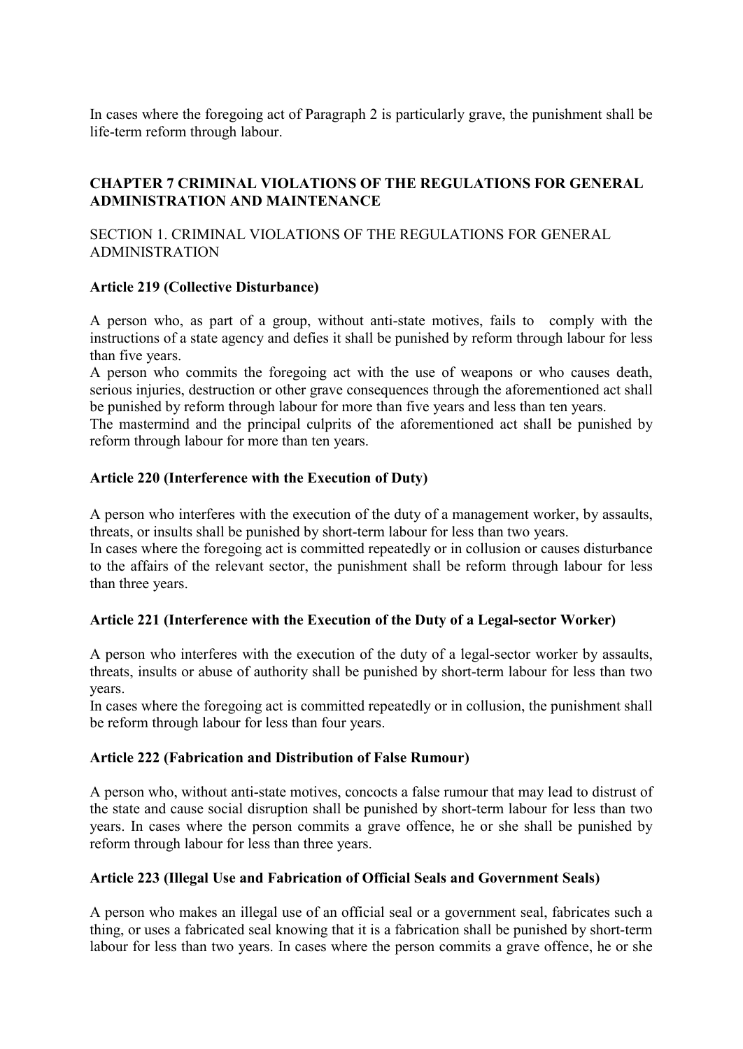In cases where the foregoing act of Paragraph 2 is particularly grave, the punishment shall be life-term reform through labour.

# **CHAPTER 7 CRIMINAL VIOLATIONS OF THE REGULATIONS FOR GENERAL ADMINISTRATION AND MAINTENANCE**

SECTION 1. CRIMINAL VIOLATIONS OF THE REGULATIONS FOR GENERAL ADMINISTRATION

### **Article 219 (Collective Disturbance)**

A person who, as part of a group, without anti-state motives, fails to comply with the instructions of a state agency and defies it shall be punished by reform through labour for less than five years.

A person who commits the foregoing act with the use of weapons or who causes death, serious injuries, destruction or other grave consequences through the aforementioned act shall be punished by reform through labour for more than five years and less than ten years.

The mastermind and the principal culprits of the aforementioned act shall be punished by reform through labour for more than ten years.

### **Article 220 (Interference with the Execution of Duty)**

A person who interferes with the execution of the duty of a management worker, by assaults, threats, or insults shall be punished by short-term labour for less than two years.

In cases where the foregoing act is committed repeatedly or in collusion or causes disturbance to the affairs of the relevant sector, the punishment shall be reform through labour for less than three years.

### **Article 221 (Interference with the Execution of the Duty of a Legal-sector Worker)**

A person who interferes with the execution of the duty of a legal-sector worker by assaults, threats, insults or abuse of authority shall be punished by short-term labour for less than two years.

In cases where the foregoing act is committed repeatedly or in collusion, the punishment shall be reform through labour for less than four years.

### **Article 222 (Fabrication and Distribution of False Rumour)**

A person who, without anti-state motives, concocts a false rumour that may lead to distrust of the state and cause social disruption shall be punished by short-term labour for less than two years. In cases where the person commits a grave offence, he or she shall be punished by reform through labour for less than three years.

#### **Article 223 (Illegal Use and Fabrication of Official Seals and Government Seals)**

A person who makes an illegal use of an official seal or a government seal, fabricates such a thing, or uses a fabricated seal knowing that it is a fabrication shall be punished by short-term labour for less than two years. In cases where the person commits a grave offence, he or she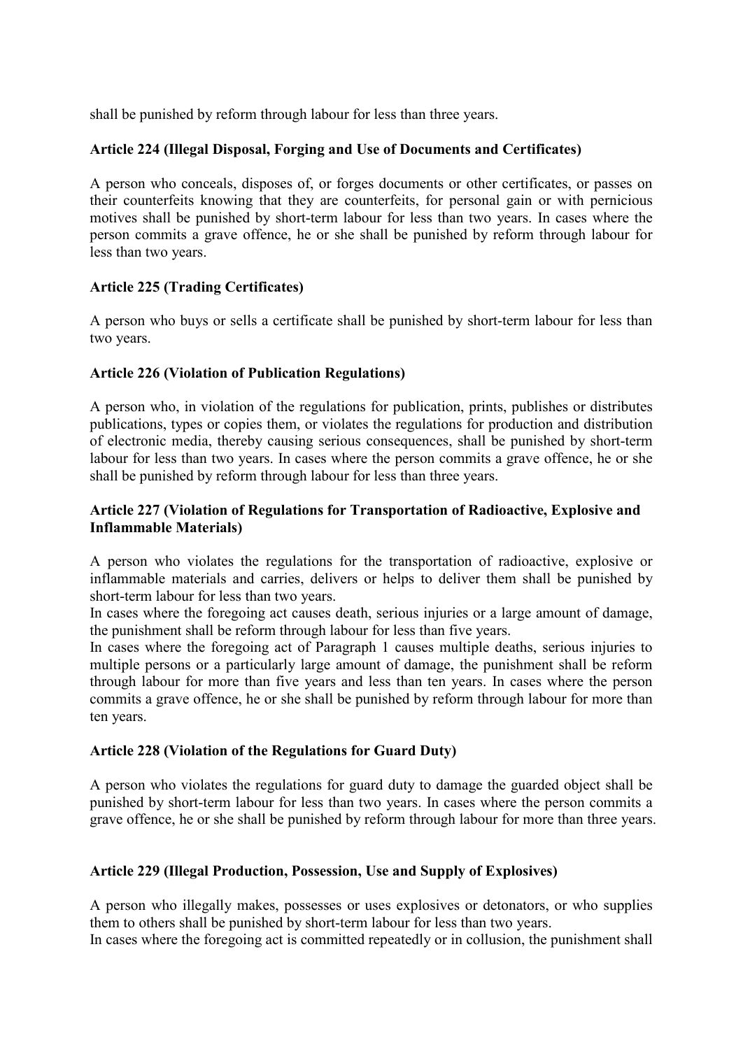shall be punished by reform through labour for less than three years.

### **Article 224 (Illegal Disposal, Forging and Use of Documents and Certificates)**

A person who conceals, disposes of, or forges documents or other certificates, or passes on their counterfeits knowing that they are counterfeits, for personal gain or with pernicious motives shall be punished by short-term labour for less than two years. In cases where the person commits a grave offence, he or she shall be punished by reform through labour for less than two years.

### **Article 225 (Trading Certificates)**

A person who buys or sells a certificate shall be punished by short-term labour for less than two years.

# **Article 226 (Violation of Publication Regulations)**

A person who, in violation of the regulations for publication, prints, publishes or distributes publications, types or copies them, or violates the regulations for production and distribution of electronic media, thereby causing serious consequences, shall be punished by short-term labour for less than two years. In cases where the person commits a grave offence, he or she shall be punished by reform through labour for less than three years.

#### **Article 227 (Violation of Regulations for Transportation of Radioactive, Explosive and Inflammable Materials)**

A person who violates the regulations for the transportation of radioactive, explosive or inflammable materials and carries, delivers or helps to deliver them shall be punished by short-term labour for less than two years.

In cases where the foregoing act causes death, serious injuries or a large amount of damage, the punishment shall be reform through labour for less than five years.

In cases where the foregoing act of Paragraph 1 causes multiple deaths, serious injuries to multiple persons or a particularly large amount of damage, the punishment shall be reform through labour for more than five years and less than ten years. In cases where the person commits a grave offence, he or she shall be punished by reform through labour for more than ten years.

### **Article 228 (Violation of the Regulations for Guard Duty)**

A person who violates the regulations for guard duty to damage the guarded object shall be punished by short-term labour for less than two years. In cases where the person commits a grave offence, he or she shall be punished by reform through labour for more than three years.

### **Article 229 (Illegal Production, Possession, Use and Supply of Explosives)**

A person who illegally makes, possesses or uses explosives or detonators, or who supplies them to others shall be punished by short-term labour for less than two years.

In cases where the foregoing act is committed repeatedly or in collusion, the punishment shall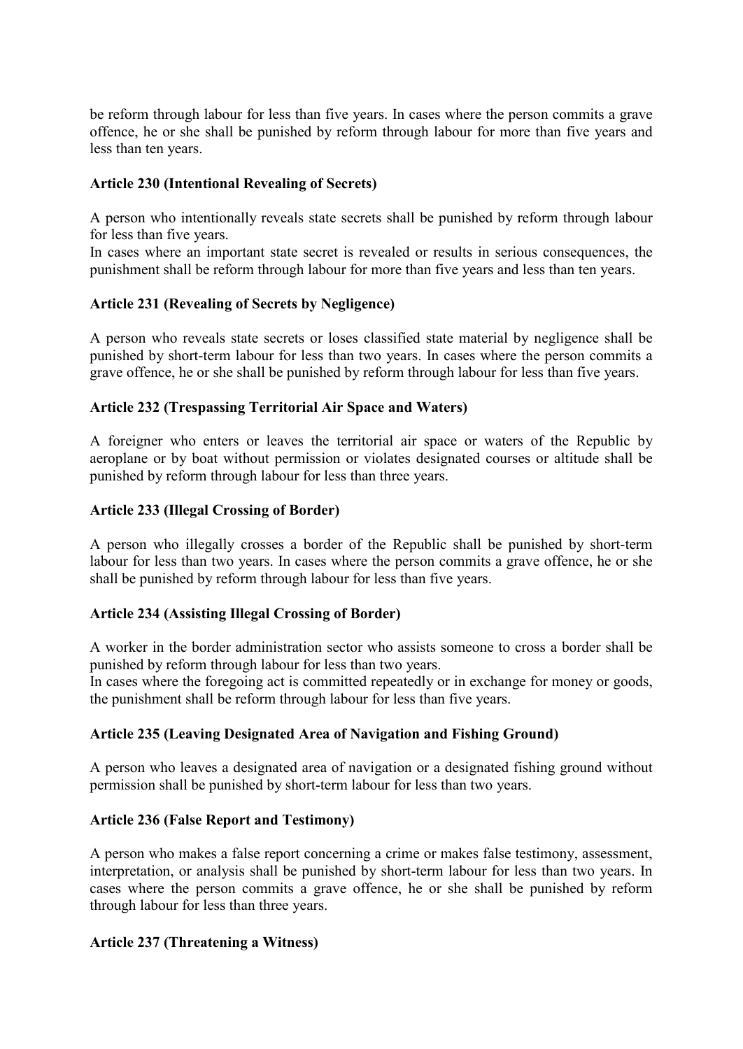be reform through labour for less than five years. In cases where the person commits a grave offence, he or she shall be punished by reform through labour for more than five years and less than ten years.

#### **Article 230 (Intentional Revealing of Secrets)**

A person who intentionally reveals state secrets shall be punished by reform through labour for less than five years.

In cases where an important state secret is revealed or results in serious consequences, the punishment shall be reform through labour for more than five years and less than ten years.

### **Article 231 (Revealing of Secrets by Negligence)**

A person who reveals state secrets or loses classified state material by negligence shall be punished by short-term labour for less than two years. In cases where the person commits a grave offence, he or she shall be punished by reform through labour for less than five years.

#### **Article 232 (Trespassing Territorial Air Space and Waters)**

A foreigner who enters or leaves the territorial air space or waters of the Republic by aeroplane or by boat without permission or violates designated courses or altitude shall be punished by reform through labour for less than three years.

#### **Article 233 (Illegal Crossing of Border)**

A person who illegally crosses a border of the Republic shall be punished by short-term labour for less than two years. In cases where the person commits a grave offence, he or she shall be punished by reform through labour for less than five years.

#### **Article 234 (Assisting Illegal Crossing of Border)**

A worker in the border administration sector who assists someone to cross a border shall be punished by reform through labour for less than two years.

In cases where the foregoing act is committed repeatedly or in exchange for money or goods, the punishment shall be reform through labour for less than five years.

### **Article 235 (Leaving Designated Area of Navigation and Fishing Ground)**

A person who leaves a designated area of navigation or a designated fishing ground without permission shall be punished by short-term labour for less than two years.

#### **Article 236 (False Report and Testimony)**

A person who makes a false report concerning a crime or makes false testimony, assessment, interpretation, or analysis shall be punished by short-term labour for less than two years. In cases where the person commits a grave offence, he or she shall be punished by reform through labour for less than three years.

#### **Article 237 (Threatening a Witness)**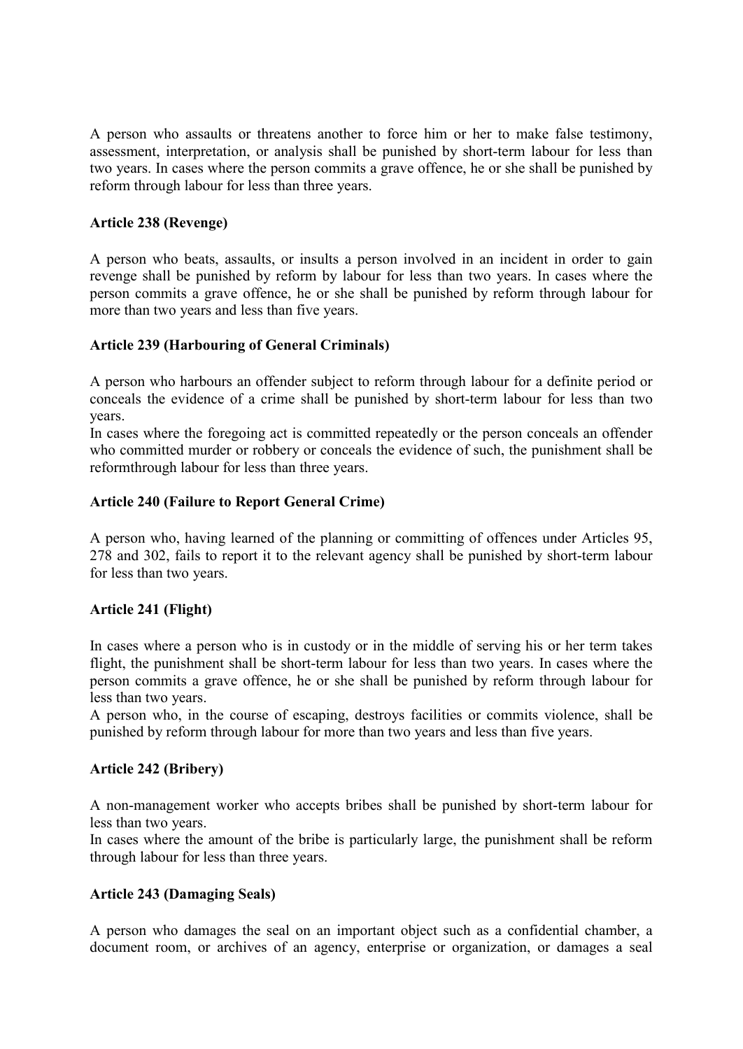A person who assaults or threatens another to force him or her to make false testimony, assessment, interpretation, or analysis shall be punished by short-term labour for less than two years. In cases where the person commits a grave offence, he or she shall be punished by reform through labour for less than three years.

#### **Article 238 (Revenge)**

A person who beats, assaults, or insults a person involved in an incident in order to gain revenge shall be punished by reform by labour for less than two years. In cases where the person commits a grave offence, he or she shall be punished by reform through labour for more than two years and less than five years.

#### **Article 239 (Harbouring of General Criminals)**

A person who harbours an offender subject to reform through labour for a definite period or conceals the evidence of a crime shall be punished by short-term labour for less than two years.

In cases where the foregoing act is committed repeatedly or the person conceals an offender who committed murder or robbery or conceals the evidence of such, the punishment shall be reformthrough labour for less than three years.

### **Article 240 (Failure to Report General Crime)**

A person who, having learned of the planning or committing of offences under Articles 95, 278 and 302, fails to report it to the relevant agency shall be punished by short-term labour for less than two years.

### **Article 241 (Flight)**

In cases where a person who is in custody or in the middle of serving his or her term takes flight, the punishment shall be short-term labour for less than two years. In cases where the person commits a grave offence, he or she shall be punished by reform through labour for less than two years.

A person who, in the course of escaping, destroys facilities or commits violence, shall be punished by reform through labour for more than two years and less than five years.

### **Article 242 (Bribery)**

A non-management worker who accepts bribes shall be punished by short-term labour for less than two years.

In cases where the amount of the bribe is particularly large, the punishment shall be reform through labour for less than three years.

### **Article 243 (Damaging Seals)**

A person who damages the seal on an important object such as a confidential chamber, a document room, or archives of an agency, enterprise or organization, or damages a seal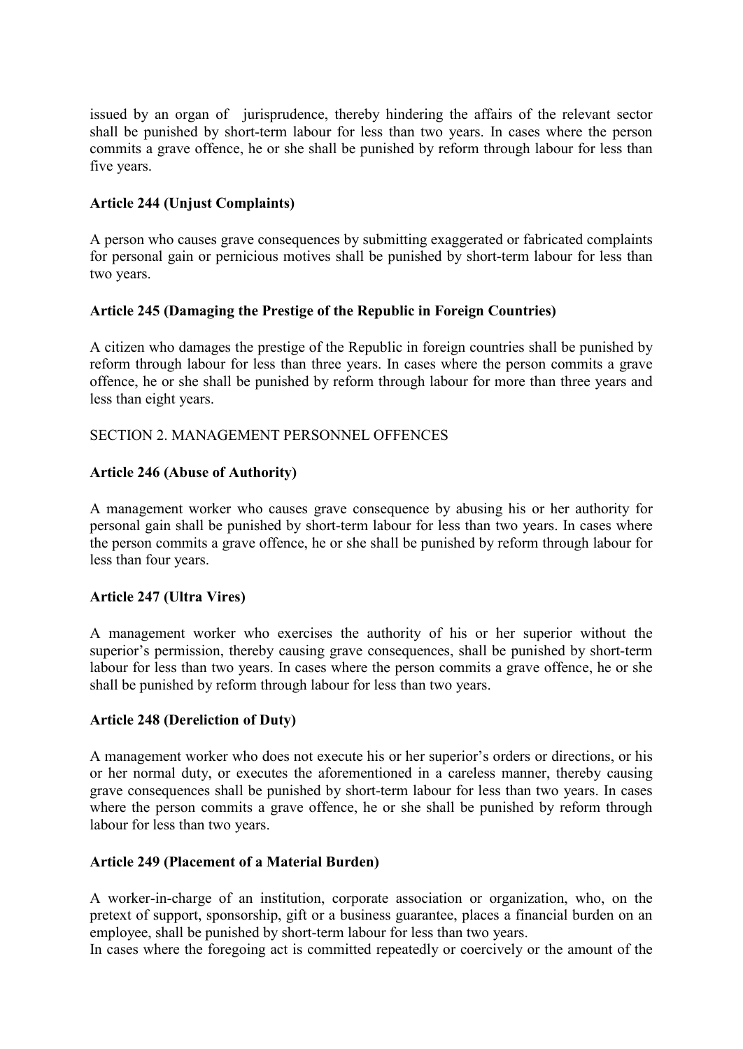issued by an organ of jurisprudence, thereby hindering the affairs of the relevant sector shall be punished by short-term labour for less than two years. In cases where the person commits a grave offence, he or she shall be punished by reform through labour for less than five years.

### **Article 244 (Unjust Complaints)**

A person who causes grave consequences by submitting exaggerated or fabricated complaints for personal gain or pernicious motives shall be punished by short-term labour for less than two years.

### **Article 245 (Damaging the Prestige of the Republic in Foreign Countries)**

A citizen who damages the prestige of the Republic in foreign countries shall be punished by reform through labour for less than three years. In cases where the person commits a grave offence, he or she shall be punished by reform through labour for more than three years and less than eight years.

#### SECTION 2. MANAGEMENT PERSONNEL OFFENCES

#### **Article 246 (Abuse of Authority)**

A management worker who causes grave consequence by abusing his or her authority for personal gain shall be punished by short-term labour for less than two years. In cases where the person commits a grave offence, he or she shall be punished by reform through labour for less than four years.

### **Article 247 (Ultra Vires)**

A management worker who exercises the authority of his or her superior without the superior's permission, thereby causing grave consequences, shall be punished by short-term labour for less than two years. In cases where the person commits a grave offence, he or she shall be punished by reform through labour for less than two years.

#### **Article 248 (Dereliction of Duty)**

A management worker who does not execute his or her superior's orders or directions, or his or her normal duty, or executes the aforementioned in a careless manner, thereby causing grave consequences shall be punished by short-term labour for less than two years. In cases where the person commits a grave offence, he or she shall be punished by reform through labour for less than two years.

#### **Article 249 (Placement of a Material Burden)**

A worker-in-charge of an institution, corporate association or organization, who, on the pretext of support, sponsorship, gift or a business guarantee, places a financial burden on an employee, shall be punished by short-term labour for less than two years.

In cases where the foregoing act is committed repeatedly or coercively or the amount of the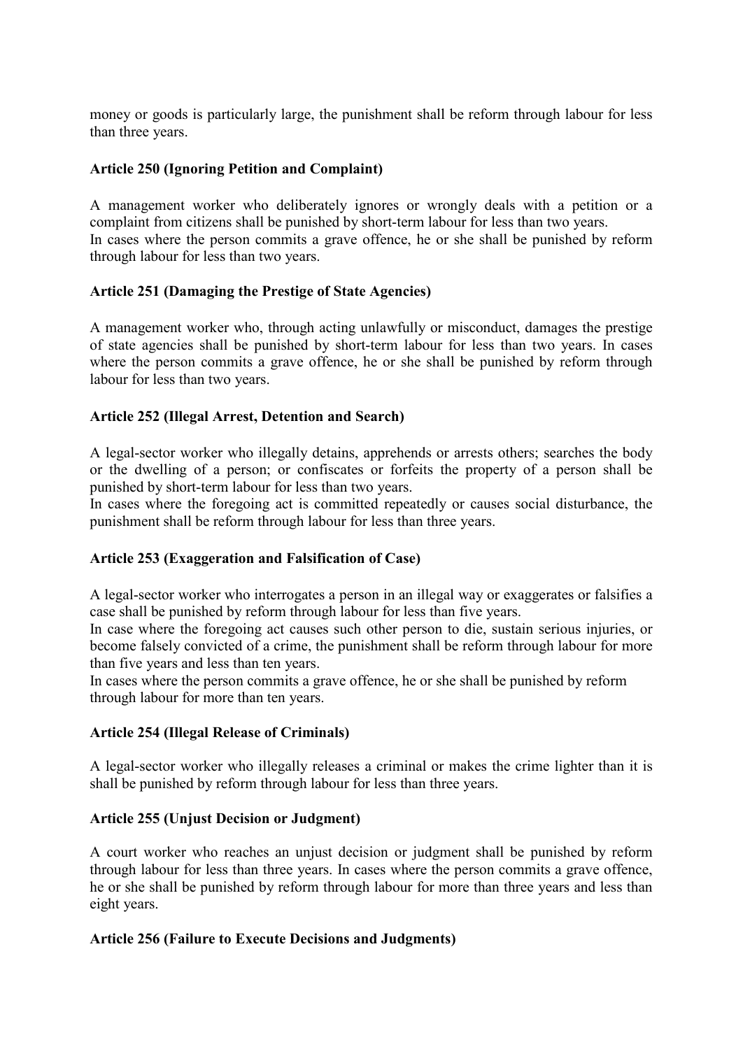money or goods is particularly large, the punishment shall be reform through labour for less than three years.

#### **Article 250 (Ignoring Petition and Complaint)**

A management worker who deliberately ignores or wrongly deals with a petition or a complaint from citizens shall be punished by short-term labour for less than two years. In cases where the person commits a grave offence, he or she shall be punished by reform through labour for less than two years.

#### **Article 251 (Damaging the Prestige of State Agencies)**

A management worker who, through acting unlawfully or misconduct, damages the prestige of state agencies shall be punished by short-term labour for less than two years. In cases where the person commits a grave offence, he or she shall be punished by reform through labour for less than two years.

#### **Article 252 (Illegal Arrest, Detention and Search)**

A legal-sector worker who illegally detains, apprehends or arrests others; searches the body or the dwelling of a person; or confiscates or forfeits the property of a person shall be punished by short-term labour for less than two years.

In cases where the foregoing act is committed repeatedly or causes social disturbance, the punishment shall be reform through labour for less than three years.

#### **Article 253 (Exaggeration and Falsification of Case)**

A legal-sector worker who interrogates a person in an illegal way or exaggerates or falsifies a case shall be punished by reform through labour for less than five years.

In case where the foregoing act causes such other person to die, sustain serious injuries, or become falsely convicted of a crime, the punishment shall be reform through labour for more than five years and less than ten years.

In cases where the person commits a grave offence, he or she shall be punished by reform through labour for more than ten years.

#### **Article 254 (Illegal Release of Criminals)**

A legal-sector worker who illegally releases a criminal or makes the crime lighter than it is shall be punished by reform through labour for less than three years.

#### **Article 255 (Unjust Decision or Judgment)**

A court worker who reaches an unjust decision or judgment shall be punished by reform through labour for less than three years. In cases where the person commits a grave offence, he or she shall be punished by reform through labour for more than three years and less than eight years.

#### **Article 256 (Failure to Execute Decisions and Judgments)**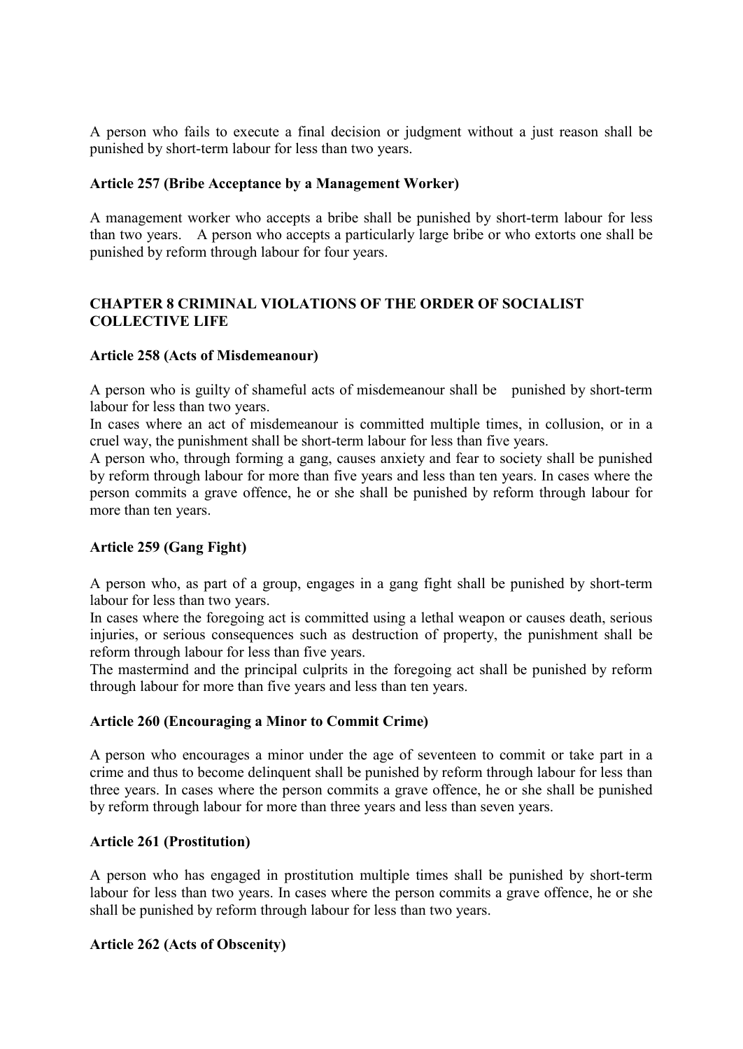A person who fails to execute a final decision or judgment without a just reason shall be punished by short-term labour for less than two years.

#### **Article 257 (Bribe Acceptance by a Management Worker)**

A management worker who accepts a bribe shall be punished by short-term labour for less than two years. A person who accepts a particularly large bribe or who extorts one shall be punished by reform through labour for four years.

# **CHAPTER 8 CRIMINAL VIOLATIONS OF THE ORDER OF SOCIALIST COLLECTIVE LIFE**

#### **Article 258 (Acts of Misdemeanour)**

A person who is guilty of shameful acts of misdemeanour shall be punished by short-term labour for less than two years.

In cases where an act of misdemeanour is committed multiple times, in collusion, or in a cruel way, the punishment shall be short-term labour for less than five years.

A person who, through forming a gang, causes anxiety and fear to society shall be punished by reform through labour for more than five years and less than ten years. In cases where the person commits a grave offence, he or she shall be punished by reform through labour for more than ten years.

### **Article 259 (Gang Fight)**

A person who, as part of a group, engages in a gang fight shall be punished by short-term labour for less than two years.

In cases where the foregoing act is committed using a lethal weapon or causes death, serious injuries, or serious consequences such as destruction of property, the punishment shall be reform through labour for less than five years.

The mastermind and the principal culprits in the foregoing act shall be punished by reform through labour for more than five years and less than ten years.

#### **Article 260 (Encouraging a Minor to Commit Crime)**

A person who encourages a minor under the age of seventeen to commit or take part in a crime and thus to become delinquent shall be punished by reform through labour for less than three years. In cases where the person commits a grave offence, he or she shall be punished by reform through labour for more than three years and less than seven years.

#### **Article 261 (Prostitution)**

A person who has engaged in prostitution multiple times shall be punished by short-term labour for less than two years. In cases where the person commits a grave offence, he or she shall be punished by reform through labour for less than two years.

### **Article 262 (Acts of Obscenity)**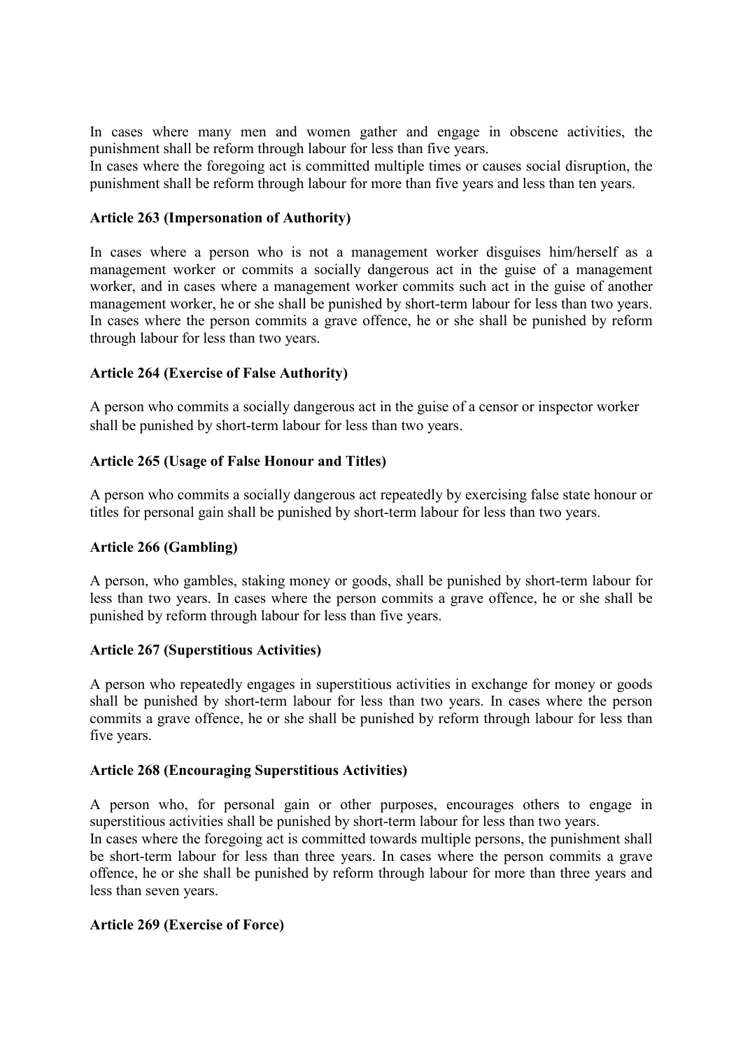In cases where many men and women gather and engage in obscene activities, the punishment shall be reform through labour for less than five years.

In cases where the foregoing act is committed multiple times or causes social disruption, the punishment shall be reform through labour for more than five years and less than ten years.

### **Article 263 (Impersonation of Authority)**

In cases where a person who is not a management worker disguises him/herself as a management worker or commits a socially dangerous act in the guise of a management worker, and in cases where a management worker commits such act in the guise of another management worker, he or she shall be punished by short-term labour for less than two years. In cases where the person commits a grave offence, he or she shall be punished by reform through labour for less than two years.

#### **Article 264 (Exercise of False Authority)**

A person who commits a socially dangerous act in the guise of a censor or inspector worker shall be punished by short-term labour for less than two years.

#### **Article 265 (Usage of False Honour and Titles)**

A person who commits a socially dangerous act repeatedly by exercising false state honour or titles for personal gain shall be punished by short-term labour for less than two years.

#### **Article 266 (Gambling)**

A person, who gambles, staking money or goods, shall be punished by short-term labour for less than two years. In cases where the person commits a grave offence, he or she shall be punished by reform through labour for less than five years.

#### **Article 267 (Superstitious Activities)**

A person who repeatedly engages in superstitious activities in exchange for money or goods shall be punished by short-term labour for less than two years. In cases where the person commits a grave offence, he or she shall be punished by reform through labour for less than five years.

#### **Article 268 (Encouraging Superstitious Activities)**

A person who, for personal gain or other purposes, encourages others to engage in superstitious activities shall be punished by short-term labour for less than two years.

In cases where the foregoing act is committed towards multiple persons, the punishment shall be short-term labour for less than three years. In cases where the person commits a grave offence, he or she shall be punished by reform through labour for more than three years and less than seven years.

#### **Article 269 (Exercise of Force)**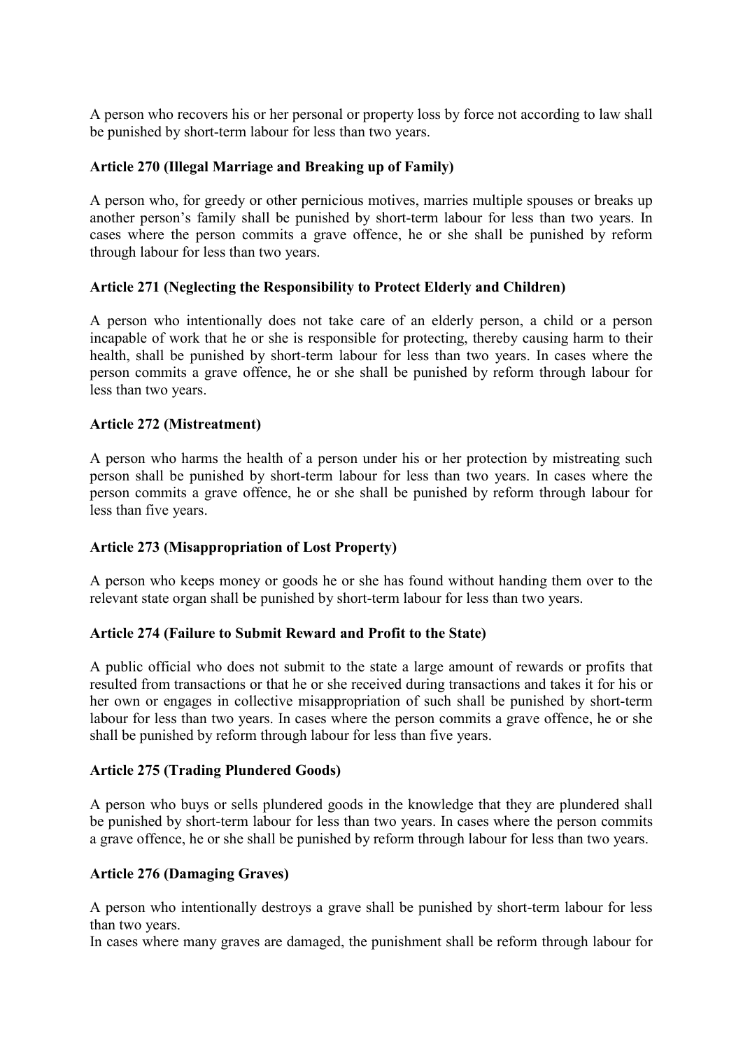A person who recovers his or her personal or property loss by force not according to law shall be punished by short-term labour for less than two years.

#### **Article 270 (Illegal Marriage and Breaking up of Family)**

A person who, for greedy or other pernicious motives, marries multiple spouses or breaks up another person's family shall be punished by short-term labour for less than two years. In cases where the person commits a grave offence, he or she shall be punished by reform through labour for less than two years.

### **Article 271 (Neglecting the Responsibility to Protect Elderly and Children)**

A person who intentionally does not take care of an elderly person, a child or a person incapable of work that he or she is responsible for protecting, thereby causing harm to their health, shall be punished by short-term labour for less than two years. In cases where the person commits a grave offence, he or she shall be punished by reform through labour for less than two years.

#### **Article 272 (Mistreatment)**

A person who harms the health of a person under his or her protection by mistreating such person shall be punished by short-term labour for less than two years. In cases where the person commits a grave offence, he or she shall be punished by reform through labour for less than five years.

### **Article 273 (Misappropriation of Lost Property)**

A person who keeps money or goods he or she has found without handing them over to the relevant state organ shall be punished by short-term labour for less than two years.

#### **Article 274 (Failure to Submit Reward and Profit to the State)**

A public official who does not submit to the state a large amount of rewards or profits that resulted from transactions or that he or she received during transactions and takes it for his or her own or engages in collective misappropriation of such shall be punished by short-term labour for less than two years. In cases where the person commits a grave offence, he or she shall be punished by reform through labour for less than five years.

#### **Article 275 (Trading Plundered Goods)**

A person who buys or sells plundered goods in the knowledge that they are plundered shall be punished by short-term labour for less than two years. In cases where the person commits a grave offence, he or she shall be punished by reform through labour for less than two years.

#### **Article 276 (Damaging Graves)**

A person who intentionally destroys a grave shall be punished by short-term labour for less than two years.

In cases where many graves are damaged, the punishment shall be reform through labour for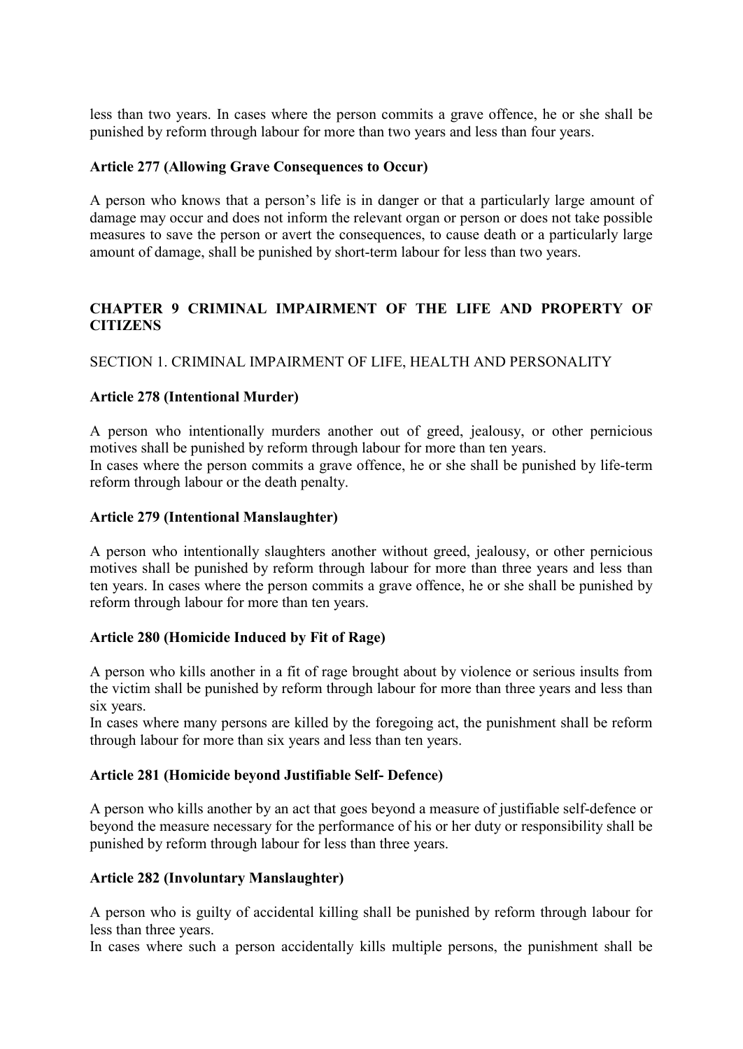less than two years. In cases where the person commits a grave offence, he or she shall be punished by reform through labour for more than two years and less than four years.

#### **Article 277 (Allowing Grave Consequences to Occur)**

A person who knows that a person's life is in danger or that a particularly large amount of damage may occur and does not inform the relevant organ or person or does not take possible measures to save the person or avert the consequences, to cause death or a particularly large amount of damage, shall be punished by short-term labour for less than two years.

# **CHAPTER 9 CRIMINAL IMPAIRMENT OF THE LIFE AND PROPERTY OF CITIZENS**

SECTION 1. CRIMINAL IMPAIRMENT OF LIFE, HEALTH AND PERSONALITY

### **Article 278 (Intentional Murder)**

A person who intentionally murders another out of greed, jealousy, or other pernicious motives shall be punished by reform through labour for more than ten years. In cases where the person commits a grave offence, he or she shall be punished by life-term

reform through labour or the death penalty.

# **Article 279 (Intentional Manslaughter)**

A person who intentionally slaughters another without greed, jealousy, or other pernicious motives shall be punished by reform through labour for more than three years and less than ten years. In cases where the person commits a grave offence, he or she shall be punished by reform through labour for more than ten years.

### **Article 280 (Homicide Induced by Fit of Rage)**

A person who kills another in a fit of rage brought about by violence or serious insults from the victim shall be punished by reform through labour for more than three years and less than six years.

In cases where many persons are killed by the foregoing act, the punishment shall be reform through labour for more than six years and less than ten years.

### **Article 281 (Homicide beyond Justifiable Self- Defence)**

A person who kills another by an act that goes beyond a measure of justifiable self-defence or beyond the measure necessary for the performance of his or her duty or responsibility shall be punished by reform through labour for less than three years.

### **Article 282 (Involuntary Manslaughter)**

A person who is guilty of accidental killing shall be punished by reform through labour for less than three years.

In cases where such a person accidentally kills multiple persons, the punishment shall be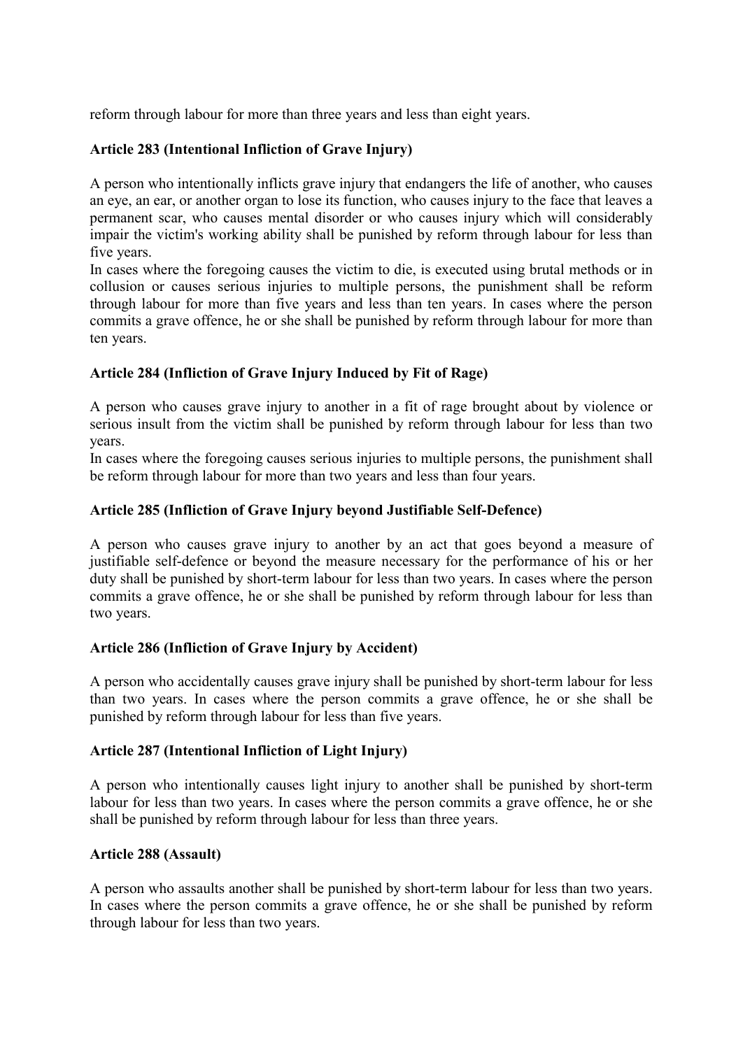reform through labour for more than three years and less than eight years.

# **Article 283 (Intentional Infliction of Grave Injury)**

A person who intentionally inflicts grave injury that endangers the life of another, who causes an eye, an ear, or another organ to lose its function, who causes injury to the face that leaves a permanent scar, who causes mental disorder or who causes injury which will considerably impair the victim's working ability shall be punished by reform through labour for less than five years.

In cases where the foregoing causes the victim to die, is executed using brutal methods or in collusion or causes serious injuries to multiple persons, the punishment shall be reform through labour for more than five years and less than ten years. In cases where the person commits a grave offence, he or she shall be punished by reform through labour for more than ten years.

### **Article 284 (Infliction of Grave Injury Induced by Fit of Rage)**

A person who causes grave injury to another in a fit of rage brought about by violence or serious insult from the victim shall be punished by reform through labour for less than two years.

In cases where the foregoing causes serious injuries to multiple persons, the punishment shall be reform through labour for more than two years and less than four years.

# **Article 285 (Infliction of Grave Injury beyond Justifiable Self-Defence)**

A person who causes grave injury to another by an act that goes beyond a measure of justifiable self-defence or beyond the measure necessary for the performance of his or her duty shall be punished by short-term labour for less than two years. In cases where the person commits a grave offence, he or she shall be punished by reform through labour for less than two years.

### **Article 286 (Infliction of Grave Injury by Accident)**

A person who accidentally causes grave injury shall be punished by short-term labour for less than two years. In cases where the person commits a grave offence, he or she shall be punished by reform through labour for less than five years.

### **Article 287 (Intentional Infliction of Light Injury)**

A person who intentionally causes light injury to another shall be punished by short-term labour for less than two years. In cases where the person commits a grave offence, he or she shall be punished by reform through labour for less than three years.

### **Article 288 (Assault)**

A person who assaults another shall be punished by short-term labour for less than two years. In cases where the person commits a grave offence, he or she shall be punished by reform through labour for less than two years.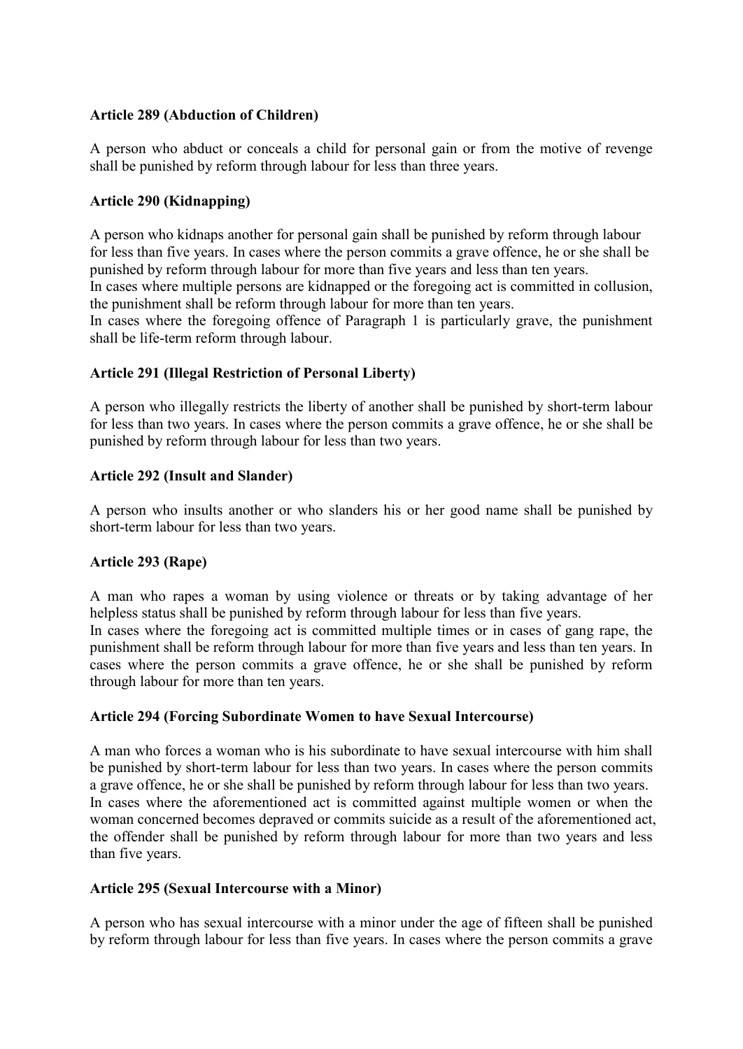#### **Article 289 (Abduction of Children)**

A person who abduct or conceals a child for personal gain or from the motive of revenge shall be punished by reform through labour for less than three years.

#### **Article 290 (Kidnapping)**

A person who kidnaps another for personal gain shall be punished by reform through labour for less than five years. In cases where the person commits a grave offence, he or she shall be punished by reform through labour for more than five years and less than ten years. In cases where multiple persons are kidnapped or the foregoing act is committed in collusion, the punishment shall be reform through labour for more than ten years.

In cases where the foregoing offence of Paragraph 1 is particularly grave, the punishment shall be life-term reform through labour.

#### **Article 291 (Illegal Restriction of Personal Liberty)**

A person who illegally restricts the liberty of another shall be punished by short-term labour for less than two years. In cases where the person commits a grave offence, he or she shall be punished by reform through labour for less than two years.

#### **Article 292 (Insult and Slander)**

A person who insults another or who slanders his or her good name shall be punished by short-term labour for less than two years.

### **Article 293 (Rape)**

A man who rapes a woman by using violence or threats or by taking advantage of her helpless status shall be punished by reform through labour for less than five years. In cases where the foregoing act is committed multiple times or in cases of gang rape, the punishment shall be reform through labour for more than five years and less than ten years. In cases where the person commits a grave offence, he or she shall be punished by reform through labour for more than ten years.

#### **Article 294 (Forcing Subordinate Women to have Sexual Intercourse)**

A man who forces a woman who is his subordinate to have sexual intercourse with him shall be punished by short-term labour for less than two years. In cases where the person commits a grave offence, he or she shall be punished by reform through labour for less than two years. In cases where the aforementioned act is committed against multiple women or when the woman concerned becomes depraved or commits suicide as a result of the aforementioned act, the offender shall be punished by reform through labour for more than two years and less than five years.

#### **Article 295 (Sexual Intercourse with a Minor)**

A person who has sexual intercourse with a minor under the age of fifteen shall be punished by reform through labour for less than five years. In cases where the person commits a grave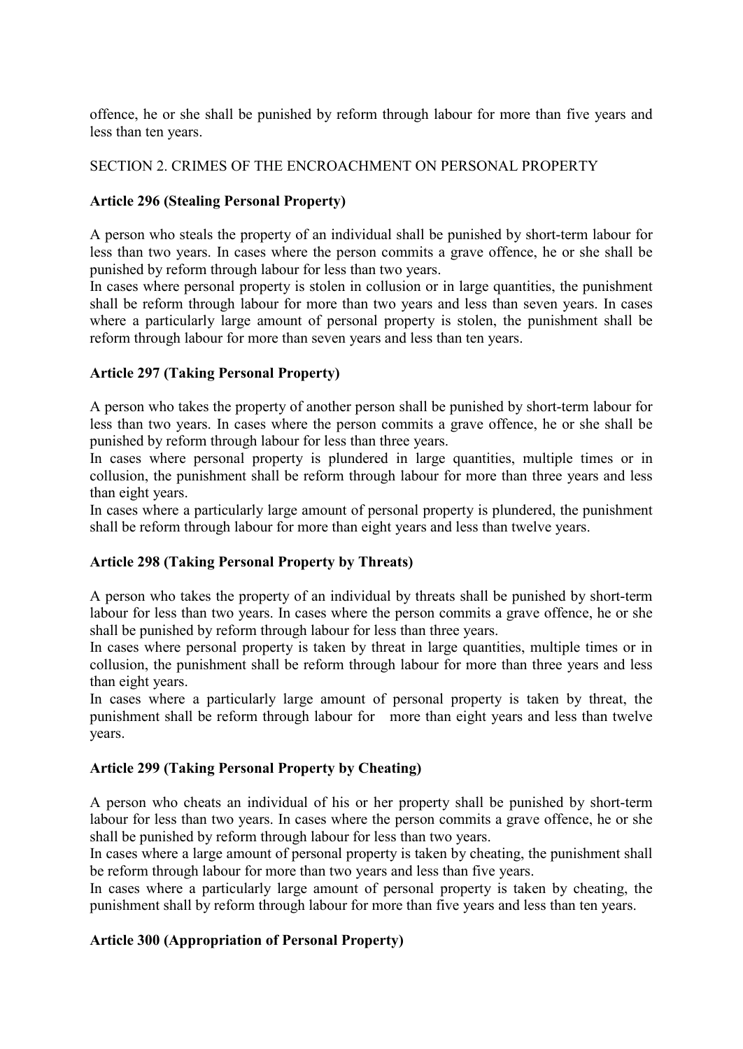offence, he or she shall be punished by reform through labour for more than five years and less than ten years.

#### SECTION 2. CRIMES OF THE ENCROACHMENT ON PERSONAL PROPERTY

# **Article 296 (Stealing Personal Property)**

A person who steals the property of an individual shall be punished by short-term labour for less than two years. In cases where the person commits a grave offence, he or she shall be punished by reform through labour for less than two years.

In cases where personal property is stolen in collusion or in large quantities, the punishment shall be reform through labour for more than two years and less than seven years. In cases where a particularly large amount of personal property is stolen, the punishment shall be reform through labour for more than seven years and less than ten years.

### **Article 297 (Taking Personal Property)**

A person who takes the property of another person shall be punished by short-term labour for less than two years. In cases where the person commits a grave offence, he or she shall be punished by reform through labour for less than three years.

In cases where personal property is plundered in large quantities, multiple times or in collusion, the punishment shall be reform through labour for more than three years and less than eight years.

In cases where a particularly large amount of personal property is plundered, the punishment shall be reform through labour for more than eight years and less than twelve years.

### **Article 298 (Taking Personal Property by Threats)**

A person who takes the property of an individual by threats shall be punished by short-term labour for less than two years. In cases where the person commits a grave offence, he or she shall be punished by reform through labour for less than three years.

In cases where personal property is taken by threat in large quantities, multiple times or in collusion, the punishment shall be reform through labour for more than three years and less than eight years.

In cases where a particularly large amount of personal property is taken by threat, the punishment shall be reform through labour for more than eight years and less than twelve years.

### **Article 299 (Taking Personal Property by Cheating)**

A person who cheats an individual of his or her property shall be punished by short-term labour for less than two years. In cases where the person commits a grave offence, he or she shall be punished by reform through labour for less than two years.

In cases where a large amount of personal property is taken by cheating, the punishment shall be reform through labour for more than two years and less than five years.

In cases where a particularly large amount of personal property is taken by cheating, the punishment shall by reform through labour for more than five years and less than ten years.

### **Article 300 (Appropriation of Personal Property)**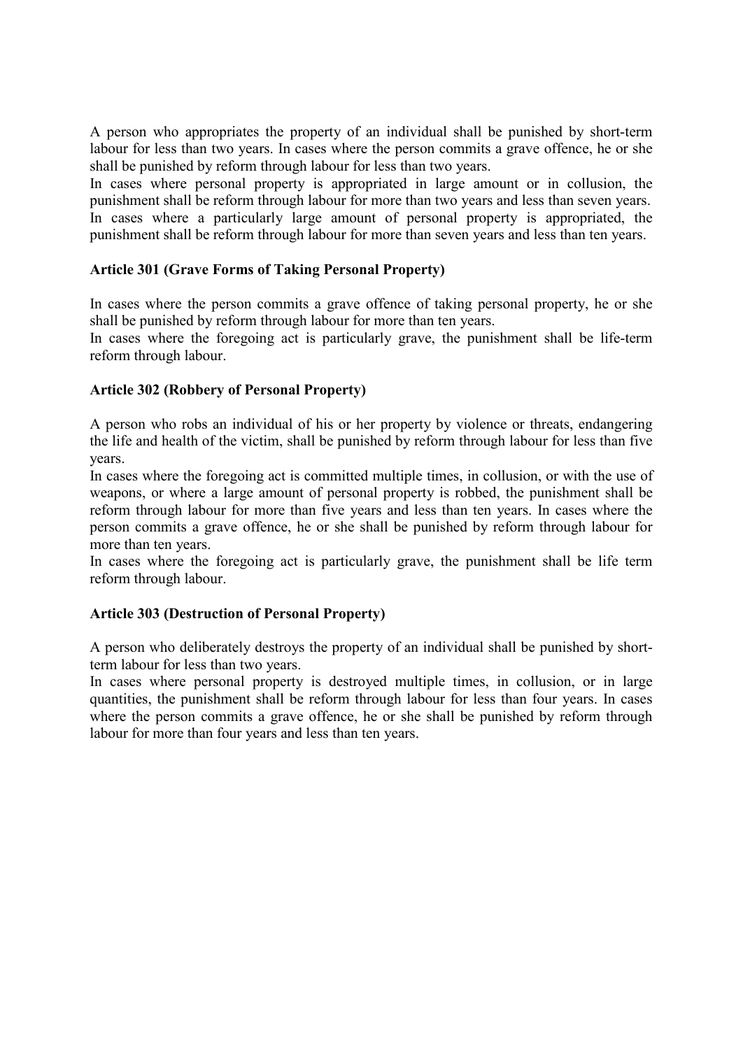A person who appropriates the property of an individual shall be punished by short-term labour for less than two years. In cases where the person commits a grave offence, he or she shall be punished by reform through labour for less than two years.

In cases where personal property is appropriated in large amount or in collusion, the punishment shall be reform through labour for more than two years and less than seven years. In cases where a particularly large amount of personal property is appropriated, the punishment shall be reform through labour for more than seven years and less than ten years.

#### **Article 301 (Grave Forms of Taking Personal Property)**

In cases where the person commits a grave offence of taking personal property, he or she shall be punished by reform through labour for more than ten years.

In cases where the foregoing act is particularly grave, the punishment shall be life-term reform through labour.

### **Article 302 (Robbery of Personal Property)**

A person who robs an individual of his or her property by violence or threats, endangering the life and health of the victim, shall be punished by reform through labour for less than five years.

In cases where the foregoing act is committed multiple times, in collusion, or with the use of weapons, or where a large amount of personal property is robbed, the punishment shall be reform through labour for more than five years and less than ten years. In cases where the person commits a grave offence, he or she shall be punished by reform through labour for more than ten years.

In cases where the foregoing act is particularly grave, the punishment shall be life term reform through labour.

#### **Article 303 (Destruction of Personal Property)**

A person who deliberately destroys the property of an individual shall be punished by shortterm labour for less than two years.

In cases where personal property is destroyed multiple times, in collusion, or in large quantities, the punishment shall be reform through labour for less than four years. In cases where the person commits a grave offence, he or she shall be punished by reform through labour for more than four years and less than ten years.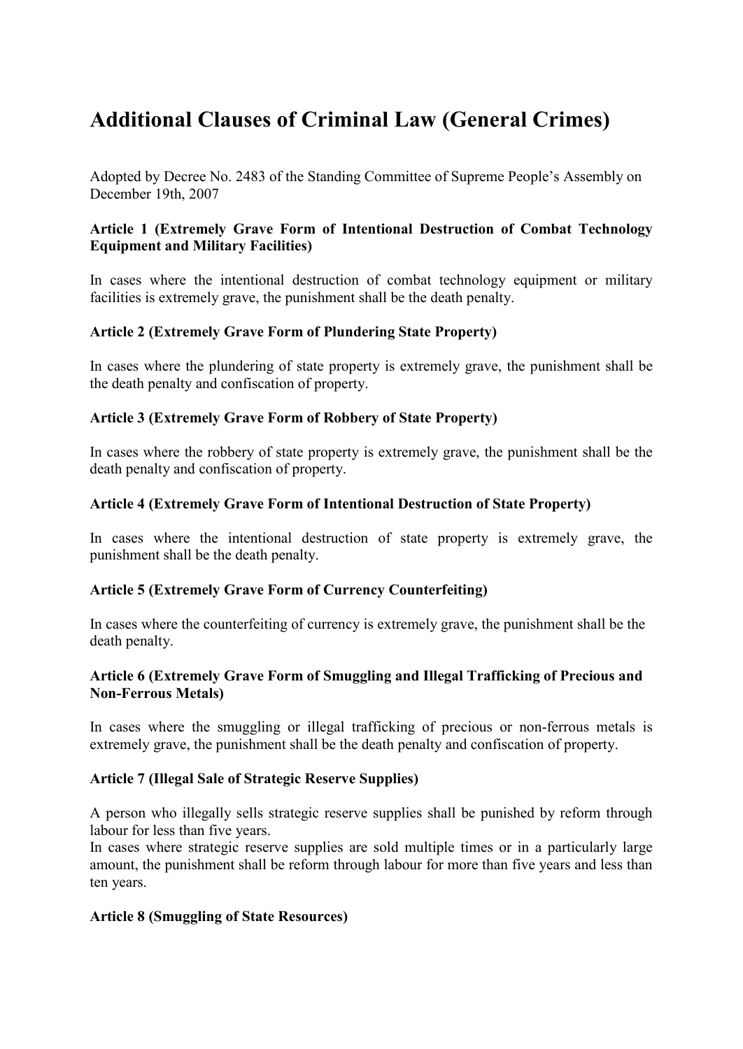# **Additional Clauses of Criminal Law (General Crimes)**

Adopted by Decree No. 2483 of the Standing Committee of Supreme People's Assembly on December 19th, 2007

#### **Article 1 (Extremely Grave Form of Intentional Destruction of Combat Technology Equipment and Military Facilities)**

In cases where the intentional destruction of combat technology equipment or military facilities is extremely grave, the punishment shall be the death penalty.

### **Article 2 (Extremely Grave Form of Plundering State Property)**

In cases where the plundering of state property is extremely grave, the punishment shall be the death penalty and confiscation of property.

#### **Article 3 (Extremely Grave Form of Robbery of State Property)**

In cases where the robbery of state property is extremely grave, the punishment shall be the death penalty and confiscation of property.

#### **Article 4 (Extremely Grave Form of Intentional Destruction of State Property)**

In cases where the intentional destruction of state property is extremely grave, the punishment shall be the death penalty.

#### **Article 5 (Extremely Grave Form of Currency Counterfeiting)**

In cases where the counterfeiting of currency is extremely grave, the punishment shall be the death penalty.

#### **Article 6 (Extremely Grave Form of Smuggling and Illegal Trafficking of Precious and Non-Ferrous Metals)**

In cases where the smuggling or illegal trafficking of precious or non-ferrous metals is extremely grave, the punishment shall be the death penalty and confiscation of property.

### **Article 7 (Illegal Sale of Strategic Reserve Supplies)**

A person who illegally sells strategic reserve supplies shall be punished by reform through labour for less than five years.

In cases where strategic reserve supplies are sold multiple times or in a particularly large amount, the punishment shall be reform through labour for more than five years and less than ten years.

### **Article 8 (Smuggling of State Resources)**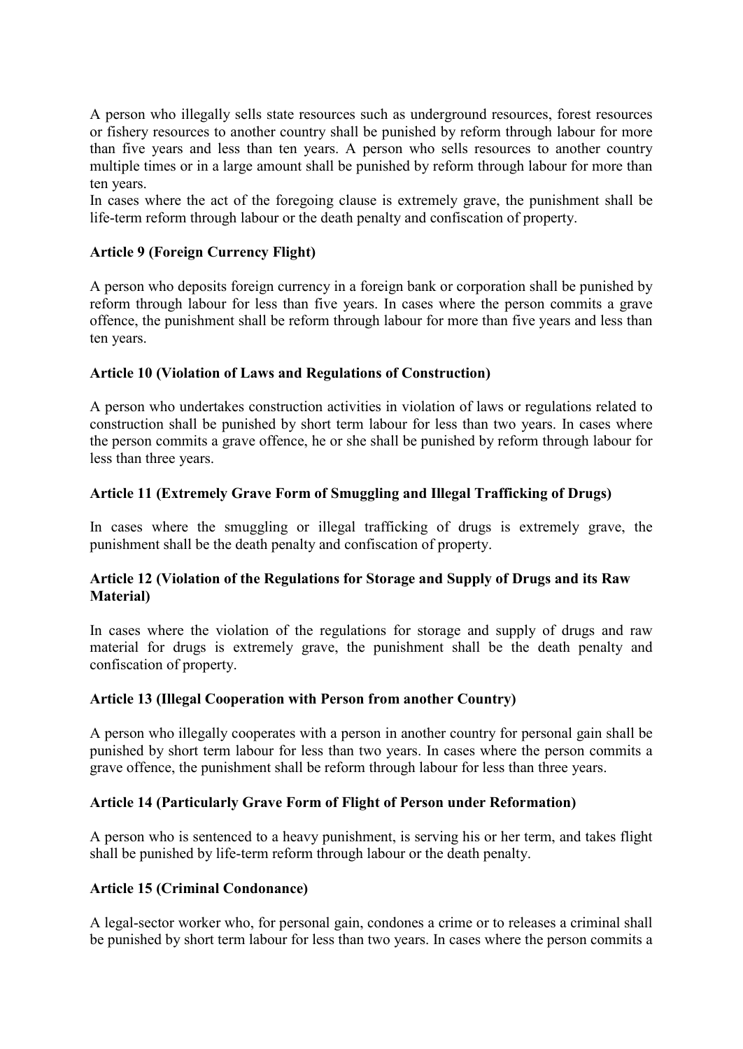A person who illegally sells state resources such as underground resources, forest resources or fishery resources to another country shall be punished by reform through labour for more than five years and less than ten years. A person who sells resources to another country multiple times or in a large amount shall be punished by reform through labour for more than ten years.

In cases where the act of the foregoing clause is extremely grave, the punishment shall be life-term reform through labour or the death penalty and confiscation of property.

#### **Article 9 (Foreign Currency Flight)**

A person who deposits foreign currency in a foreign bank or corporation shall be punished by reform through labour for less than five years. In cases where the person commits a grave offence, the punishment shall be reform through labour for more than five years and less than ten years.

#### **Article 10 (Violation of Laws and Regulations of Construction)**

A person who undertakes construction activities in violation of laws or regulations related to construction shall be punished by short term labour for less than two years. In cases where the person commits a grave offence, he or she shall be punished by reform through labour for less than three years.

#### **Article 11 (Extremely Grave Form of Smuggling and Illegal Trafficking of Drugs)**

In cases where the smuggling or illegal trafficking of drugs is extremely grave, the punishment shall be the death penalty and confiscation of property.

### **Article 12 (Violation of the Regulations for Storage and Supply of Drugs and its Raw Material)**

In cases where the violation of the regulations for storage and supply of drugs and raw material for drugs is extremely grave, the punishment shall be the death penalty and confiscation of property.

#### **Article 13 (Illegal Cooperation with Person from another Country)**

A person who illegally cooperates with a person in another country for personal gain shall be punished by short term labour for less than two years. In cases where the person commits a grave offence, the punishment shall be reform through labour for less than three years.

#### **Article 14 (Particularly Grave Form of Flight of Person under Reformation)**

A person who is sentenced to a heavy punishment, is serving his or her term, and takes flight shall be punished by life-term reform through labour or the death penalty.

#### **Article 15 (Criminal Condonance)**

A legal-sector worker who, for personal gain, condones a crime or to releases a criminal shall be punished by short term labour for less than two years. In cases where the person commits a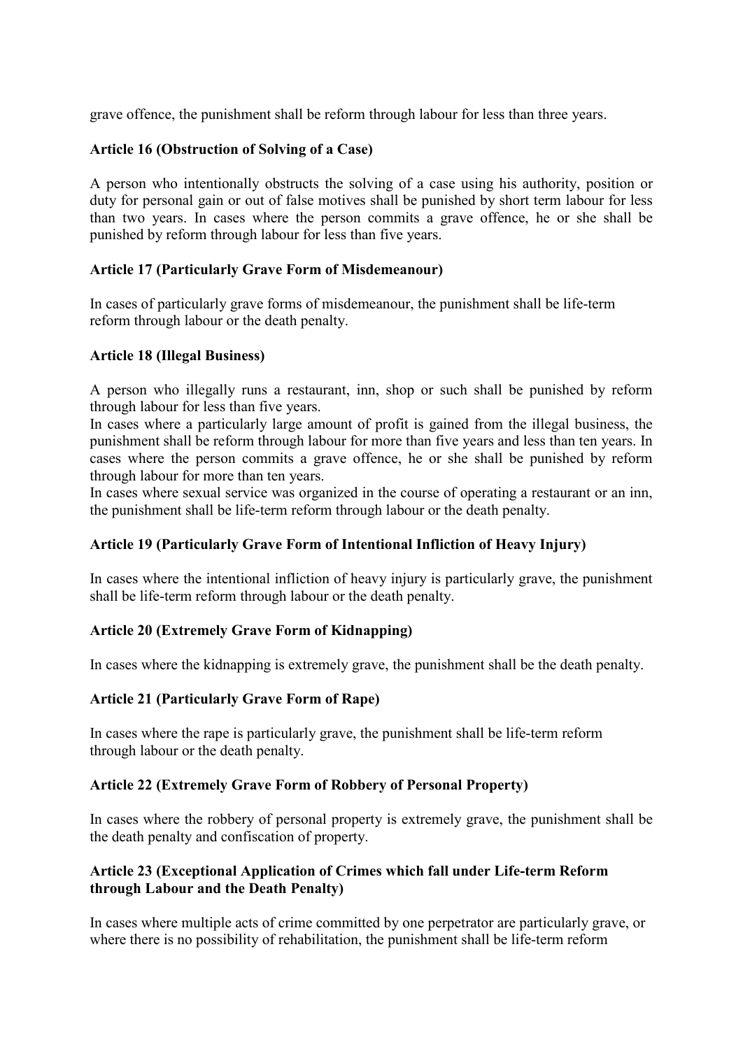grave offence, the punishment shall be reform through labour for less than three years.

# **Article 16 (Obstruction of Solving of a Case)**

A person who intentionally obstructs the solving of a case using his authority, position or duty for personal gain or out of false motives shall be punished by short term labour for less than two years. In cases where the person commits a grave offence, he or she shall be punished by reform through labour for less than five years.

### **Article 17 (Particularly Grave Form of Misdemeanour)**

In cases of particularly grave forms of misdemeanour, the punishment shall be life-term reform through labour or the death penalty.

### **Article 18 (Illegal Business)**

A person who illegally runs a restaurant, inn, shop or such shall be punished by reform through labour for less than five years.

In cases where a particularly large amount of profit is gained from the illegal business, the punishment shall be reform through labour for more than five years and less than ten years. In cases where the person commits a grave offence, he or she shall be punished by reform through labour for more than ten years.

In cases where sexual service was organized in the course of operating a restaurant or an inn, the punishment shall be life-term reform through labour or the death penalty.

### **Article 19 (Particularly Grave Form of Intentional Infliction of Heavy Injury)**

In cases where the intentional infliction of heavy injury is particularly grave, the punishment shall be life-term reform through labour or the death penalty.

### **Article 20 (Extremely Grave Form of Kidnapping)**

In cases where the kidnapping is extremely grave, the punishment shall be the death penalty.

### **Article 21 (Particularly Grave Form of Rape)**

In cases where the rape is particularly grave, the punishment shall be life-term reform through labour or the death penalty.

### **Article 22 (Extremely Grave Form of Robbery of Personal Property)**

In cases where the robbery of personal property is extremely grave, the punishment shall be the death penalty and confiscation of property.

### **Article 23 (Exceptional Application of Crimes which fall under Life-term Reform through Labour and the Death Penalty)**

In cases where multiple acts of crime committed by one perpetrator are particularly grave, or where there is no possibility of rehabilitation, the punishment shall be life-term reform